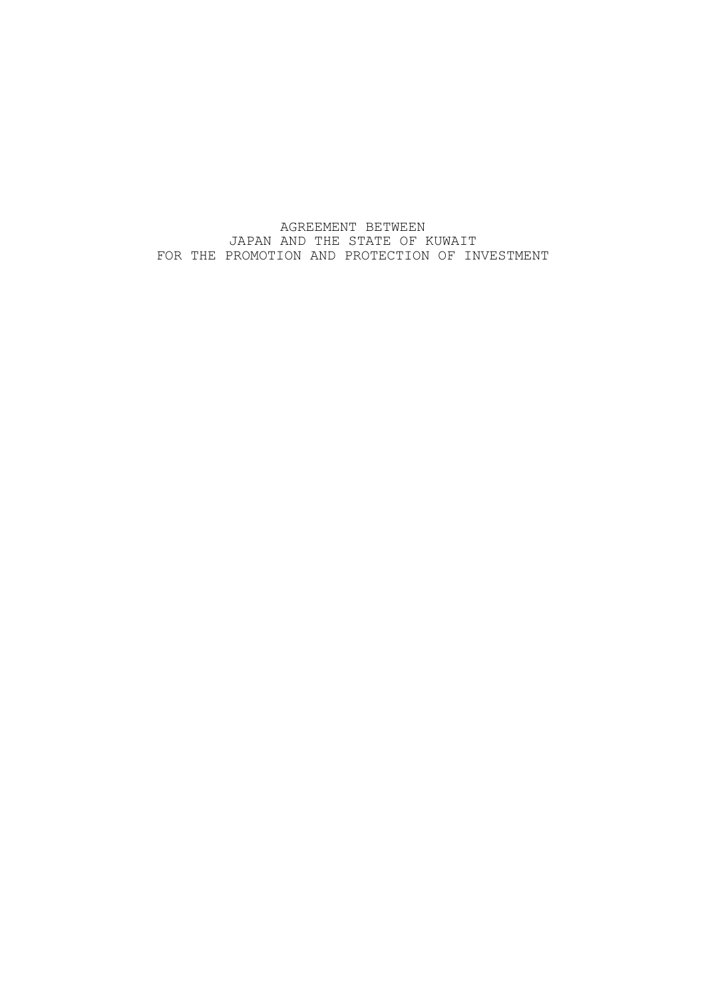AGREEMENT BETWEEN JAPAN AND THE STATE OF KUWAIT FOR THE PROMOTION AND PROTECTION OF INVESTMENT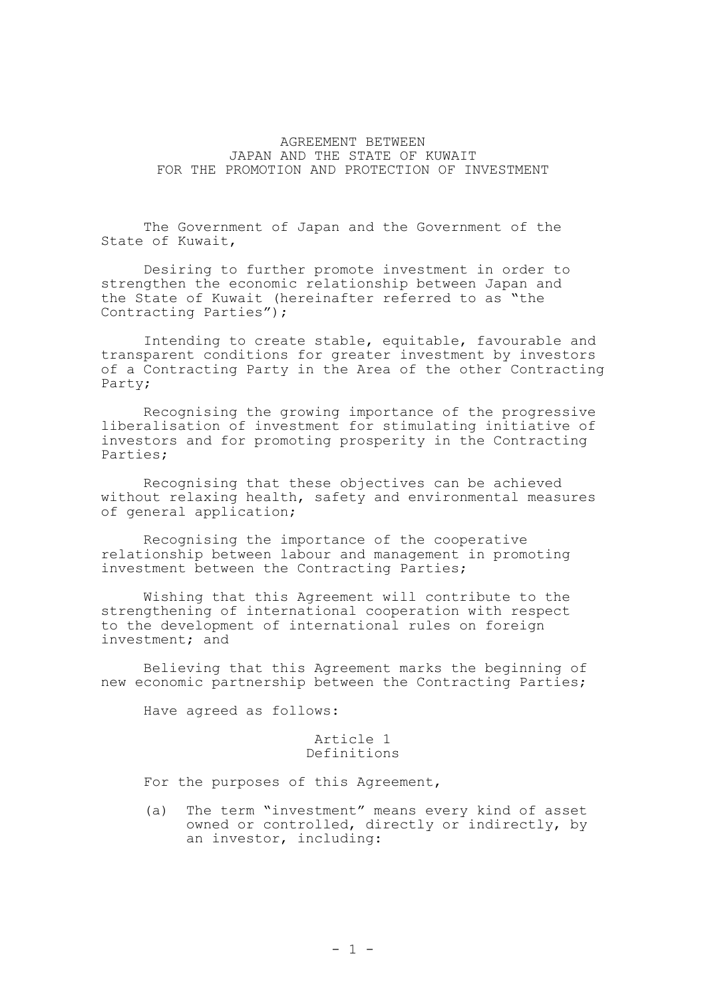## AGREEMENT BETWEEN JAPAN AND THE STATE OF KUWAIT FOR THE PROMOTION AND PROTECTION OF INVESTMENT

 The Government of Japan and the Government of the State of Kuwait,

 Desiring to further promote investment in order to strengthen the economic relationship between Japan and the State of Kuwait (hereinafter referred to as "the Contracting Parties");

 Intending to create stable, equitable, favourable and transparent conditions for greater investment by investors of a Contracting Party in the Area of the other Contracting Party;

 Recognising the growing importance of the progressive liberalisation of investment for stimulating initiative of investors and for promoting prosperity in the Contracting Parties;

 Recognising that these objectives can be achieved without relaxing health, safety and environmental measures of general application;

 Recognising the importance of the cooperative relationship between labour and management in promoting investment between the Contracting Parties;

 Wishing that this Agreement will contribute to the strengthening of international cooperation with respect to the development of international rules on foreign investment; and

 Believing that this Agreement marks the beginning of new economic partnership between the Contracting Parties;

Have agreed as follows:

## Article 1 Definitions

For the purposes of this Agreement,

 (a) The term "investment" means every kind of asset owned or controlled, directly or indirectly, by an investor, including: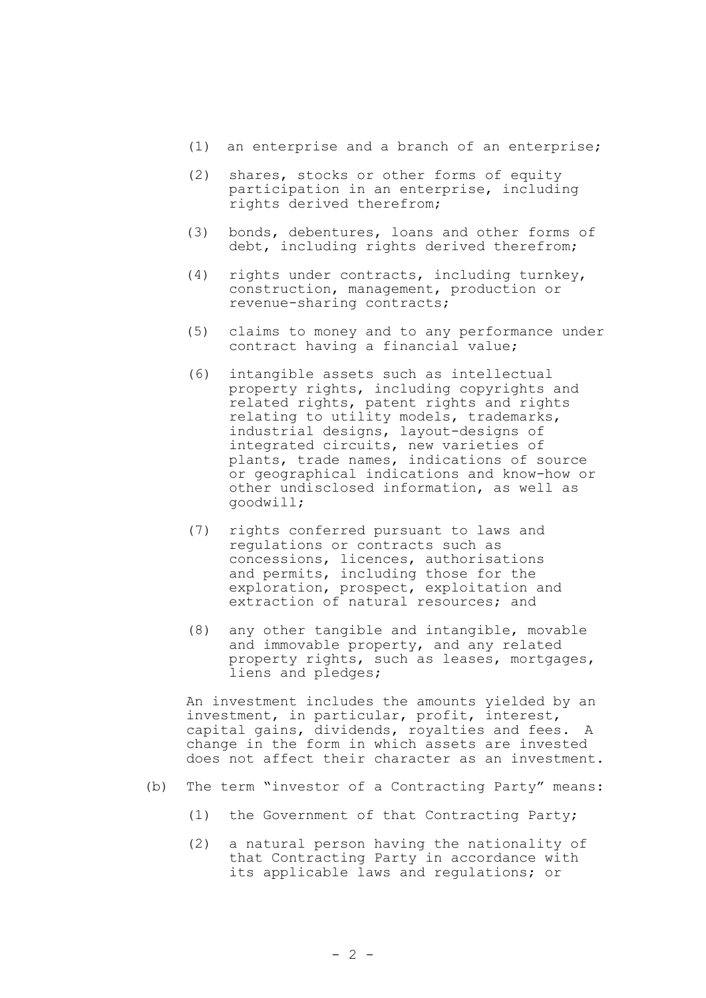- (1) an enterprise and a branch of an enterprise;
- (2) shares, stocks or other forms of equity participation in an enterprise, including rights derived therefrom;
- (3) bonds, debentures, loans and other forms of debt, including rights derived therefrom;
- (4) rights under contracts, including turnkey, construction, management, production or revenue-sharing contracts;
- (5) claims to money and to any performance under contract having a financial value;
- (6) intangible assets such as intellectual property rights, including copyrights and related rights, patent rights and rights relating to utility models, trademarks, industrial designs, layout-designs of integrated circuits, new varieties of plants, trade names, indications of source or geographical indications and know-how or other undisclosed information, as well as goodwill;
- (7) rights conferred pursuant to laws and regulations or contracts such as concessions, licences, authorisations and permits, including those for the exploration, prospect, exploitation and extraction of natural resources; and
- (8) any other tangible and intangible, movable and immovable property, and any related property rights, such as leases, mortgages, liens and pledges;

 An investment includes the amounts yielded by an investment, in particular, profit, interest, capital gains, dividends, royalties and fees. A change in the form in which assets are invested does not affect their character as an investment.

- (b) The term "investor of a Contracting Party" means:
	- (1) the Government of that Contracting Party;
	- (2) a natural person having the nationality of that Contracting Party in accordance with its applicable laws and regulations; or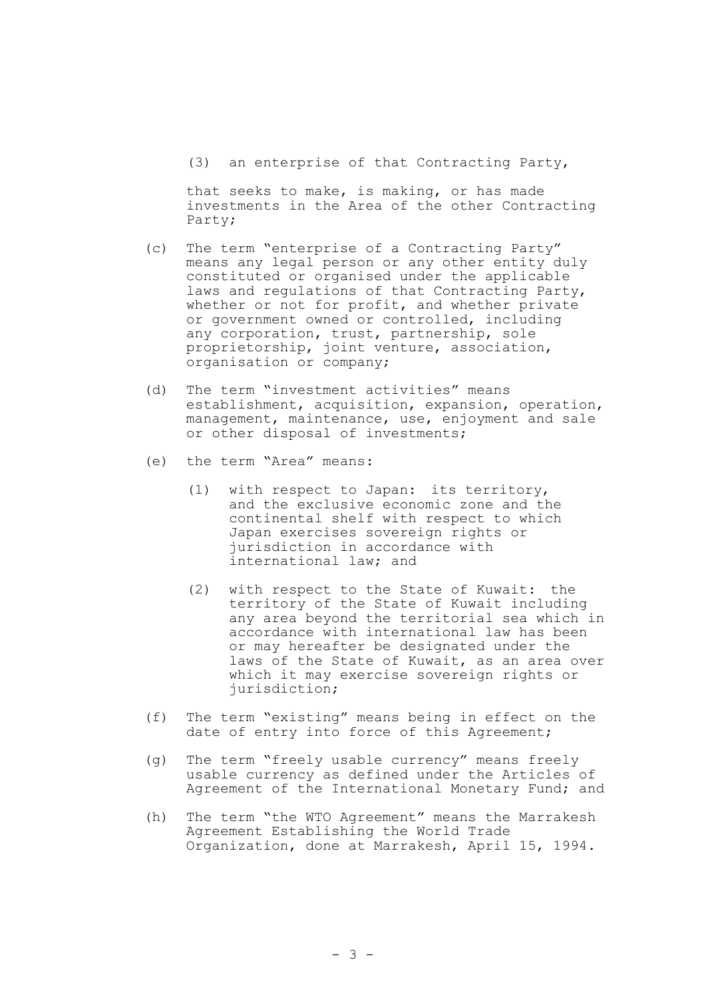(3) an enterprise of that Contracting Party,

that seeks to make, is making, or has made investments in the Area of the other Contracting Party;

- (c) The term "enterprise of a Contracting Party" means any legal person or any other entity duly constituted or organised under the applicable laws and regulations of that Contracting Party, whether or not for profit, and whether private or government owned or controlled, including any corporation, trust, partnership, sole proprietorship, joint venture, association, organisation or company;
- (d) The term "investment activities" means establishment, acquisition, expansion, operation, management, maintenance, use, enjoyment and sale or other disposal of investments;
- (e) the term "Area" means:
	- (1) with respect to Japan: its territory, and the exclusive economic zone and the continental shelf with respect to which Japan exercises sovereign rights or jurisdiction in accordance with international law; and
	- (2) with respect to the State of Kuwait: the territory of the State of Kuwait including any area beyond the territorial sea which in accordance with international law has been or may hereafter be designated under the laws of the State of Kuwait, as an area over which it may exercise sovereign rights or jurisdiction;
- (f) The term "existing" means being in effect on the date of entry into force of this Agreement;
- (g) The term "freely usable currency" means freely usable currency as defined under the Articles of Agreement of the International Monetary Fund; and
- (h) The term "the WTO Agreement" means the Marrakesh Agreement Establishing the World Trade Organization, done at Marrakesh, April 15, 1994.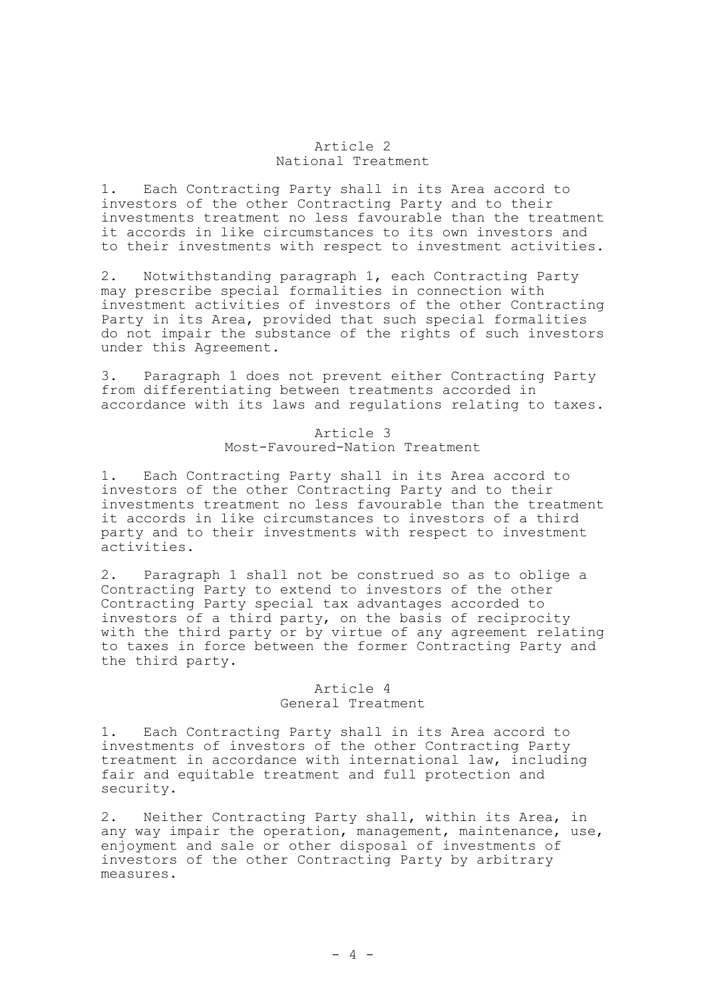### Article 2 National Treatment

1. Each Contracting Party shall in its Area accord to investors of the other Contracting Party and to their investments treatment no less favourable than the treatment it accords in like circumstances to its own investors and to their investments with respect to investment activities.

2. Notwithstanding paragraph 1, each Contracting Party may prescribe special formalities in connection with investment activities of investors of the other Contracting Party in its Area, provided that such special formalities do not impair the substance of the rights of such investors under this Agreement.

3. Paragraph 1 does not prevent either Contracting Party from differentiating between treatments accorded in accordance with its laws and regulations relating to taxes.

## Article 3 Most-Favoured-Nation Treatment

1. Each Contracting Party shall in its Area accord to investors of the other Contracting Party and to their investments treatment no less favourable than the treatment it accords in like circumstances to investors of a third party and to their investments with respect to investment activities.

2. Paragraph 1 shall not be construed so as to oblige a Contracting Party to extend to investors of the other Contracting Party special tax advantages accorded to investors of a third party, on the basis of reciprocity with the third party or by virtue of any agreement relating to taxes in force between the former Contracting Party and the third party.

# Article 4 General Treatment

1. Each Contracting Party shall in its Area accord to investments of investors of the other Contracting Party treatment in accordance with international law, including fair and equitable treatment and full protection and security.

2. Neither Contracting Party shall, within its Area, in any way impair the operation, management, maintenance, use, enjoyment and sale or other disposal of investments of investors of the other Contracting Party by arbitrary measures.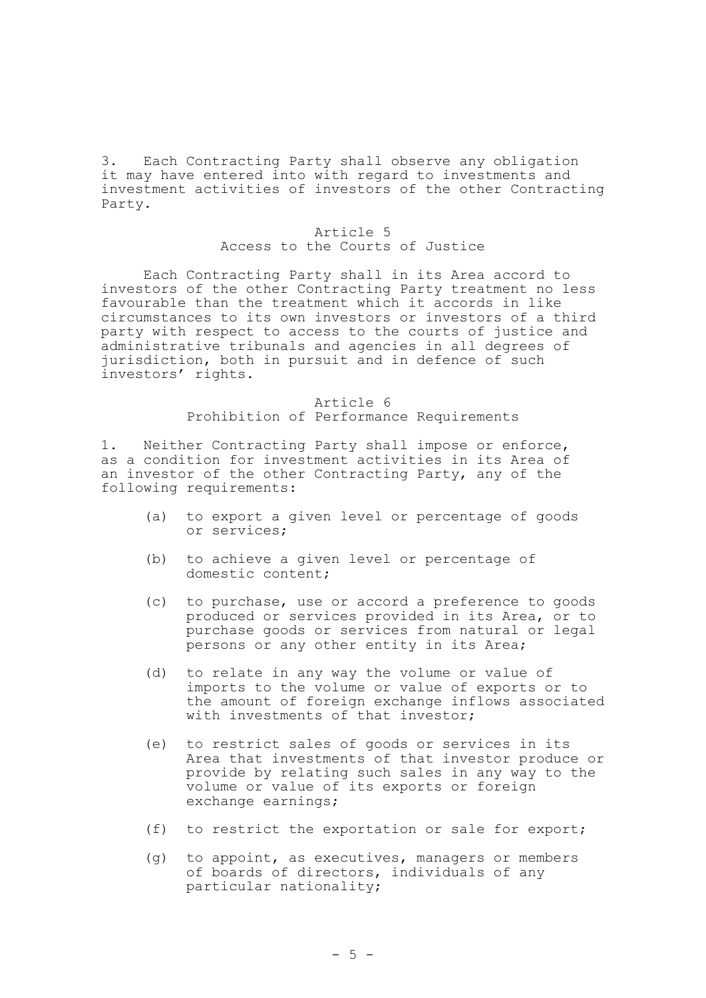3. Each Contracting Party shall observe any obligation it may have entered into with regard to investments and investment activities of investors of the other Contracting Party.

## Article 5 Access to the Courts of Justice

 Each Contracting Party shall in its Area accord to investors of the other Contracting Party treatment no less favourable than the treatment which it accords in like circumstances to its own investors or investors of a third party with respect to access to the courts of justice and administrative tribunals and agencies in all degrees of jurisdiction, both in pursuit and in defence of such investors' rights.

## Article 6 Prohibition of Performance Requirements

1. Neither Contracting Party shall impose or enforce, as a condition for investment activities in its Area of an investor of the other Contracting Party, any of the following requirements:

- (a) to export a given level or percentage of goods or services;
- (b) to achieve a given level or percentage of domestic content;
- (c) to purchase, use or accord a preference to goods produced or services provided in its Area, or to purchase goods or services from natural or legal persons or any other entity in its Area;
- (d) to relate in any way the volume or value of imports to the volume or value of exports or to the amount of foreign exchange inflows associated with investments of that investor;
- (e) to restrict sales of goods or services in its Area that investments of that investor produce or provide by relating such sales in any way to the volume or value of its exports or foreign exchange earnings;
- (f) to restrict the exportation or sale for export;
- (g) to appoint, as executives, managers or members of boards of directors, individuals of any particular nationality;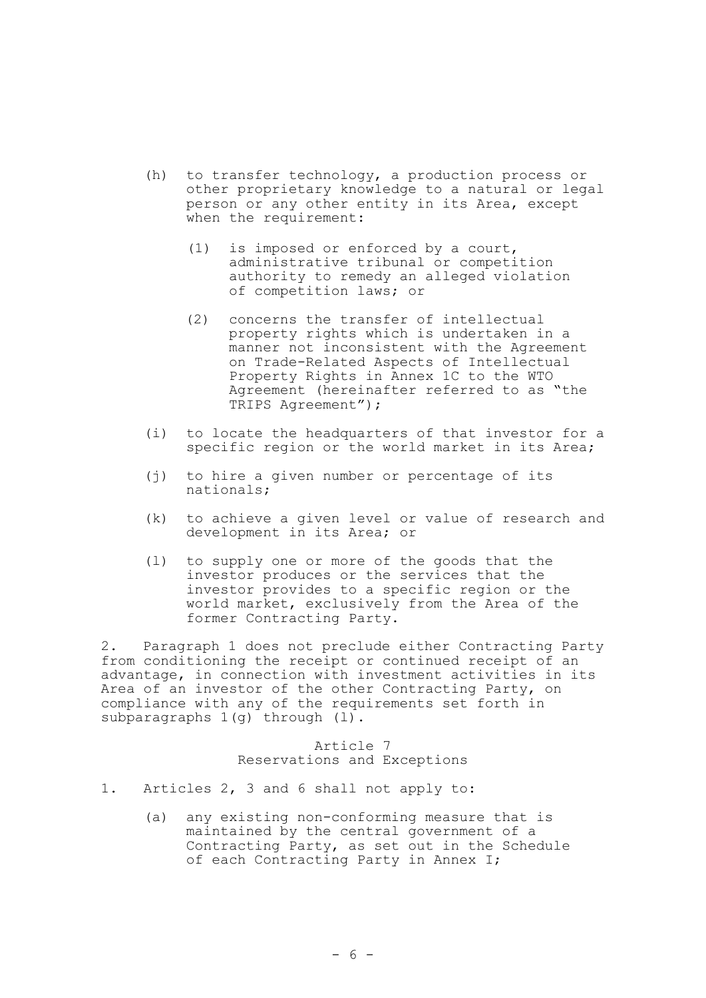- (h) to transfer technology, a production process or other proprietary knowledge to a natural or legal person or any other entity in its Area, except when the requirement:
	- (1) is imposed or enforced by a court, administrative tribunal or competition authority to remedy an alleged violation of competition laws; or
	- (2) concerns the transfer of intellectual property rights which is undertaken in a manner not inconsistent with the Agreement on Trade-Related Aspects of Intellectual Property Rights in Annex 1C to the WTO Agreement (hereinafter referred to as "the TRIPS Agreement");
- (i) to locate the headquarters of that investor for a specific region or the world market in its Area;
- (j) to hire a given number or percentage of its nationals;
- (k) to achieve a given level or value of research and development in its Area; or
- (l) to supply one or more of the goods that the investor produces or the services that the investor provides to a specific region or the world market, exclusively from the Area of the former Contracting Party.

2. Paragraph 1 does not preclude either Contracting Party from conditioning the receipt or continued receipt of an advantage, in connection with investment activities in its Area of an investor of the other Contracting Party, on compliance with any of the requirements set forth in subparagraphs  $1(g)$  through  $(l)$ .

# Article 7 Reservations and Exceptions

- 1. Articles 2, 3 and 6 shall not apply to:
	- (a) any existing non-conforming measure that is maintained by the central government of a Contracting Party, as set out in the Schedule of each Contracting Party in Annex I;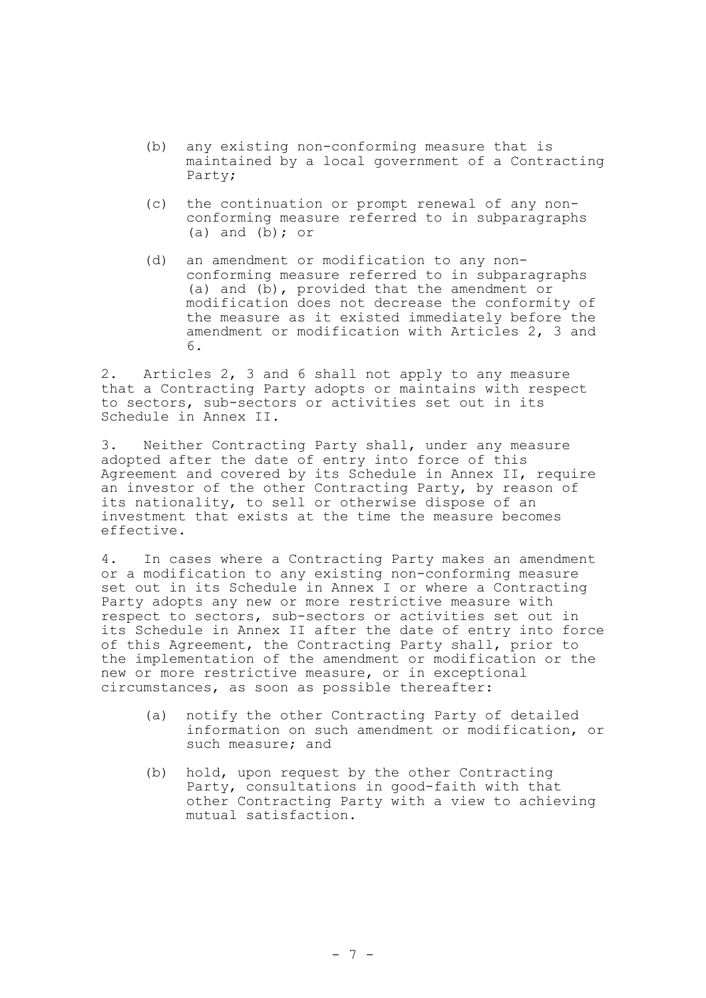- (b) any existing non-conforming measure that is maintained by a local government of a Contracting Party;
- (c) the continuation or prompt renewal of any nonconforming measure referred to in subparagraphs (a) and  $(b)$ ; or
- (d) an amendment or modification to any nonconforming measure referred to in subparagraphs (a) and (b), provided that the amendment or modification does not decrease the conformity of the measure as it existed immediately before the amendment or modification with Articles 2, 3 and 6.

2. Articles 2, 3 and 6 shall not apply to any measure that a Contracting Party adopts or maintains with respect to sectors, sub-sectors or activities set out in its Schedule in Annex II.

3. Neither Contracting Party shall, under any measure adopted after the date of entry into force of this Agreement and covered by its Schedule in Annex II, require an investor of the other Contracting Party, by reason of its nationality, to sell or otherwise dispose of an investment that exists at the time the measure becomes effective.

4. In cases where a Contracting Party makes an amendment or a modification to any existing non-conforming measure set out in its Schedule in Annex I or where a Contracting Party adopts any new or more restrictive measure with respect to sectors, sub-sectors or activities set out in its Schedule in Annex II after the date of entry into force of this Agreement, the Contracting Party shall, prior to the implementation of the amendment or modification or the new or more restrictive measure, or in exceptional circumstances, as soon as possible thereafter:

- (a) notify the other Contracting Party of detailed information on such amendment or modification, or such measure; and
- (b) hold, upon request by the other Contracting Party, consultations in good-faith with that other Contracting Party with a view to achieving mutual satisfaction.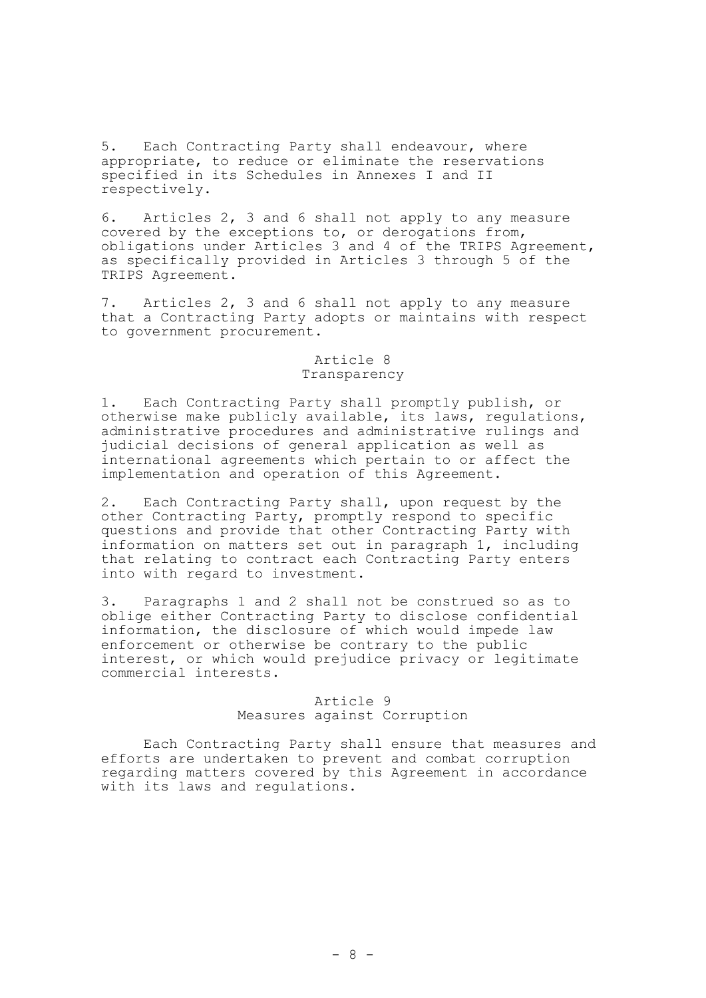5. Each Contracting Party shall endeavour, where appropriate, to reduce or eliminate the reservations specified in its Schedules in Annexes I and II respectively.

6. Articles 2, 3 and 6 shall not apply to any measure covered by the exceptions to, or derogations from, obligations under Articles 3 and 4 of the TRIPS Agreement, as specifically provided in Articles 3 through 5 of the TRIPS Agreement.

7. Articles 2, 3 and 6 shall not apply to any measure that a Contracting Party adopts or maintains with respect to government procurement.

#### Article 8 Transparency

1. Each Contracting Party shall promptly publish, or otherwise make publicly available, its laws, regulations, administrative procedures and administrative rulings and judicial decisions of general application as well as international agreements which pertain to or affect the implementation and operation of this Agreement.

2. Each Contracting Party shall, upon request by the other Contracting Party, promptly respond to specific questions and provide that other Contracting Party with information on matters set out in paragraph 1, including that relating to contract each Contracting Party enters into with regard to investment.

3. Paragraphs 1 and 2 shall not be construed so as to oblige either Contracting Party to disclose confidential information, the disclosure of which would impede law enforcement or otherwise be contrary to the public interest, or which would prejudice privacy or legitimate commercial interests.

### Article 9 Measures against Corruption

 Each Contracting Party shall ensure that measures and efforts are undertaken to prevent and combat corruption regarding matters covered by this Agreement in accordance with its laws and regulations.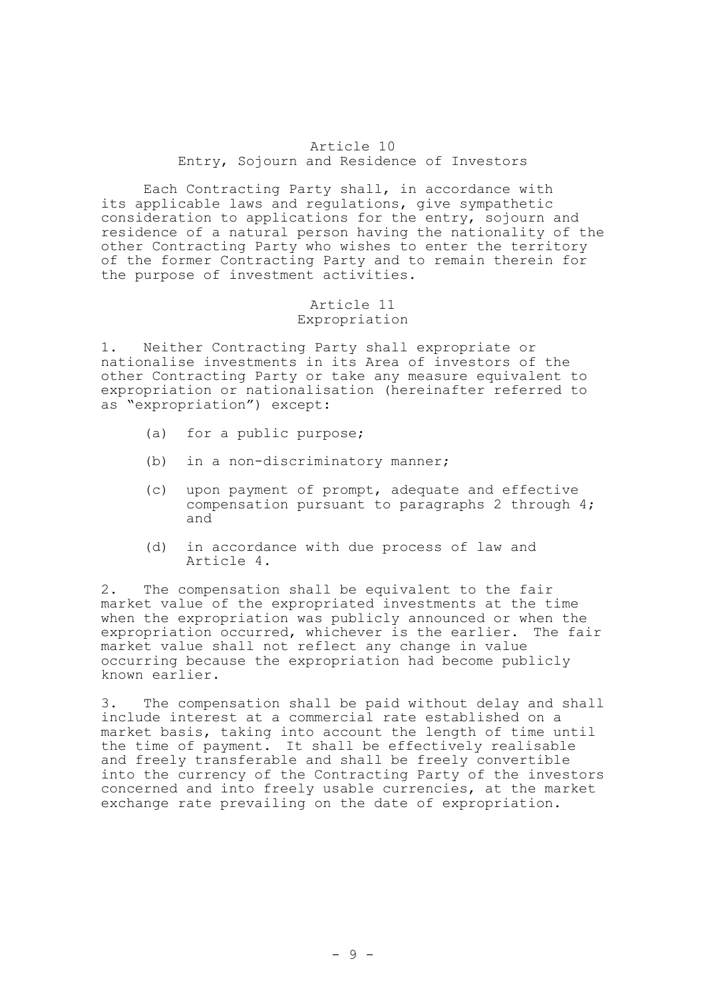### Article 10 Entry, Sojourn and Residence of Investors

 Each Contracting Party shall, in accordance with its applicable laws and regulations, give sympathetic consideration to applications for the entry, sojourn and residence of a natural person having the nationality of the other Contracting Party who wishes to enter the territory of the former Contracting Party and to remain therein for the purpose of investment activities.

### Article 11 Expropriation

1. Neither Contracting Party shall expropriate or nationalise investments in its Area of investors of the other Contracting Party or take any measure equivalent to expropriation or nationalisation (hereinafter referred to as "expropriation") except:

- (a) for a public purpose;
- (b) in a non-discriminatory manner;
- (c) upon payment of prompt, adequate and effective compensation pursuant to paragraphs 2 through 4; and
- (d) in accordance with due process of law and Article 4.

2. The compensation shall be equivalent to the fair market value of the expropriated investments at the time when the expropriation was publicly announced or when the expropriation occurred, whichever is the earlier. The fair market value shall not reflect any change in value occurring because the expropriation had become publicly known earlier.

3. The compensation shall be paid without delay and shall include interest at a commercial rate established on a market basis, taking into account the length of time until the time of payment. It shall be effectively realisable and freely transferable and shall be freely convertible into the currency of the Contracting Party of the investors concerned and into freely usable currencies, at the market exchange rate prevailing on the date of expropriation.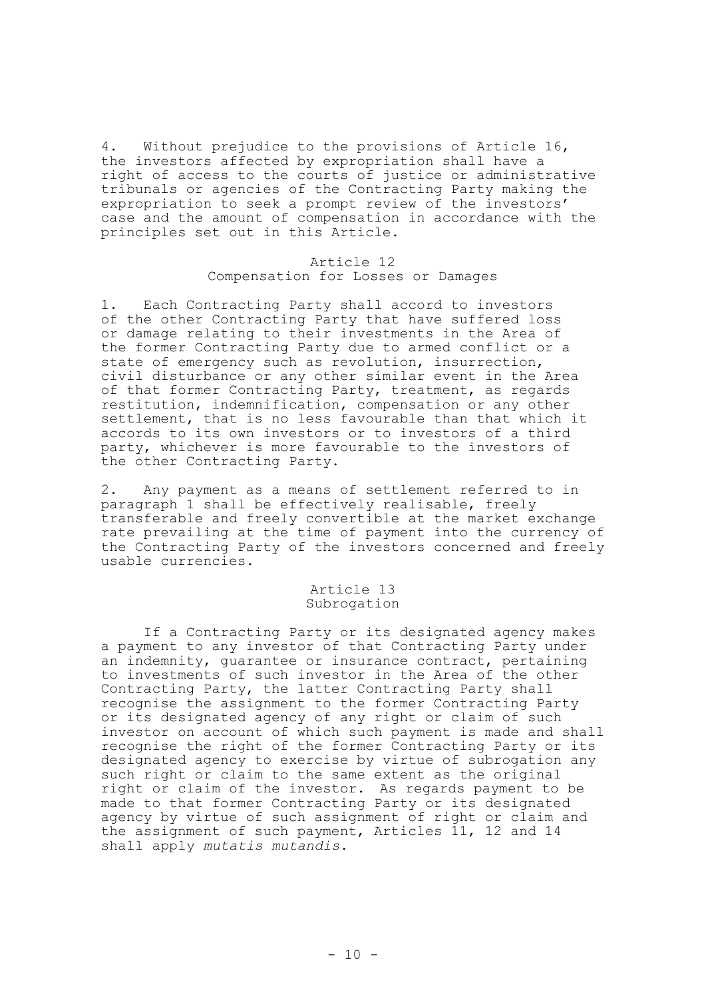4. Without prejudice to the provisions of Article 16, the investors affected by expropriation shall have a right of access to the courts of justice or administrative tribunals or agencies of the Contracting Party making the expropriation to seek a prompt review of the investors' case and the amount of compensation in accordance with the principles set out in this Article.

#### Article 12 Compensation for Losses or Damages

1. Each Contracting Party shall accord to investors of the other Contracting Party that have suffered loss or damage relating to their investments in the Area of the former Contracting Party due to armed conflict or a state of emergency such as revolution, insurrection, civil disturbance or any other similar event in the Area of that former Contracting Party, treatment, as regards restitution, indemnification, compensation or any other settlement, that is no less favourable than that which it accords to its own investors or to investors of a third party, whichever is more favourable to the investors of the other Contracting Party.

2. Any payment as a means of settlement referred to in paragraph 1 shall be effectively realisable, freely transferable and freely convertible at the market exchange rate prevailing at the time of payment into the currency of the Contracting Party of the investors concerned and freely usable currencies.

## Article 13 Subrogation

 If a Contracting Party or its designated agency makes a payment to any investor of that Contracting Party under an indemnity, guarantee or insurance contract, pertaining to investments of such investor in the Area of the other Contracting Party, the latter Contracting Party shall recognise the assignment to the former Contracting Party or its designated agency of any right or claim of such investor on account of which such payment is made and shall recognise the right of the former Contracting Party or its designated agency to exercise by virtue of subrogation any such right or claim to the same extent as the original right or claim of the investor. As regards payment to be made to that former Contracting Party or its designated agency by virtue of such assignment of right or claim and the assignment of such payment, Articles 11, 12 and 14 shall apply *mutatis mutandis*.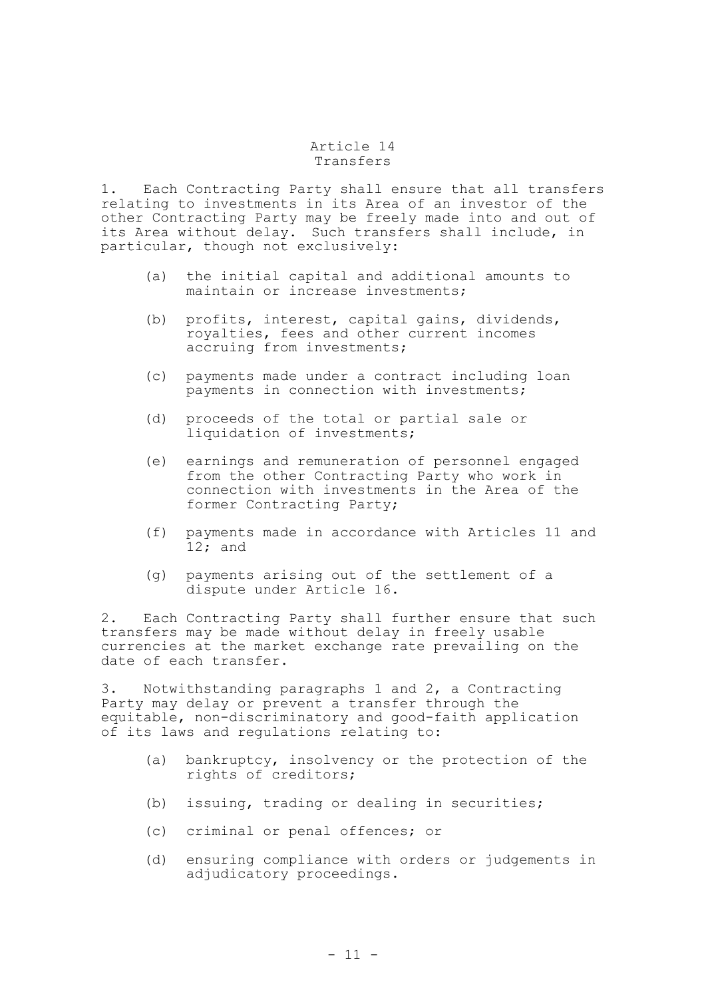#### Article 14 Transfers

1. Each Contracting Party shall ensure that all transfers relating to investments in its Area of an investor of the other Contracting Party may be freely made into and out of its Area without delay. Such transfers shall include, in particular, though not exclusively:

- (a) the initial capital and additional amounts to maintain or increase investments;
- (b) profits, interest, capital gains, dividends, royalties, fees and other current incomes accruing from investments;
- (c) payments made under a contract including loan payments in connection with investments;
- (d) proceeds of the total or partial sale or liquidation of investments;
- (e) earnings and remuneration of personnel engaged from the other Contracting Party who work in connection with investments in the Area of the former Contracting Party;
- (f) payments made in accordance with Articles 11 and 12; and
- (g) payments arising out of the settlement of a dispute under Article 16.

2. Each Contracting Party shall further ensure that such transfers may be made without delay in freely usable currencies at the market exchange rate prevailing on the date of each transfer.

3. Notwithstanding paragraphs 1 and 2, a Contracting Party may delay or prevent a transfer through the equitable, non-discriminatory and good-faith application of its laws and regulations relating to:

- (a) bankruptcy, insolvency or the protection of the rights of creditors;
- (b) issuing, trading or dealing in securities;
- (c) criminal or penal offences; or
- (d) ensuring compliance with orders or judgements in adjudicatory proceedings.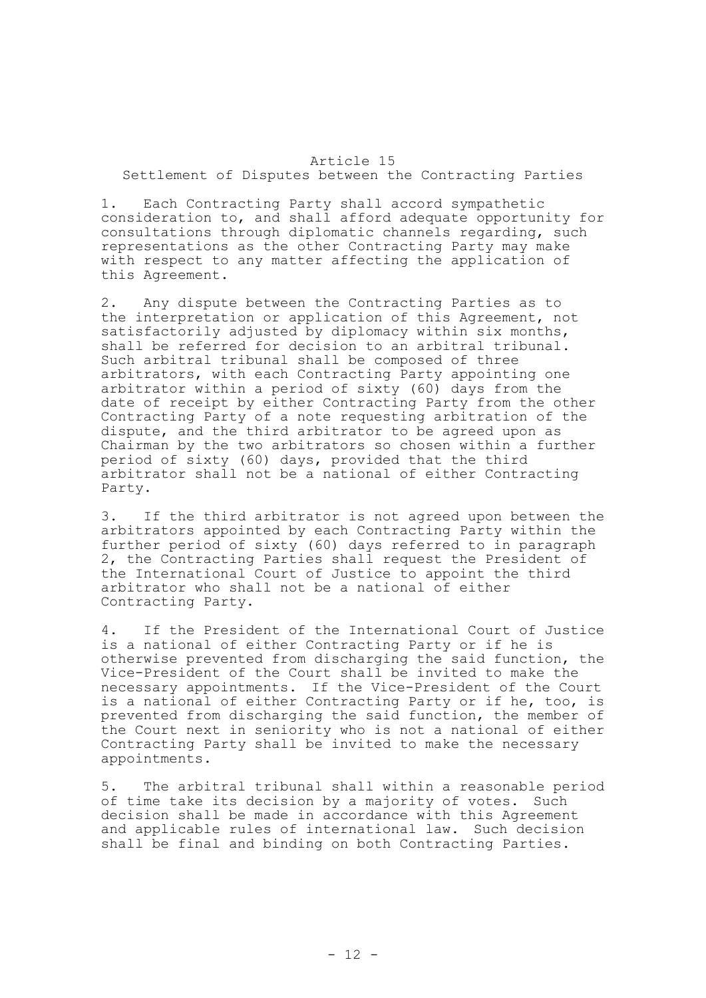# Article 15 Settlement of Disputes between the Contracting Parties

1. Each Contracting Party shall accord sympathetic consideration to, and shall afford adequate opportunity for consultations through diplomatic channels regarding, such representations as the other Contracting Party may make with respect to any matter affecting the application of this Agreement.

2. Any dispute between the Contracting Parties as to the interpretation or application of this Agreement, not satisfactorily adjusted by diplomacy within six months, shall be referred for decision to an arbitral tribunal. Such arbitral tribunal shall be composed of three arbitrators, with each Contracting Party appointing one arbitrator within a period of sixty (60) days from the date of receipt by either Contracting Party from the other Contracting Party of a note requesting arbitration of the dispute, and the third arbitrator to be agreed upon as Chairman by the two arbitrators so chosen within a further period of sixty (60) days, provided that the third arbitrator shall not be a national of either Contracting Party.

3. If the third arbitrator is not agreed upon between the arbitrators appointed by each Contracting Party within the further period of sixty (60) days referred to in paragraph 2, the Contracting Parties shall request the President of the International Court of Justice to appoint the third arbitrator who shall not be a national of either Contracting Party.

4. If the President of the International Court of Justice is a national of either Contracting Party or if he is otherwise prevented from discharging the said function, the Vice-President of the Court shall be invited to make the necessary appointments. If the Vice-President of the Court is a national of either Contracting Party or if he, too, is prevented from discharging the said function, the member of the Court next in seniority who is not a national of either Contracting Party shall be invited to make the necessary appointments.

5. The arbitral tribunal shall within a reasonable period of time take its decision by a majority of votes. Such decision shall be made in accordance with this Agreement and applicable rules of international law. Such decision shall be final and binding on both Contracting Parties.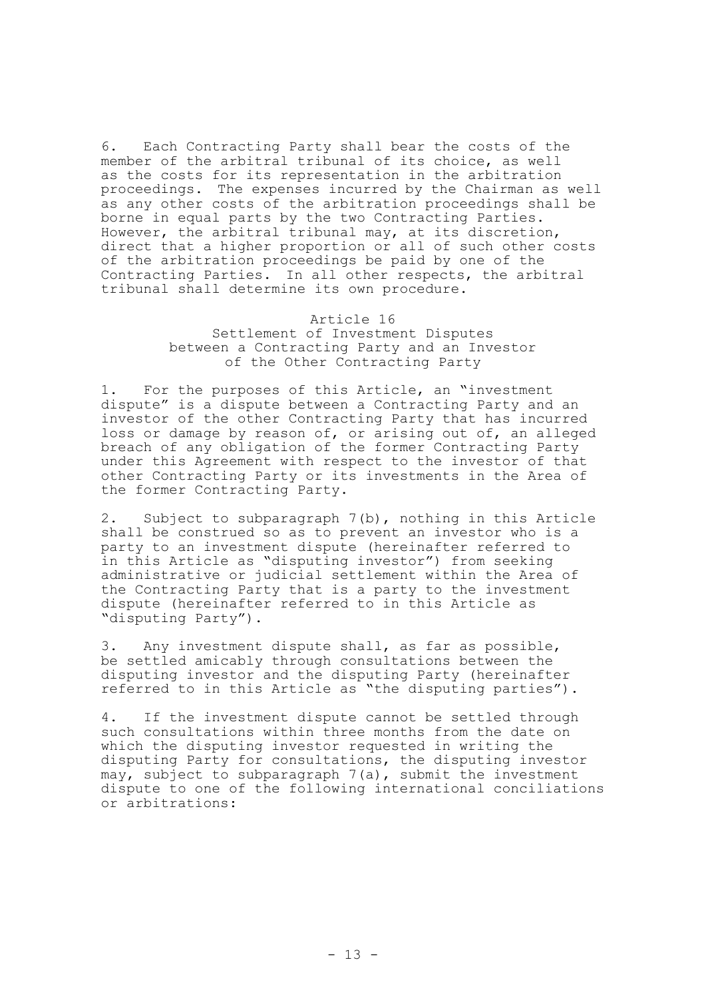6. Each Contracting Party shall bear the costs of the member of the arbitral tribunal of its choice, as well as the costs for its representation in the arbitration proceedings. The expenses incurred by the Chairman as well as any other costs of the arbitration proceedings shall be borne in equal parts by the two Contracting Parties. However, the arbitral tribunal may, at its discretion, direct that a higher proportion or all of such other costs of the arbitration proceedings be paid by one of the Contracting Parties. In all other respects, the arbitral tribunal shall determine its own procedure.

### Article 16

## Settlement of Investment Disputes between a Contracting Party and an Investor of the Other Contracting Party

1. For the purposes of this Article, an "investment dispute" is a dispute between a Contracting Party and an investor of the other Contracting Party that has incurred loss or damage by reason of, or arising out of, an alleged breach of any obligation of the former Contracting Party under this Agreement with respect to the investor of that other Contracting Party or its investments in the Area of the former Contracting Party.

2. Subject to subparagraph 7(b), nothing in this Article shall be construed so as to prevent an investor who is a party to an investment dispute (hereinafter referred to in this Article as "disputing investor") from seeking administrative or judicial settlement within the Area of the Contracting Party that is a party to the investment dispute (hereinafter referred to in this Article as "disputing Party").

3. Any investment dispute shall, as far as possible, be settled amicably through consultations between the disputing investor and the disputing Party (hereinafter referred to in this Article as "the disputing parties").

4. If the investment dispute cannot be settled through such consultations within three months from the date on which the disputing investor requested in writing the disputing Party for consultations, the disputing investor may, subject to subparagraph 7(a), submit the investment dispute to one of the following international conciliations or arbitrations: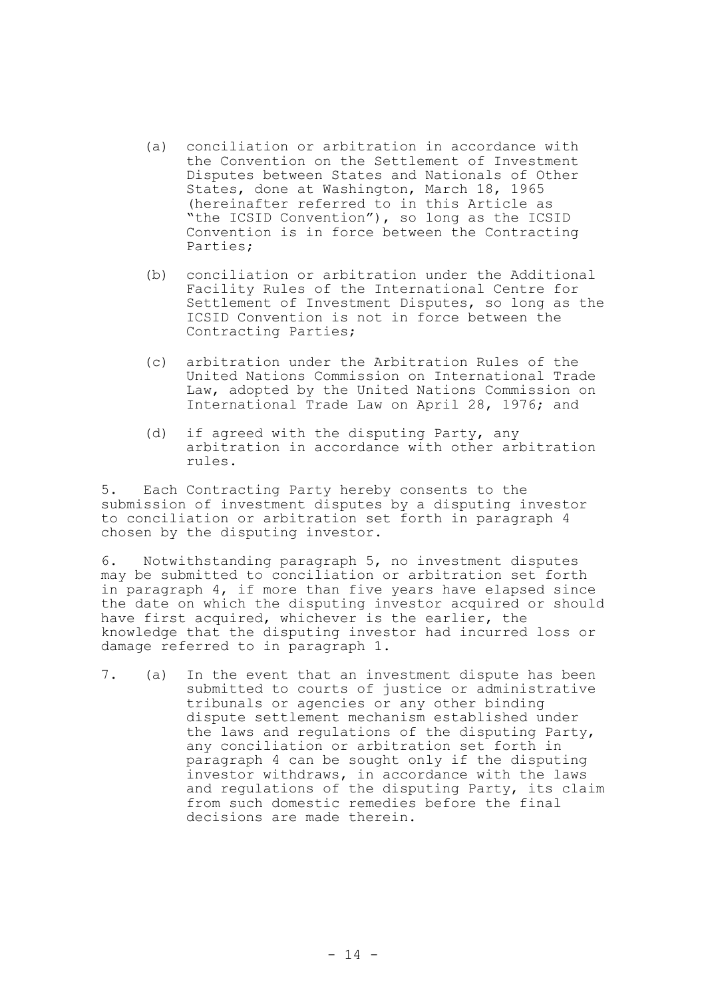- (a) conciliation or arbitration in accordance with the Convention on the Settlement of Investment Disputes between States and Nationals of Other States, done at Washington, March 18, 1965 (hereinafter referred to in this Article as "the ICSID Convention"), so long as the ICSID Convention is in force between the Contracting Parties;
- (b) conciliation or arbitration under the Additional Facility Rules of the International Centre for Settlement of Investment Disputes, so long as the ICSID Convention is not in force between the Contracting Parties;
- (c) arbitration under the Arbitration Rules of the United Nations Commission on International Trade Law, adopted by the United Nations Commission on International Trade Law on April 28, 1976; and
- (d) if agreed with the disputing Party, any arbitration in accordance with other arbitration rules.

5. Each Contracting Party hereby consents to the submission of investment disputes by a disputing investor to conciliation or arbitration set forth in paragraph 4 chosen by the disputing investor.

6. Notwithstanding paragraph 5, no investment disputes may be submitted to conciliation or arbitration set forth in paragraph 4, if more than five years have elapsed since the date on which the disputing investor acquired or should have first acquired, whichever is the earlier, the knowledge that the disputing investor had incurred loss or damage referred to in paragraph 1.

7. (a) In the event that an investment dispute has been submitted to courts of justice or administrative tribunals or agencies or any other binding dispute settlement mechanism established under the laws and regulations of the disputing Party, any conciliation or arbitration set forth in paragraph 4 can be sought only if the disputing investor withdraws, in accordance with the laws and regulations of the disputing Party, its claim from such domestic remedies before the final decisions are made therein.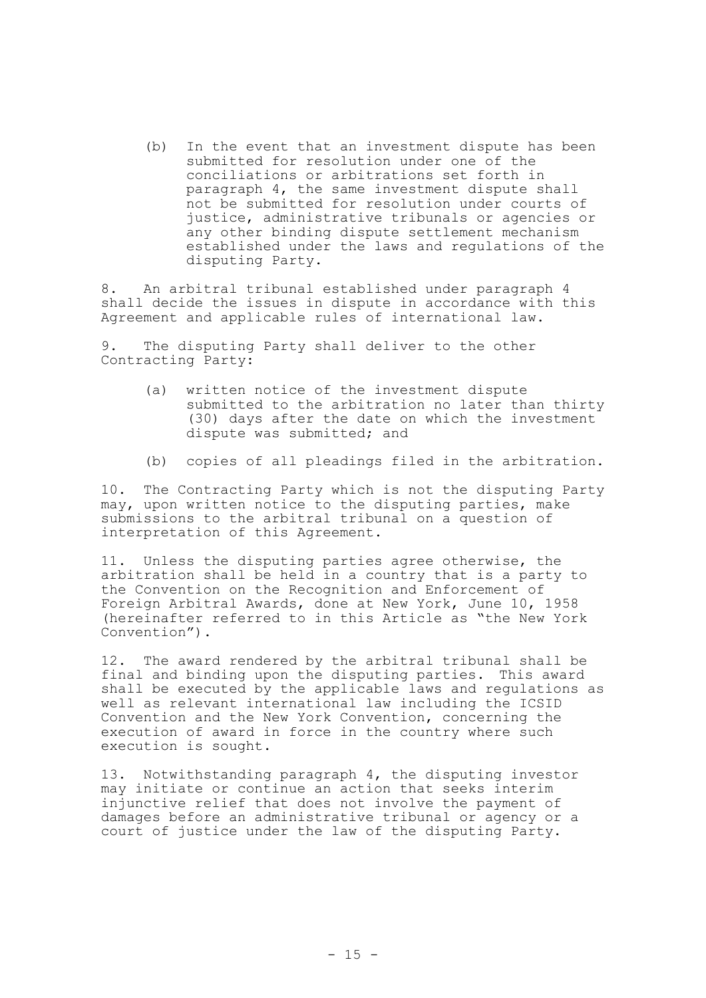(b) In the event that an investment dispute has been submitted for resolution under one of the conciliations or arbitrations set forth in paragraph 4, the same investment dispute shall not be submitted for resolution under courts of justice, administrative tribunals or agencies or any other binding dispute settlement mechanism established under the laws and regulations of the disputing Party.

8. An arbitral tribunal established under paragraph 4 shall decide the issues in dispute in accordance with this Agreement and applicable rules of international law.

9. The disputing Party shall deliver to the other Contracting Party:

- (a) written notice of the investment dispute submitted to the arbitration no later than thirty (30) days after the date on which the investment dispute was submitted; and
- (b) copies of all pleadings filed in the arbitration.

10. The Contracting Party which is not the disputing Party may, upon written notice to the disputing parties, make submissions to the arbitral tribunal on a question of interpretation of this Agreement.

11. Unless the disputing parties agree otherwise, the arbitration shall be held in a country that is a party to the Convention on the Recognition and Enforcement of Foreign Arbitral Awards, done at New York, June 10, 1958 (hereinafter referred to in this Article as "the New York Convention").

12. The award rendered by the arbitral tribunal shall be final and binding upon the disputing parties. This award shall be executed by the applicable laws and regulations as well as relevant international law including the ICSID Convention and the New York Convention, concerning the execution of award in force in the country where such execution is sought.

13. Notwithstanding paragraph 4, the disputing investor may initiate or continue an action that seeks interim injunctive relief that does not involve the payment of damages before an administrative tribunal or agency or a court of justice under the law of the disputing Party.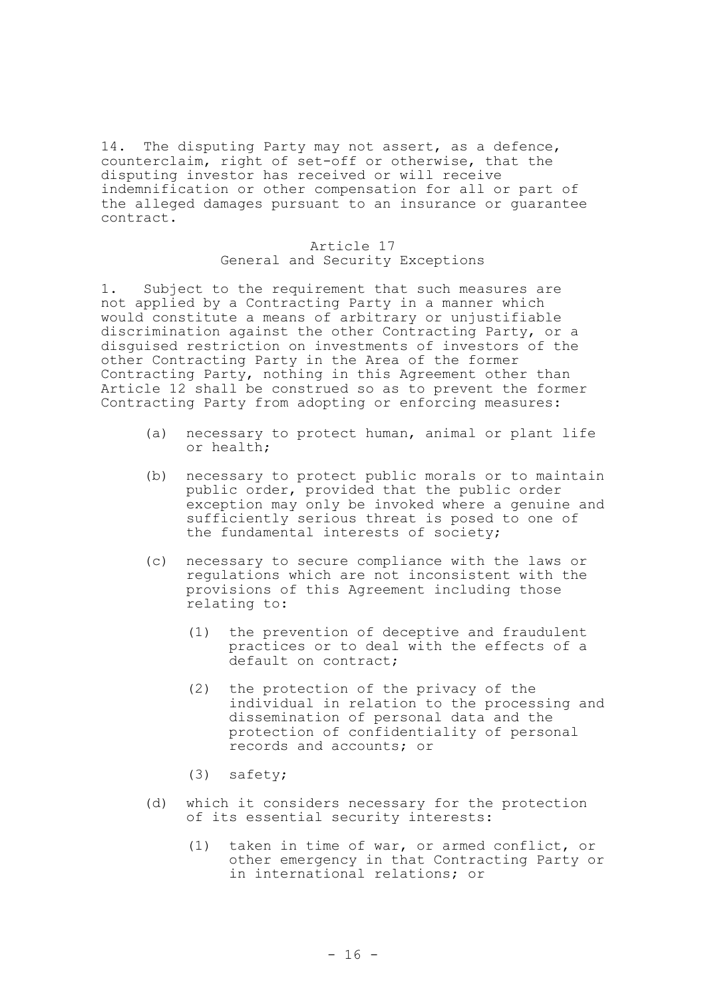14. The disputing Party may not assert, as a defence, counterclaim, right of set-off or otherwise, that the disputing investor has received or will receive indemnification or other compensation for all or part of the alleged damages pursuant to an insurance or guarantee contract.

### Article 17 General and Security Exceptions

1. Subject to the requirement that such measures are not applied by a Contracting Party in a manner which would constitute a means of arbitrary or unjustifiable discrimination against the other Contracting Party, or a disguised restriction on investments of investors of the other Contracting Party in the Area of the former Contracting Party, nothing in this Agreement other than Article 12 shall be construed so as to prevent the former Contracting Party from adopting or enforcing measures:

- (a) necessary to protect human, animal or plant life or health;
- (b) necessary to protect public morals or to maintain public order, provided that the public order exception may only be invoked where a genuine and sufficiently serious threat is posed to one of the fundamental interests of society;
- (c) necessary to secure compliance with the laws or regulations which are not inconsistent with the provisions of this Agreement including those relating to:
	- (1) the prevention of deceptive and fraudulent practices or to deal with the effects of a default on contract;
	- (2) the protection of the privacy of the individual in relation to the processing and dissemination of personal data and the protection of confidentiality of personal records and accounts; or
	- (3) safety;
- (d) which it considers necessary for the protection of its essential security interests:
	- (1) taken in time of war, or armed conflict, or other emergency in that Contracting Party or in international relations; or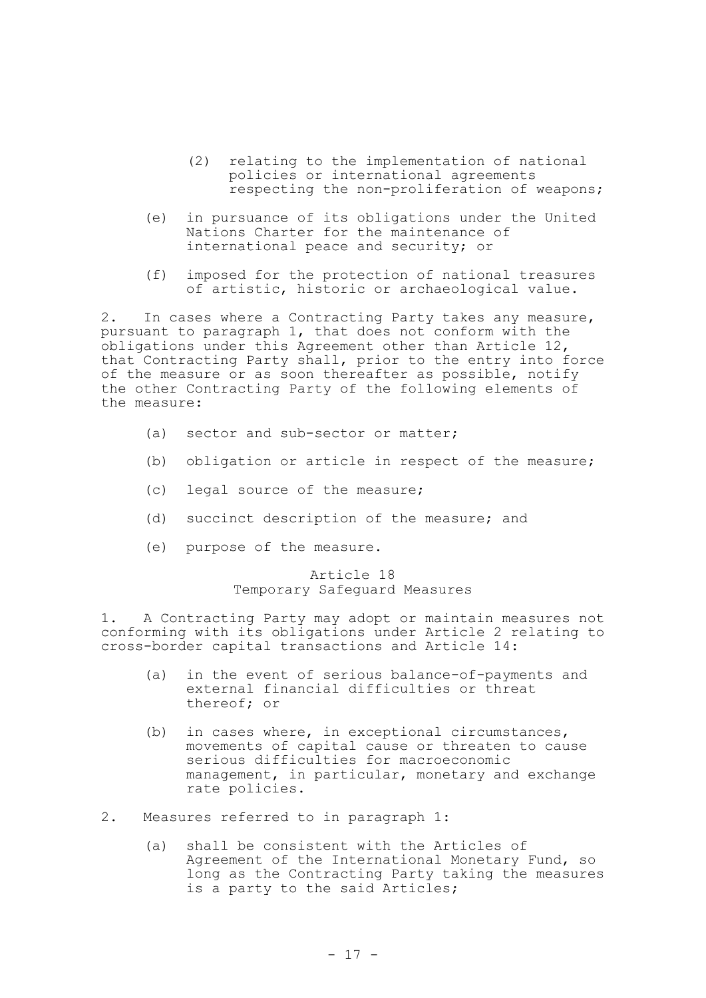- (2) relating to the implementation of national policies or international agreements respecting the non-proliferation of weapons;
- (e) in pursuance of its obligations under the United Nations Charter for the maintenance of international peace and security; or
- (f) imposed for the protection of national treasures of artistic, historic or archaeological value.

2. In cases where a Contracting Party takes any measure, pursuant to paragraph 1, that does not conform with the obligations under this Agreement other than Article 12, that Contracting Party shall, prior to the entry into force of the measure or as soon thereafter as possible, notify the other Contracting Party of the following elements of the measure:

- (a) sector and sub-sector or matter;
- (b) obligation or article in respect of the measure;
- (c) legal source of the measure;
- (d) succinct description of the measure; and
- (e) purpose of the measure.

# Article 18 Temporary Safeguard Measures

1. A Contracting Party may adopt or maintain measures not conforming with its obligations under Article 2 relating to cross-border capital transactions and Article 14:

- (a) in the event of serious balance-of-payments and external financial difficulties or threat thereof; or
- (b) in cases where, in exceptional circumstances, movements of capital cause or threaten to cause serious difficulties for macroeconomic management, in particular, monetary and exchange rate policies.
- 2. Measures referred to in paragraph 1:
	- (a) shall be consistent with the Articles of Agreement of the International Monetary Fund, so long as the Contracting Party taking the measures is a party to the said Articles;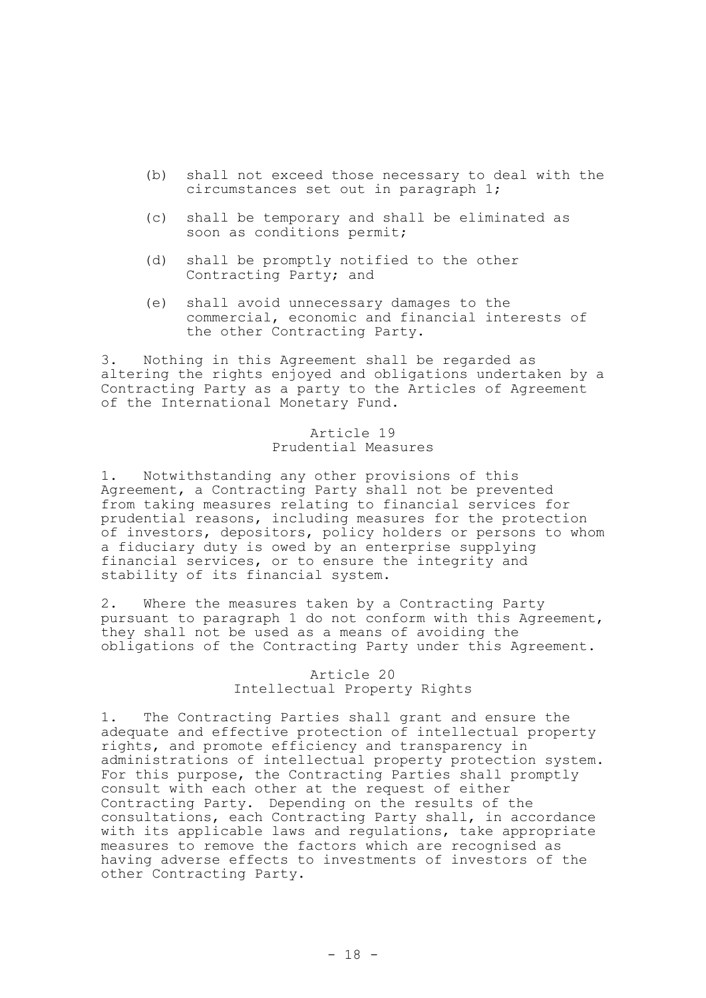- (b) shall not exceed those necessary to deal with the circumstances set out in paragraph 1;
- (c) shall be temporary and shall be eliminated as soon as conditions permit;
- (d) shall be promptly notified to the other Contracting Party; and
- (e) shall avoid unnecessary damages to the commercial, economic and financial interests of the other Contracting Party.

3. Nothing in this Agreement shall be regarded as altering the rights enjoyed and obligations undertaken by a Contracting Party as a party to the Articles of Agreement of the International Monetary Fund.

### Article 19 Prudential Measures

1. Notwithstanding any other provisions of this Agreement, a Contracting Party shall not be prevented from taking measures relating to financial services for prudential reasons, including measures for the protection of investors, depositors, policy holders or persons to whom a fiduciary duty is owed by an enterprise supplying financial services, or to ensure the integrity and stability of its financial system.

2. Where the measures taken by a Contracting Party pursuant to paragraph 1 do not conform with this Agreement, they shall not be used as a means of avoiding the obligations of the Contracting Party under this Agreement.

## Article 20 Intellectual Property Rights

1. The Contracting Parties shall grant and ensure the adequate and effective protection of intellectual property rights, and promote efficiency and transparency in administrations of intellectual property protection system. For this purpose, the Contracting Parties shall promptly consult with each other at the request of either Contracting Party. Depending on the results of the consultations, each Contracting Party shall, in accordance with its applicable laws and regulations, take appropriate measures to remove the factors which are recognised as having adverse effects to investments of investors of the other Contracting Party.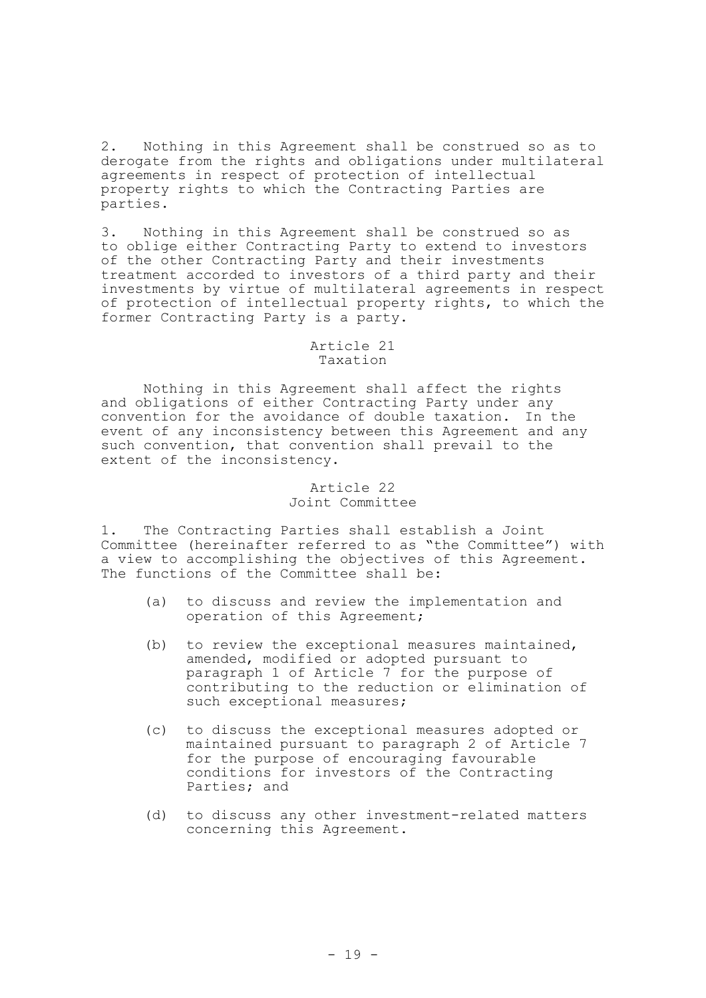2. Nothing in this Agreement shall be construed so as to derogate from the rights and obligations under multilateral agreements in respect of protection of intellectual property rights to which the Contracting Parties are parties.

3. Nothing in this Agreement shall be construed so as to oblige either Contracting Party to extend to investors of the other Contracting Party and their investments treatment accorded to investors of a third party and their investments by virtue of multilateral agreements in respect of protection of intellectual property rights, to which the former Contracting Party is a party.

## Article 21 Taxation

 Nothing in this Agreement shall affect the rights and obligations of either Contracting Party under any convention for the avoidance of double taxation. In the event of any inconsistency between this Agreement and any such convention, that convention shall prevail to the extent of the inconsistency.

# Article 22 Joint Committee

1. The Contracting Parties shall establish a Joint Committee (hereinafter referred to as "the Committee") with a view to accomplishing the objectives of this Agreement. The functions of the Committee shall be:

- (a) to discuss and review the implementation and operation of this Agreement;
- (b) to review the exceptional measures maintained, amended, modified or adopted pursuant to paragraph 1 of Article 7 for the purpose of contributing to the reduction or elimination of such exceptional measures;
- (c) to discuss the exceptional measures adopted or maintained pursuant to paragraph 2 of Article 7 for the purpose of encouraging favourable conditions for investors of the Contracting Parties; and
- (d) to discuss any other investment-related matters concerning this Agreement.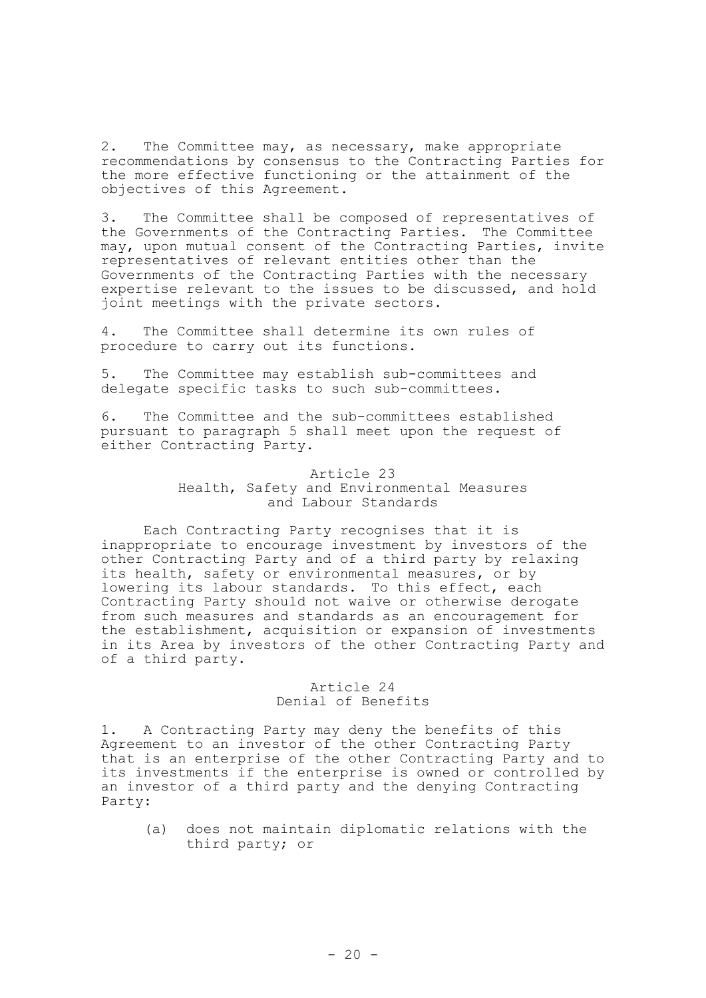2. The Committee may, as necessary, make appropriate recommendations by consensus to the Contracting Parties for the more effective functioning or the attainment of the objectives of this Agreement.

3. The Committee shall be composed of representatives of the Governments of the Contracting Parties. The Committee may, upon mutual consent of the Contracting Parties, invite representatives of relevant entities other than the Governments of the Contracting Parties with the necessary expertise relevant to the issues to be discussed, and hold joint meetings with the private sectors.

4. The Committee shall determine its own rules of procedure to carry out its functions.

5. The Committee may establish sub-committees and delegate specific tasks to such sub-committees.

6. The Committee and the sub-committees established pursuant to paragraph 5 shall meet upon the request of either Contracting Party.

> Article 23 Health, Safety and Environmental Measures and Labour Standards

 Each Contracting Party recognises that it is inappropriate to encourage investment by investors of the other Contracting Party and of a third party by relaxing its health, safety or environmental measures, or by lowering its labour standards. To this effect, each Contracting Party should not waive or otherwise derogate from such measures and standards as an encouragement for the establishment, acquisition or expansion of investments in its Area by investors of the other Contracting Party and of a third party.

### Article 24 Denial of Benefits

1. A Contracting Party may deny the benefits of this Agreement to an investor of the other Contracting Party that is an enterprise of the other Contracting Party and to its investments if the enterprise is owned or controlled by an investor of a third party and the denying Contracting Party:

 (a) does not maintain diplomatic relations with the third party; or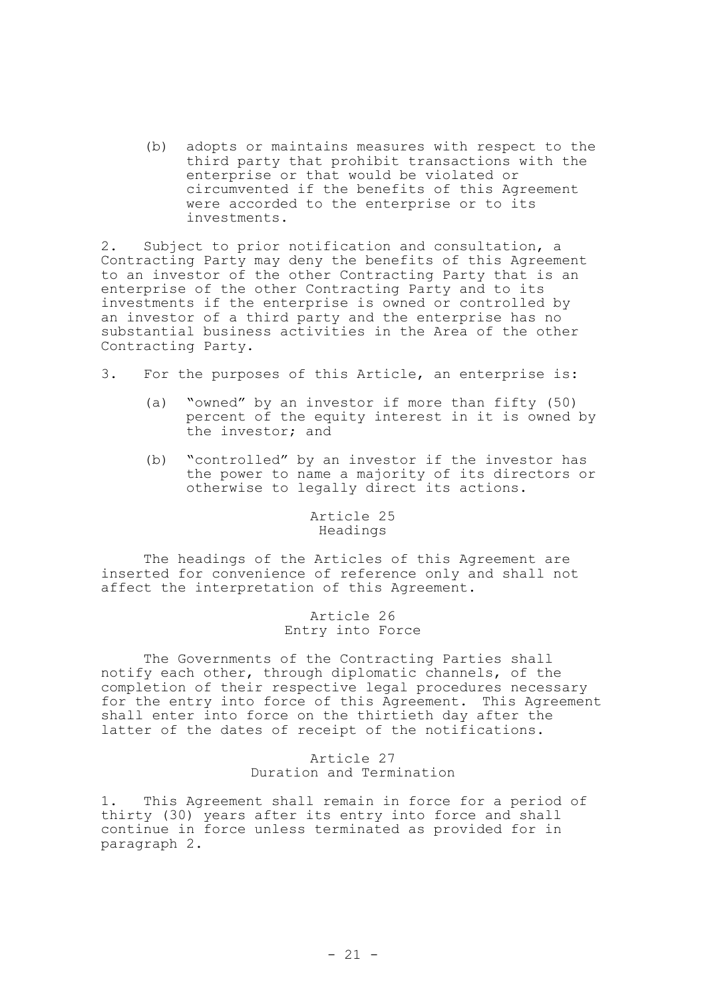(b) adopts or maintains measures with respect to the third party that prohibit transactions with the enterprise or that would be violated or circumvented if the benefits of this Agreement were accorded to the enterprise or to its investments.

2. Subject to prior notification and consultation, a Contracting Party may deny the benefits of this Agreement to an investor of the other Contracting Party that is an enterprise of the other Contracting Party and to its investments if the enterprise is owned or controlled by an investor of a third party and the enterprise has no substantial business activities in the Area of the other Contracting Party.

- 3. For the purposes of this Article, an enterprise is:
	- (a) "owned" by an investor if more than fifty (50) percent of the equity interest in it is owned by the investor; and
	- (b) "controlled" by an investor if the investor has the power to name a majority of its directors or otherwise to legally direct its actions.

Article 25 Headings

 The headings of the Articles of this Agreement are inserted for convenience of reference only and shall not affect the interpretation of this Agreement.

> Article 26 Entry into Force

 The Governments of the Contracting Parties shall notify each other, through diplomatic channels, of the completion of their respective legal procedures necessary for the entry into force of this Agreement. This Agreement shall enter into force on the thirtieth day after the latter of the dates of receipt of the notifications.

> Article 27 Duration and Termination

1. This Agreement shall remain in force for a period of thirty (30) years after its entry into force and shall continue in force unless terminated as provided for in paragraph 2.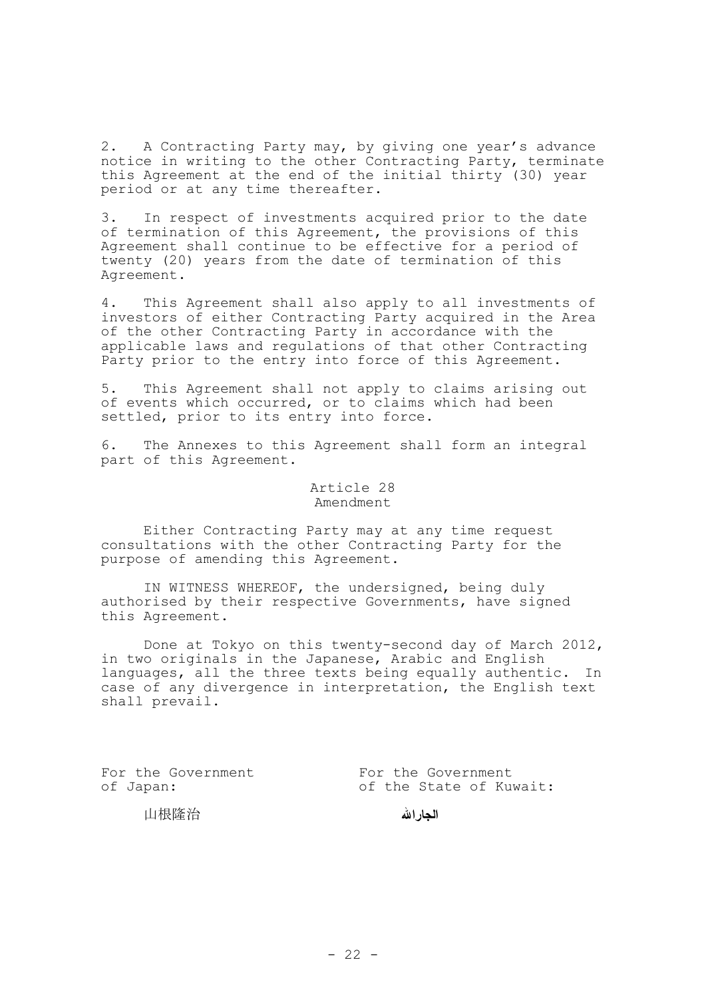2. A Contracting Party may, by giving one year's advance notice in writing to the other Contracting Party, terminate this Agreement at the end of the initial thirty (30) year period or at any time thereafter.

3. In respect of investments acquired prior to the date of termination of this Agreement, the provisions of this Agreement shall continue to be effective for a period of twenty (20) years from the date of termination of this Agreement.

4. This Agreement shall also apply to all investments of investors of either Contracting Party acquired in the Area of the other Contracting Party in accordance with the applicable laws and regulations of that other Contracting Party prior to the entry into force of this Agreement.

5. This Agreement shall not apply to claims arising out of events which occurred, or to claims which had been settled, prior to its entry into force.

6. The Annexes to this Agreement shall form an integral part of this Agreement.

# Article 28 Amendment

 Either Contracting Party may at any time request consultations with the other Contracting Party for the purpose of amending this Agreement.

 IN WITNESS WHEREOF, the undersigned, being duly authorised by their respective Governments, have signed this Agreement.

 Done at Tokyo on this twenty-second day of March 2012, in two originals in the Japanese, Arabic and English languages, all the three texts being equally authentic. In case of any divergence in interpretation, the English text shall prevail.

For the Government of Japan:

For the Government of the State of Kuwait:

**الجاراالله** 山根隆治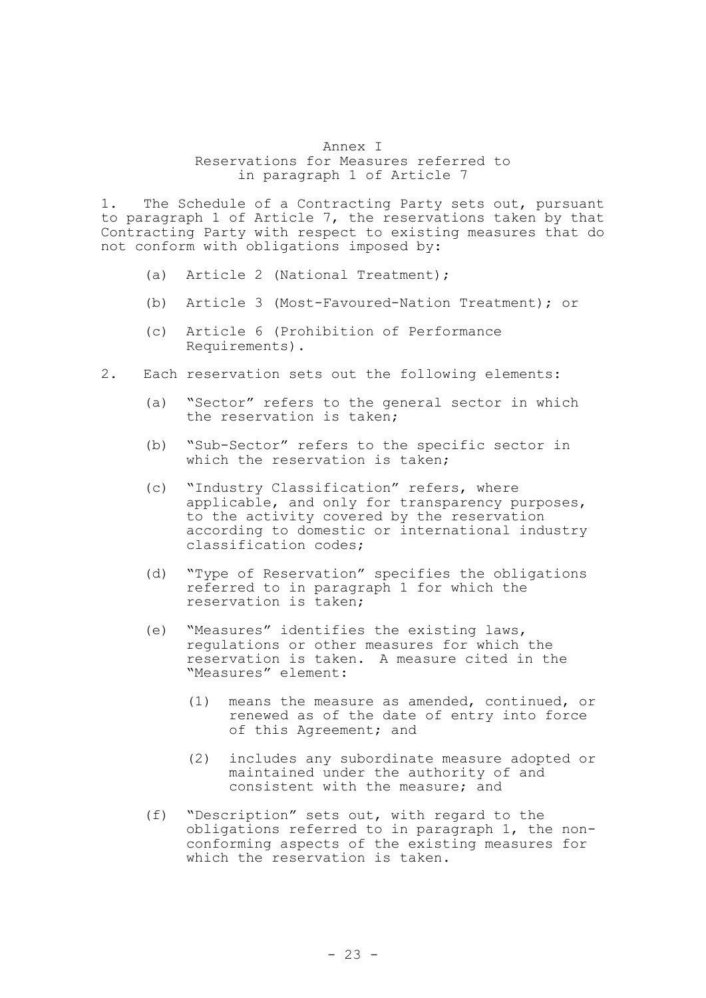#### Annex I

#### Reservations for Measures referred to in paragraph 1 of Article 7

1. The Schedule of a Contracting Party sets out, pursuant to paragraph 1 of Article 7, the reservations taken by that Contracting Party with respect to existing measures that do not conform with obligations imposed by:

- (a) Article 2 (National Treatment);
- (b) Article 3 (Most-Favoured-Nation Treatment); or
- (c) Article 6 (Prohibition of Performance Requirements).
- 2. Each reservation sets out the following elements:
	- (a) "Sector" refers to the general sector in which the reservation is taken;
	- (b) "Sub-Sector" refers to the specific sector in which the reservation is taken;
	- (c) "Industry Classification" refers, where applicable, and only for transparency purposes, to the activity covered by the reservation according to domestic or international industry classification codes;
	- (d) "Type of Reservation" specifies the obligations referred to in paragraph 1 for which the reservation is taken;
	- (e) "Measures" identifies the existing laws, regulations or other measures for which the reservation is taken. A measure cited in the "Measures" element:
		- (1) means the measure as amended, continued, or renewed as of the date of entry into force of this Agreement; and
		- (2) includes any subordinate measure adopted or maintained under the authority of and consistent with the measure; and
	- (f) "Description" sets out, with regard to the obligations referred to in paragraph 1, the nonconforming aspects of the existing measures for which the reservation is taken.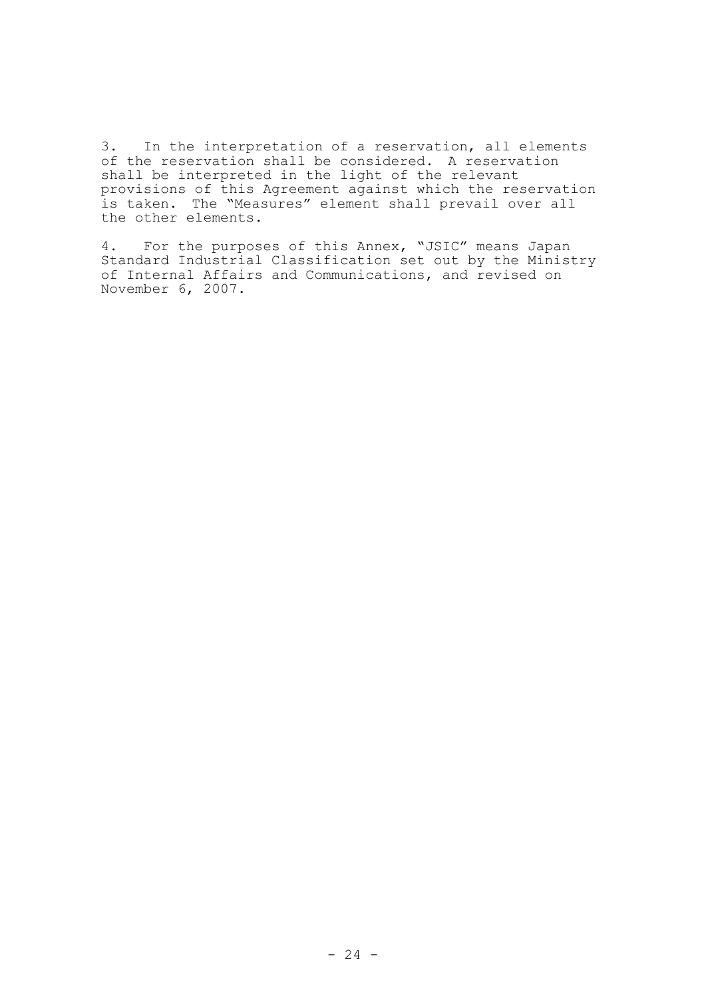3. In the interpretation of a reservation, all elements of the reservation shall be considered. A reservation shall be interpreted in the light of the relevant provisions of this Agreement against which the reservation is taken. The "Measures" element shall prevail over all the other elements.

4. For the purposes of this Annex, "JSIC" means Japan Standard Industrial Classification set out by the Ministry of Internal Affairs and Communications, and revised on November 6, 2007.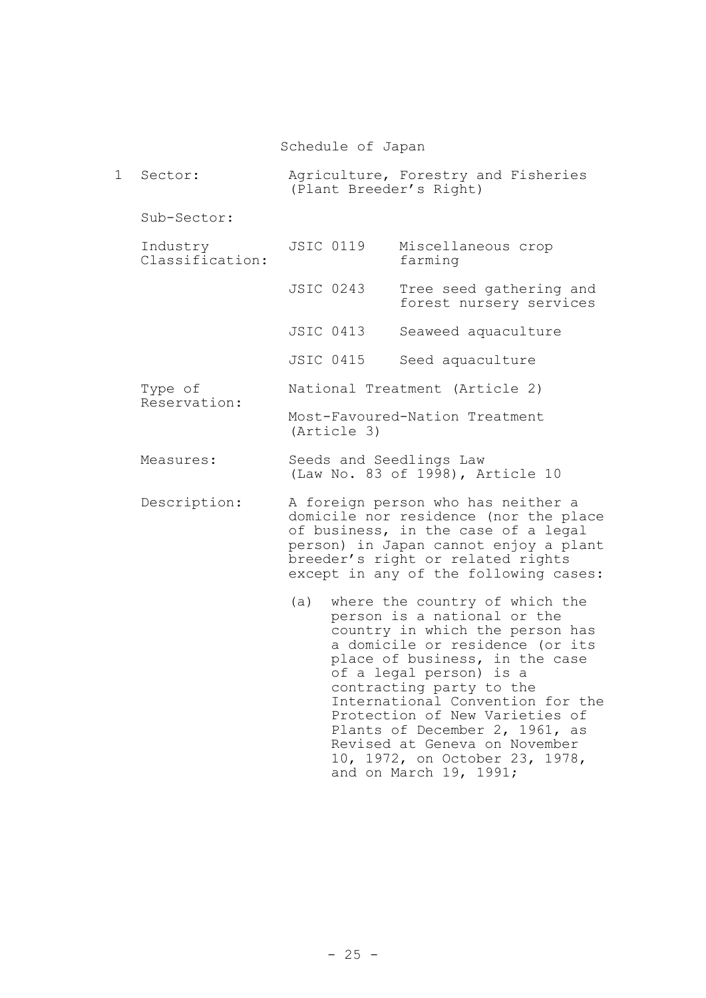Schedule of Japan

 1 Sector: Agriculture, Forestry and Fisheries (Plant Breeder's Right)

Sub-Sector:

- Industry Classification: Type of Reservation: Measures: Description: JSIC 0119 Miscellaneous crop farming JSIC 0243 Tree seed gathering and forest nursery services JSIC 0413 Seaweed aquaculture JSIC 0415 Seed aquaculture National Treatment (Article 2) Most-Favoured-Nation Treatment (Article 3) Seeds and Seedlings Law (Law No. 83 of 1998), Article 10 A foreign person who has neither a
	- domicile nor residence (nor the place of business, in the case of a legal person) in Japan cannot enjoy a plant breeder's right or related rights except in any of the following cases:
		- (a) where the country of which the person is a national or the country in which the person has a domicile or residence (or its place of business, in the case of a legal person) is a contracting party to the International Convention for the Protection of New Varieties of Plants of December 2, 1961, as Revised at Geneva on November 10, 1972, on October 23, 1978, and on March 19, 1991;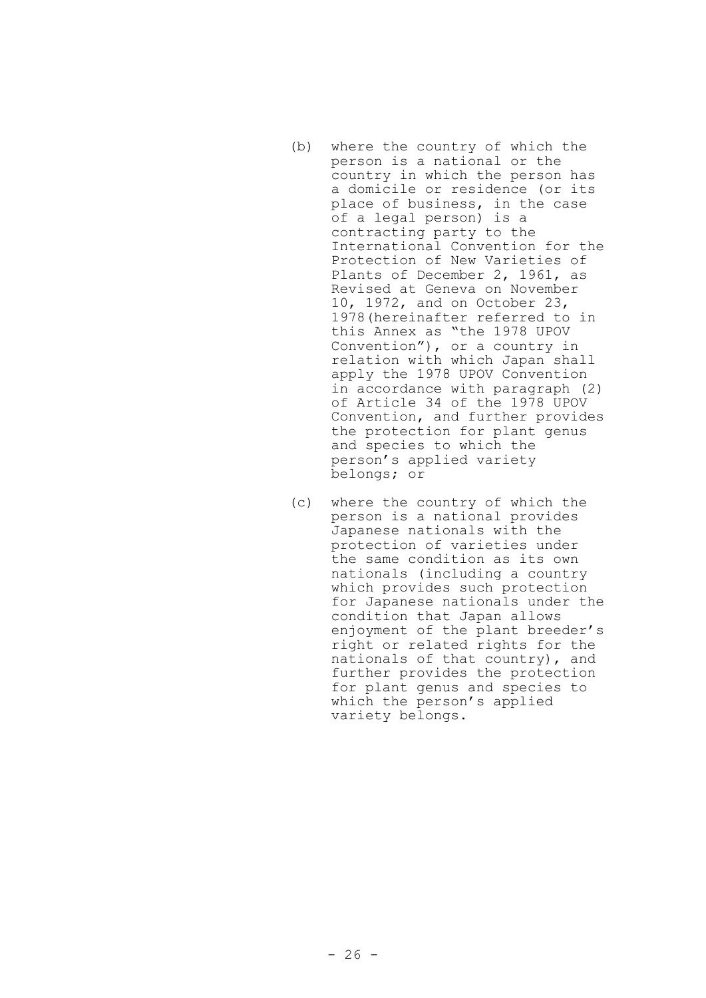- (b) where the country of which the person is a national or the country in which the person has a domicile or residence (or its place of business, in the case of a legal person) is a contracting party to the International Convention for the Protection of New Varieties of Plants of December 2, 1961, as Revised at Geneva on November 10, 1972, and on October 23, 1978(hereinafter referred to in this Annex as "the 1978 UPOV Convention"), or a country in relation with which Japan shall apply the 1978 UPOV Convention in accordance with paragraph (2) of Article 34 of the 1978 UPOV Convention, and further provides the protection for plant genus and species to which the person's applied variety belongs; or
- (c) where the country of which the person is a national provides Japanese nationals with the protection of varieties under the same condition as its own nationals (including a country which provides such protection for Japanese nationals under the condition that Japan allows enjoyment of the plant breeder's right or related rights for the nationals of that country), and further provides the protection for plant genus and species to which the person's applied variety belongs.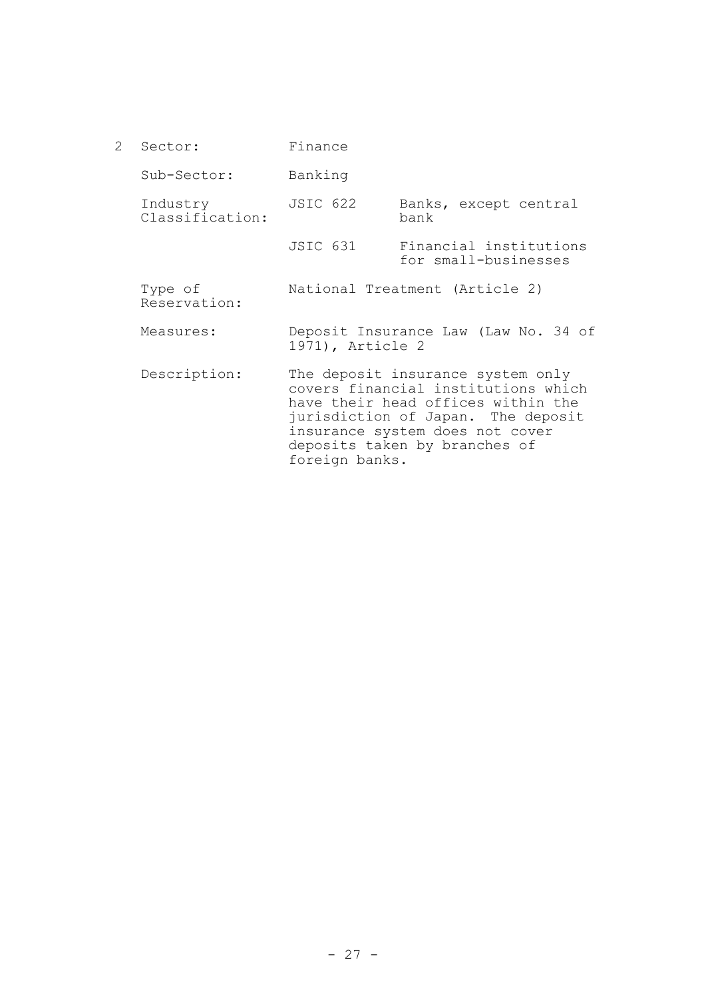2 Sector: Sub-Sector: Industry Classification: Type of Reservation: Measures: Description: Finance Banking JSIC 622 Banks, except central bank JSIC 631 Financial institutions for small-businesses National Treatment (Article 2) Deposit Insurance Law (Law No. 34 of 1971), Article 2 The deposit insurance system only covers financial institutions which have their head offices within the jurisdiction of Japan. The deposit insurance system does not cover deposits taken by branches of foreign banks.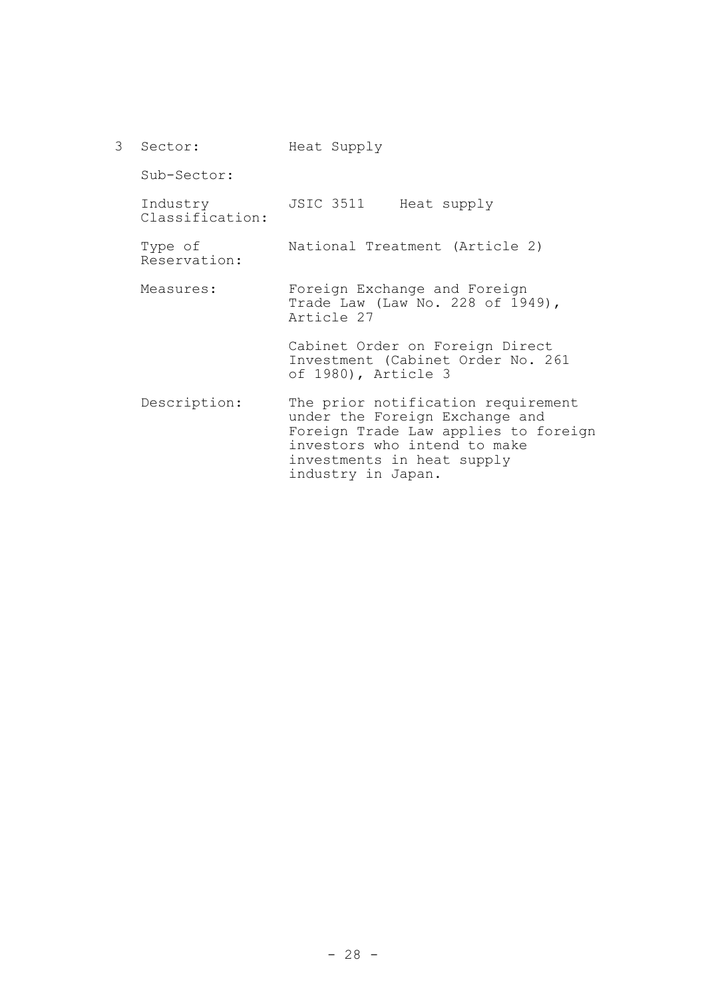| 3 | Sector:                     | Heat Supply                                                                                                                                                                                      |
|---|-----------------------------|--------------------------------------------------------------------------------------------------------------------------------------------------------------------------------------------------|
|   | Sub-Sector:                 |                                                                                                                                                                                                  |
|   | Industry<br>Classification: | JSIC 3511 Heat supply                                                                                                                                                                            |
|   | Type of<br>Reservation:     | National Treatment (Article 2)                                                                                                                                                                   |
|   | Measures:                   | Foreign Exchange and Foreign<br>Trade Law (Law No. 228 of 1949),<br>Article 27                                                                                                                   |
|   |                             | Cabinet Order on Foreign Direct<br>Investment (Cabinet Order No. 261<br>of 1980), Article 3                                                                                                      |
|   | Description:                | The prior notification requirement<br>under the Foreign Exchange and<br>Foreign Trade Law applies to foreign<br>investors who intend to make<br>investments in heat supply<br>industry in Japan. |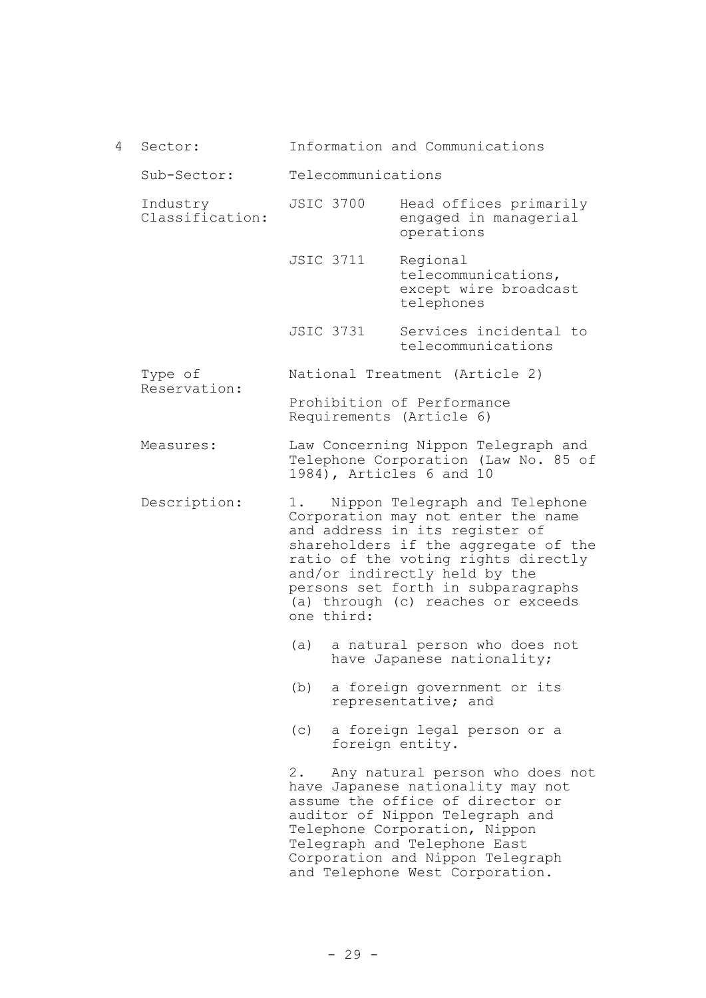4 Sector: Information and Communications

Sub-Sector: Telecommunications

- Industry Classification: JSIC 3700 Head offices primarily engaged in managerial operations
	- JSIC 3711 Regional telecommunications, except wire broadcast telephones
	- JSIC 3731 Services incidental to telecommunications
- Type of National Treatment (Article 2)

Reservation: Prohibition of Performance Requirements (Article 6)

- Measures: Law Concerning Nippon Telegraph and Telephone Corporation (Law No. 85 of 1984), Articles 6 and 10
- Description: 1. Nippon Telegraph and Telephone Corporation may not enter the name and address in its register of shareholders if the aggregate of the ratio of the voting rights directly and/or indirectly held by the persons set forth in subparagraphs (a) through (c) reaches or exceeds one third:
	- (a) a natural person who does not have Japanese nationality;
	- (b) a foreign government or its representative; and
	- (c) a foreign legal person or a foreign entity.

2. Any natural person who does not have Japanese nationality may not assume the office of director or auditor of Nippon Telegraph and Telephone Corporation, Nippon Telegraph and Telephone East Corporation and Nippon Telegraph and Telephone West Corporation.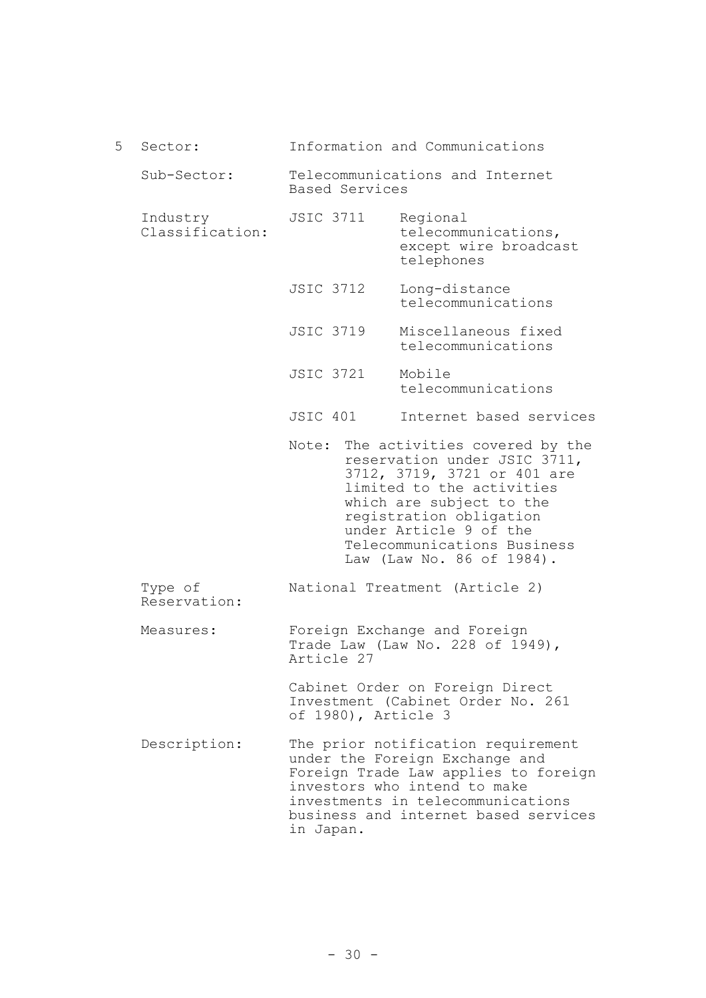| 5 | Sector:                     | Information and Communications<br>Telecommunications and Internet<br>Based Services         |                                                                                                                                                                                                                                                                        |
|---|-----------------------------|---------------------------------------------------------------------------------------------|------------------------------------------------------------------------------------------------------------------------------------------------------------------------------------------------------------------------------------------------------------------------|
|   | Sub-Sector:                 |                                                                                             |                                                                                                                                                                                                                                                                        |
|   | Industry<br>Classification: | JSIC 3711                                                                                   | Regional<br>telecommunications,<br>except wire broadcast<br>telephones                                                                                                                                                                                                 |
|   |                             | <b>JSIC 3712</b>                                                                            | Long-distance<br>telecommunications                                                                                                                                                                                                                                    |
|   |                             | <b>JSIC 3719</b>                                                                            | Miscellaneous fixed<br>telecommunications                                                                                                                                                                                                                              |
|   |                             | JSIC 3721                                                                                   | Mobile<br>telecommunications                                                                                                                                                                                                                                           |
|   |                             | JSIC 401                                                                                    | Internet based services                                                                                                                                                                                                                                                |
|   |                             | Note:                                                                                       | The activities covered by the<br>reservation under JSIC 3711,<br>3712, 3719, 3721 or 401 are<br>limited to the activities<br>which are subject to the<br>registration obligation<br>under Article 9 of the<br>Telecommunications Business<br>Law (Law No. 86 of 1984). |
|   | Type of<br>Reservation:     |                                                                                             | National Treatment (Article 2)                                                                                                                                                                                                                                         |
|   | Measures:                   | Article 27                                                                                  | Foreign Exchange and Foreign<br>Trade Law (Law No. 228 of 1949),                                                                                                                                                                                                       |
|   |                             | Cabinet Order on Foreign Direct<br>Investment (Cabinet Order No. 261<br>of 1980), Article 3 |                                                                                                                                                                                                                                                                        |
|   | Description:                | in Japan.                                                                                   | The prior notification requirement<br>under the Foreign Exchange and<br>Foreign Trade Law applies to foreign<br>investors who intend to make<br>investments in telecommunications<br>business and internet based services                                              |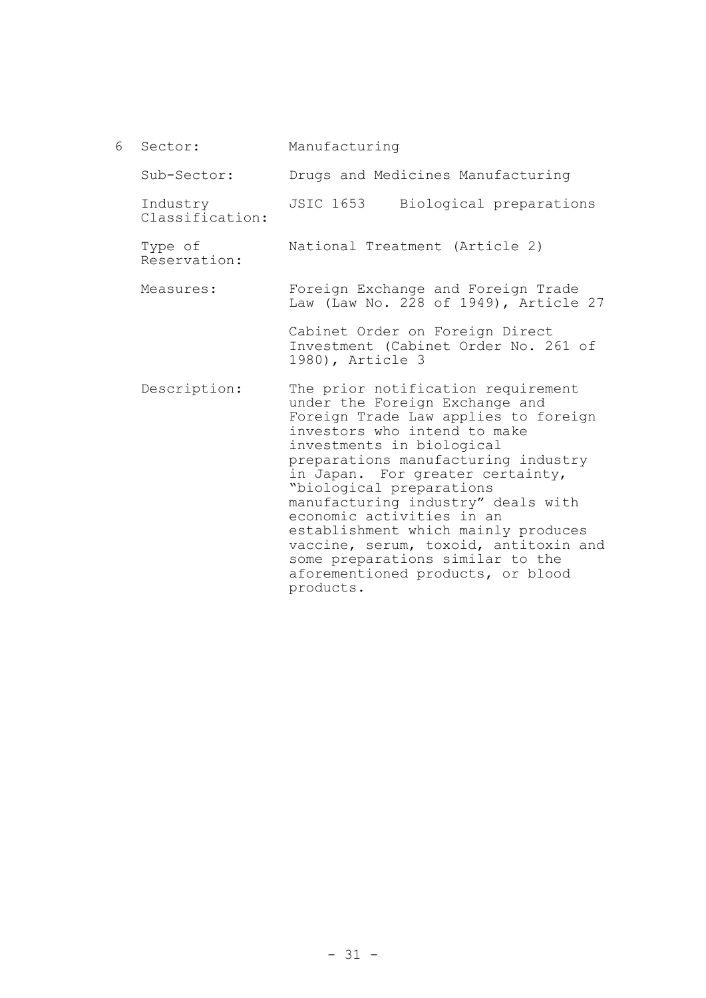| 6 | Sector:                     | Manufacturing                                                                                                                                                                                                                                                                                                                                                                                                                                                                                                             |
|---|-----------------------------|---------------------------------------------------------------------------------------------------------------------------------------------------------------------------------------------------------------------------------------------------------------------------------------------------------------------------------------------------------------------------------------------------------------------------------------------------------------------------------------------------------------------------|
|   | Sub-Sector:                 | Drugs and Medicines Manufacturing                                                                                                                                                                                                                                                                                                                                                                                                                                                                                         |
|   | Industry<br>Classification: | JSIC 1653<br>Biological preparations                                                                                                                                                                                                                                                                                                                                                                                                                                                                                      |
|   | Type of<br>Reservation:     | National Treatment (Article 2)                                                                                                                                                                                                                                                                                                                                                                                                                                                                                            |
|   | Measures:                   | Foreign Exchange and Foreign Trade<br>Law (Law No. 228 of 1949), Article 27                                                                                                                                                                                                                                                                                                                                                                                                                                               |
|   |                             | Cabinet Order on Foreign Direct<br>Investment (Cabinet Order No. 261 of<br>1980), Article 3                                                                                                                                                                                                                                                                                                                                                                                                                               |
|   | Description:                | The prior notification requirement<br>under the Foreign Exchange and<br>Foreign Trade Law applies to foreign<br>investors who intend to make<br>investments in biological<br>preparations manufacturing industry<br>in Japan. For greater certainty,<br>"biological preparations<br>manufacturing industry" deals with<br>economic activities in an<br>establishment which mainly produces<br>vaccine, serum, toxoid, antitoxin and<br>some preparations similar to the<br>aforementioned products, or blood<br>products. |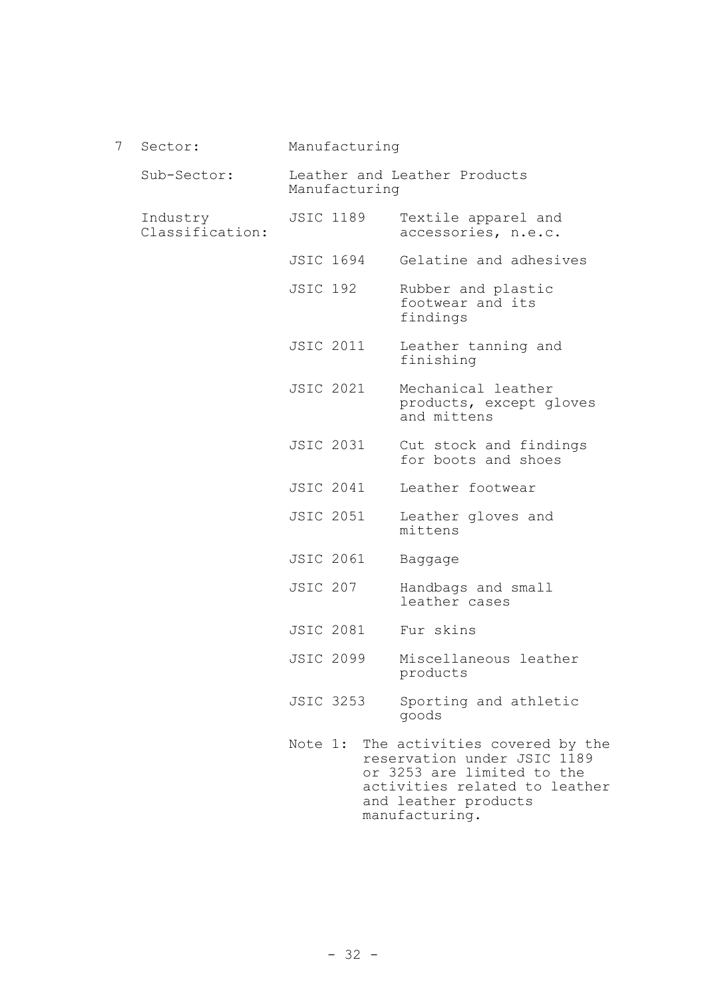- 7 Sector: Sub-Sector: Industry Classification: Manufacturing Leather and Leather Products Manufacturing JSIC 1189 Textile apparel and accessories, n.e.c. JSIC 1694 Gelatine and adhesives JSIC 192 Rubber and plastic footwear and its findings JSIC 2011 Leather tanning and finishing JSIC 2021 Mechanical leather products, except gloves and mittens JSIC 2031 Cut stock and findings for boots and shoes JSIC 2041 Leather footwear JSIC 2051 Leather gloves and
	- mittens
	- JSIC 2061 Baggage
	- JSIC 207 Handbags and small leather cases
	- JSIC 2081 Fur skins
	- JSIC 2099 Miscellaneous leather products
	- JSIC 3253 Sporting and athletic goods
	- Note 1: The activities covered by the reservation under JSIC 1189 or 3253 are limited to the activities related to leather and leather products manufacturing.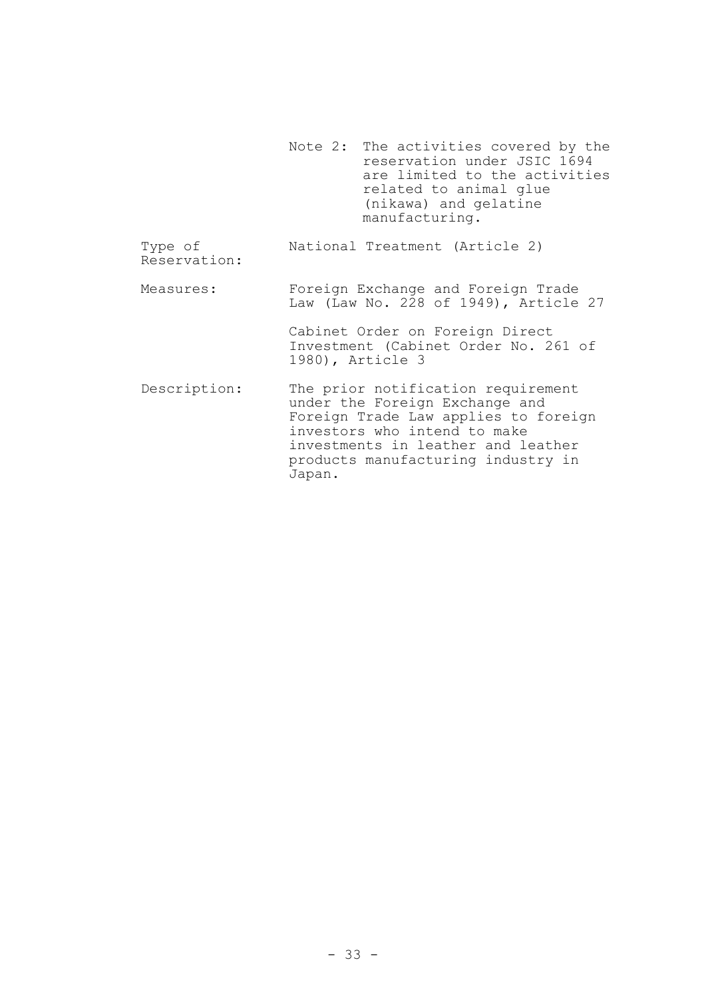Type of Reservation: Measures: Description: Note 2: The activities covered by the reservation under JSIC 1694 are limited to the activities related to animal glue (nikawa) and gelatine manufacturing. National Treatment (Article 2) Foreign Exchange and Foreign Trade Law (Law No. 228 of 1949), Article 27 Cabinet Order on Foreign Direct Investment (Cabinet Order No. 261 of 1980), Article 3 The prior notification requirement under the Foreign Exchange and Foreign Trade Law applies to foreign investors who intend to make investments in leather and leather products manufacturing industry in Japan.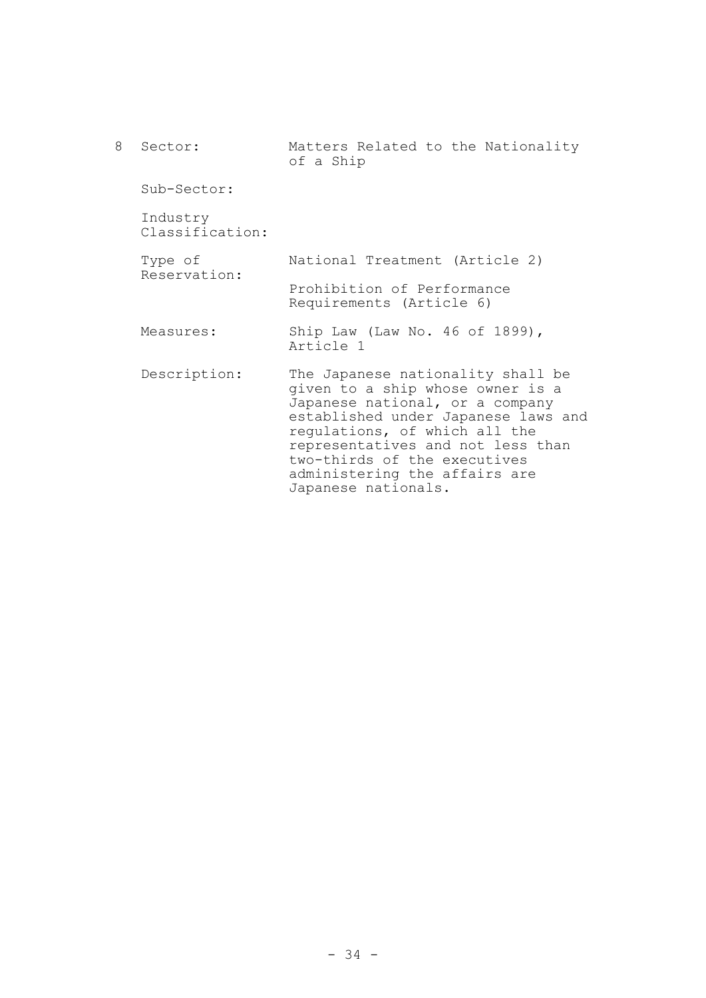8 Sector: Sub-Sector: Industry Classification: Type of Reservation: Measures: Description: Matters Related to the Nationality of a Ship National Treatment (Article 2) Prohibition of Performance Requirements (Article 6) Ship Law (Law No. 46 of 1899), Article 1 The Japanese nationality shall be given to a ship whose owner is a Japanese national, or a company established under Japanese laws and regulations, of which all the representatives and not less than two-thirds of the executives administering the affairs are Japanese nationals.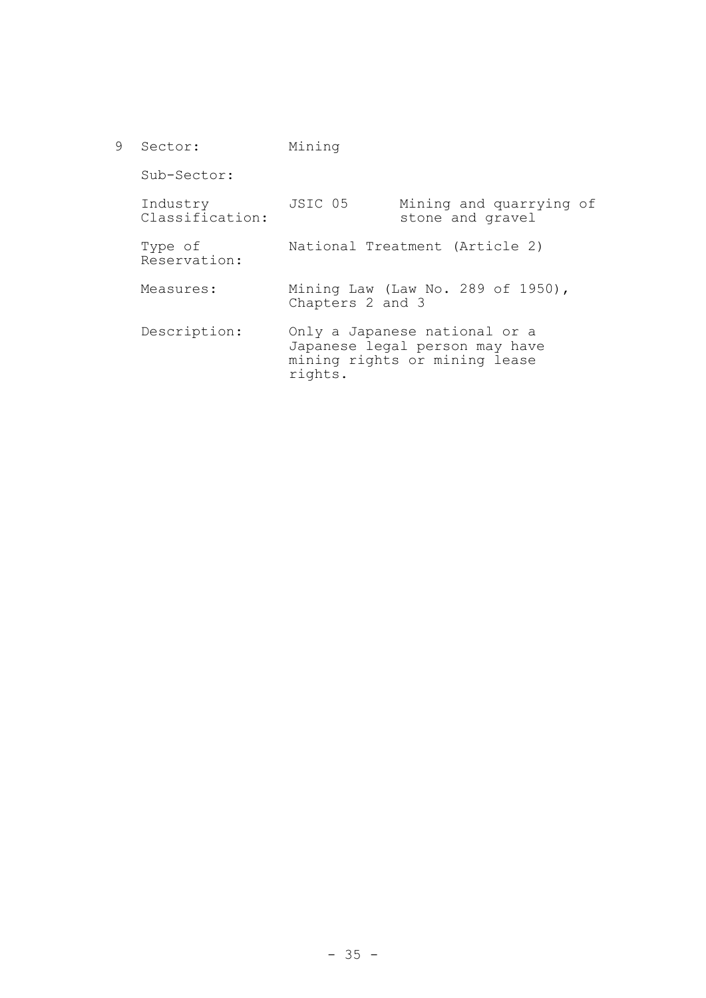| 9 | Sector:                     | Mining           |                                                                                                  |
|---|-----------------------------|------------------|--------------------------------------------------------------------------------------------------|
|   | Sub-Sector:                 |                  |                                                                                                  |
|   | Industry<br>Classification: | JSIC 05          | Mining and quarrying of<br>stone and gravel                                                      |
|   | Type of<br>Reservation:     |                  | National Treatment (Article 2)                                                                   |
|   | Measures:                   | Chapters 2 and 3 | Mining Law (Law No. 289 of 1950),                                                                |
|   | Description:                | rights.          | Only a Japanese national or a<br>Japanese legal person may have<br>mining rights or mining lease |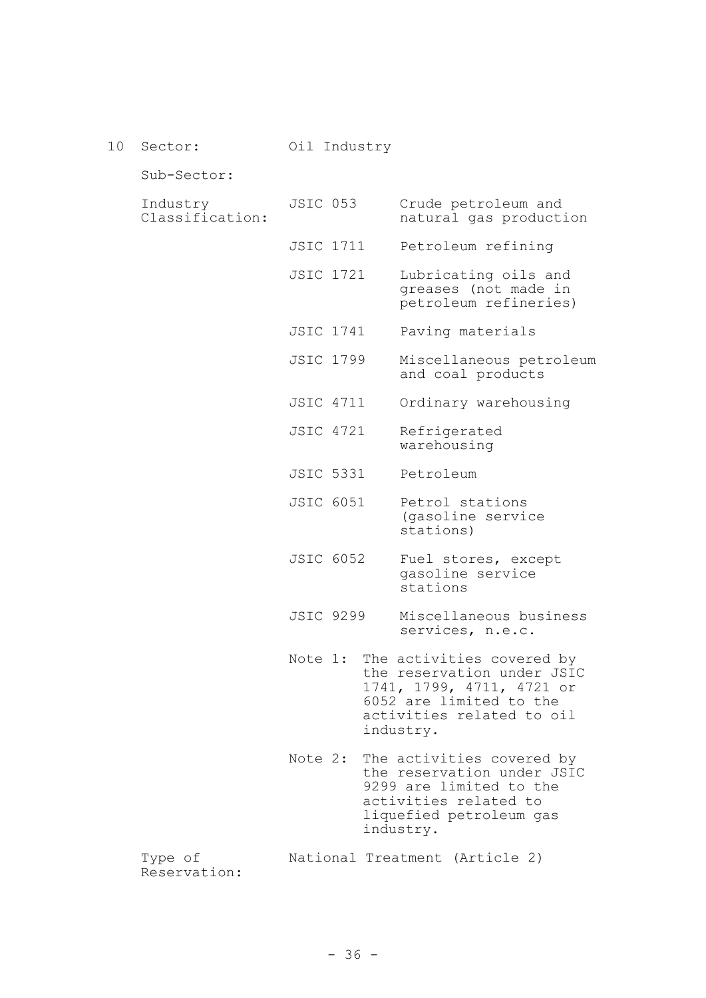10 Sector: Oil Industry

Sub-Sector:

| Industry        |  |
|-----------------|--|
| Classification: |  |

- ISIC 053 Crude petroleum and natural gas production
- JSIC 1711 Petroleum refining
- JSIC 1721 Lubricating oils and greases (not made in petroleum refineries)
- JSIC 1741 Paving materials
- JSIC 1799 Miscellaneous petroleum and coal products
- JSIC 4711 Ordinary warehousing
- JSIC 4721 Refrigerated warehousing
- JSIC 5331 Petroleum
- JSIC 6051 Petrol stations (gasoline service stations)
- JSIC 6052 Fuel stores, except gasoline service stations
- JSIC 9299 Miscellaneous business services, n.e.c.
- Note 1: The activities covered by the reservation under JSIC 1741, 1799, 4711, 4721 or 6052 are limited to the activities related to oil industry.
- Note 2: The activities covered by the reservation under JSIC 9299 are limited to the activities related to liquefied petroleum gas industry.

National Treatment (Article 2)

Type of Reservation: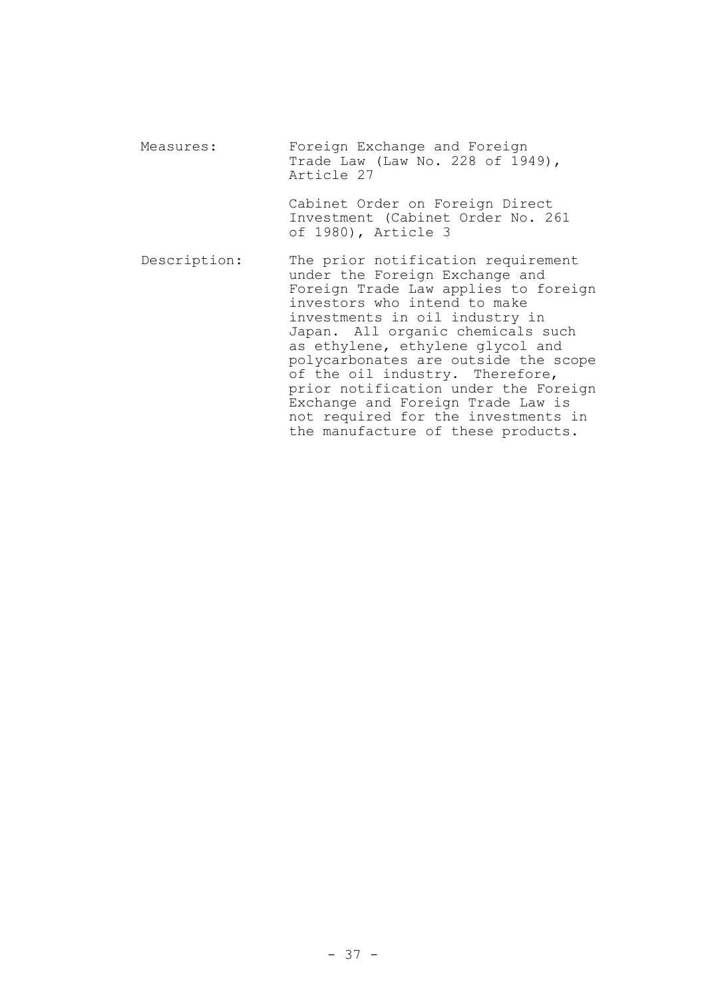Measures: Description: Foreign Exchange and Foreign Trade Law (Law No. 228 of 1949), Article 27 Cabinet Order on Foreign Direct Investment (Cabinet Order No. 261 of 1980), Article 3 The prior notification requirement under the Foreign Exchange and Foreign Trade Law applies to foreign investors who intend to make investments in oil industry in Japan. All organic chemicals such as ethylene, ethylene glycol and polycarbonates are outside the scope of the oil industry. Therefore, prior notification under the Foreign Exchange and Foreign Trade Law is not required for the investments in the manufacture of these products.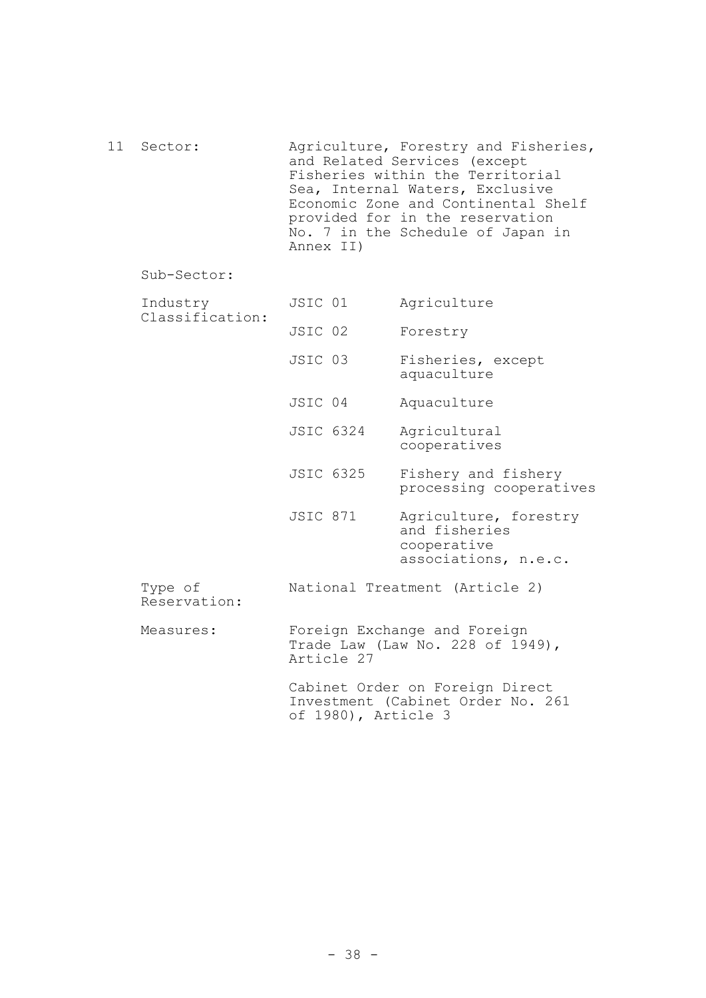11 Sector: Agriculture, Forestry and Fisheries, and Related Services (except Fisheries within the Territorial Sea, Internal Waters, Exclusive Economic Zone and Continental Shelf provided for in the reservation No. 7 in the Schedule of Japan in Annex II)

Sub-Sector:

| Industry<br>Classification: | JSIC 01  |                     | Agriculture                                                                   |
|-----------------------------|----------|---------------------|-------------------------------------------------------------------------------|
|                             | JSIC 02  |                     | Forestry                                                                      |
|                             | JSIC 03  |                     | Fisheries, except<br>aquaculture                                              |
|                             | JSIC 04  |                     | Aquaculture                                                                   |
|                             |          | JSIC 6324           | Agricultural<br>cooperatives                                                  |
|                             |          | JSIC 6325           | Fishery and fishery<br>processing cooperatives                                |
|                             | JSIC 871 |                     | Agriculture, forestry<br>and fisheries<br>cooperative<br>associations, n.e.c. |
| Type of<br>Reservation:     |          |                     | National Treatment (Article 2)                                                |
| Measures:                   |          | Article 27          | Foreign Exchange and Foreign<br>Trade Law (Law No. 228 of 1949),              |
|                             |          | of 1980), Article 3 | Cabinet Order on Foreign Direct<br>Investment (Cabinet Order No. 261          |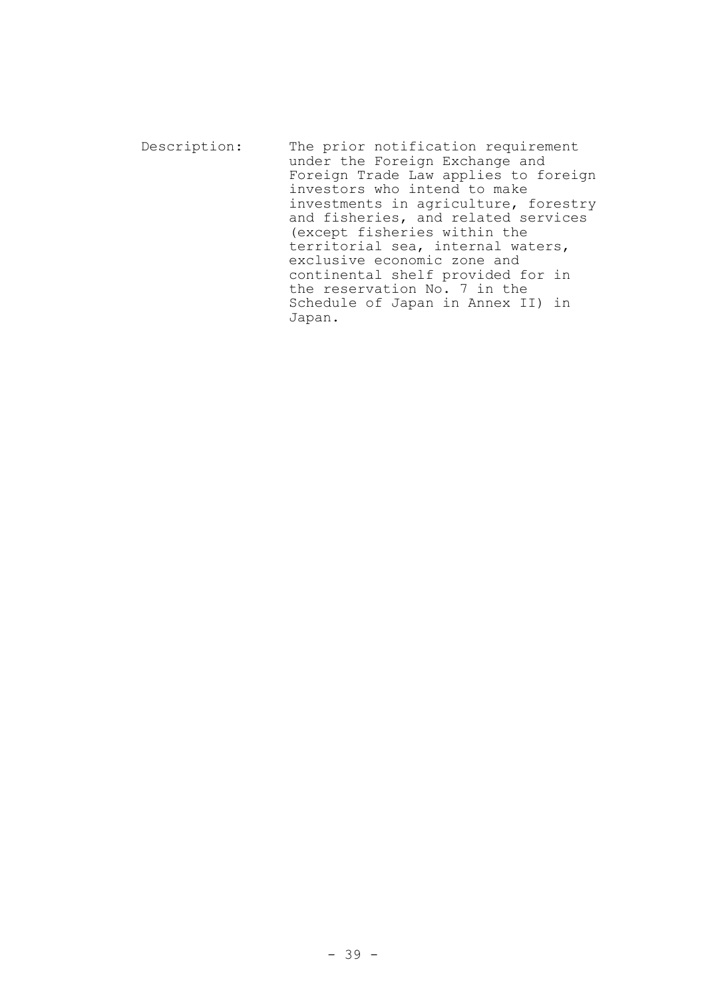Description: The prior notification requirement under the Foreign Exchange and Foreign Trade Law applies to foreign investors who intend to make investments in agriculture, forestry and fisheries, and related services (except fisheries within the territorial sea, internal waters, exclusive economic zone and continental shelf provided for in the reservation No. 7 in the Schedule of Japan in Annex II) in Japan.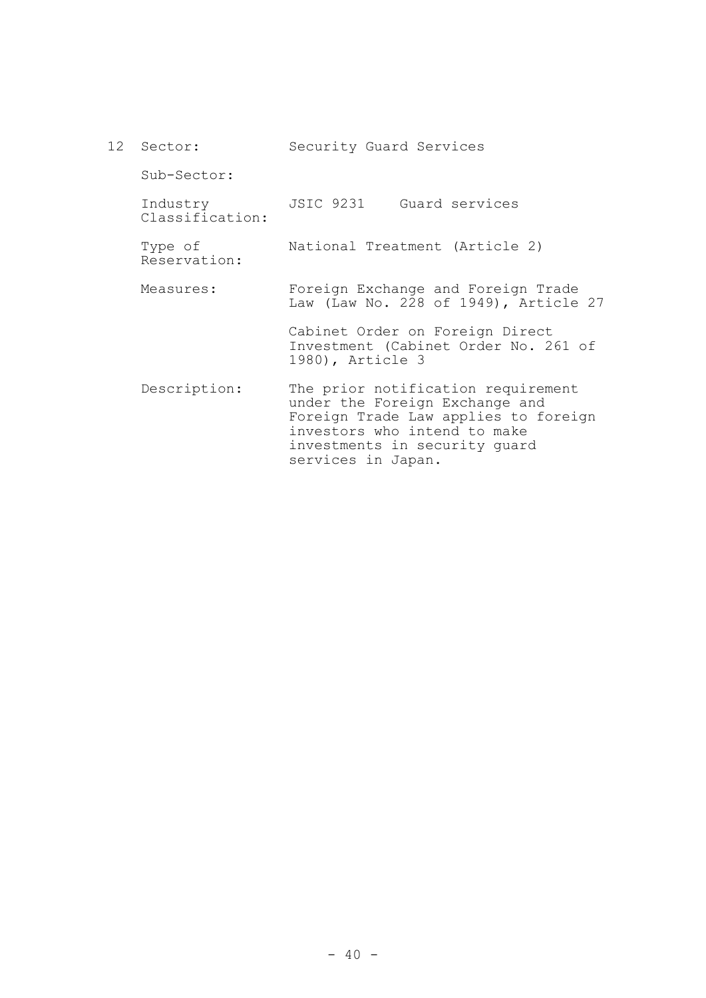| 12 Sector:                  | Security Guard Services                                                                                                                                                                             |
|-----------------------------|-----------------------------------------------------------------------------------------------------------------------------------------------------------------------------------------------------|
| Sub-Sector:                 |                                                                                                                                                                                                     |
| Industry<br>Classification: | JSIC 9231 Guard services                                                                                                                                                                            |
| Type of<br>Reservation:     | National Treatment (Article 2)                                                                                                                                                                      |
| Measures:                   | Foreign Exchange and Foreign Trade<br>Law (Law No. 228 of 1949), Article 27                                                                                                                         |
|                             | Cabinet Order on Foreign Direct<br>Investment (Cabinet Order No. 261 of<br>1980), Article 3                                                                                                         |
| Description:                | The prior notification requirement<br>under the Foreign Exchange and<br>Foreign Trade Law applies to foreign<br>investors who intend to make<br>investments in security quard<br>services in Japan. |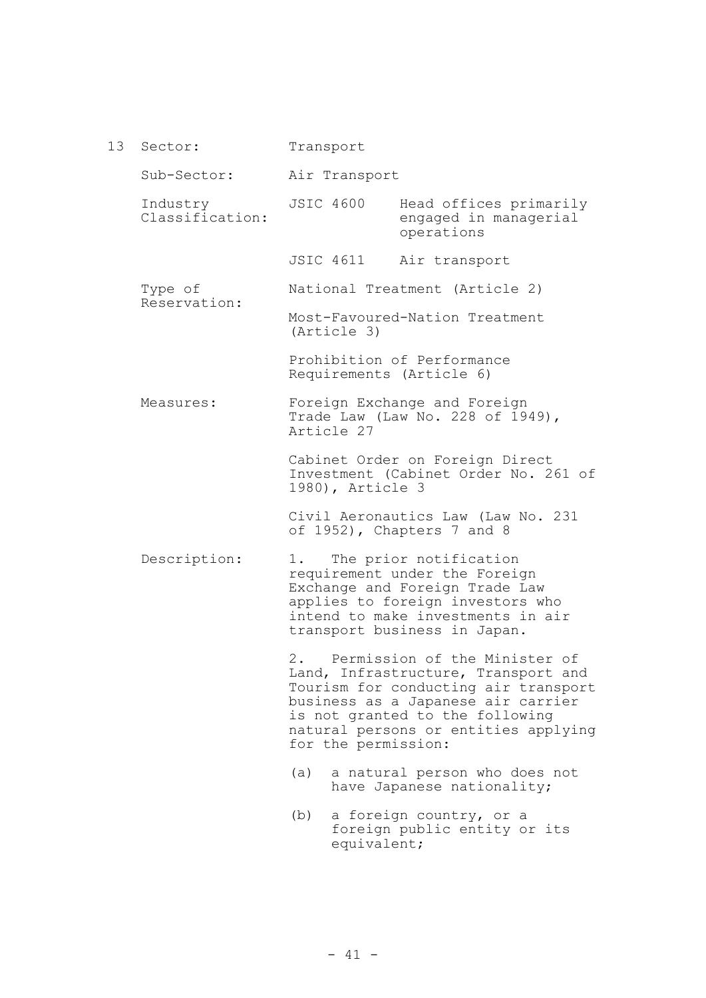13 Sector: Sub-Sector: Industry Classification: Type of Reservation: Measures: Description: Transport Air Transport JSIC 4600 Head offices primarily engaged in managerial operations JSIC 4611 Air transport National Treatment (Article 2) Most-Favoured-Nation Treatment (Article 3) Prohibition of Performance Requirements (Article 6) Foreign Exchange and Foreign Trade Law (Law No. 228 of 1949), Article 27 Cabinet Order on Foreign Direct Investment (Cabinet Order No. 261 of 1980), Article 3 Civil Aeronautics Law (Law No. 231 of 1952), Chapters 7 and 8 1. The prior notification requirement under the Foreign Exchange and Foreign Trade Law applies to foreign investors who intend to make investments in air transport business in Japan. 2. Permission of the Minister of Land, Infrastructure, Transport and Tourism for conducting air transport business as a Japanese air carrier is not granted to the following natural persons or entities applying for the permission: (a) a natural person who does not have Japanese nationality; (b) a foreign country, or a foreign public entity or its equivalent;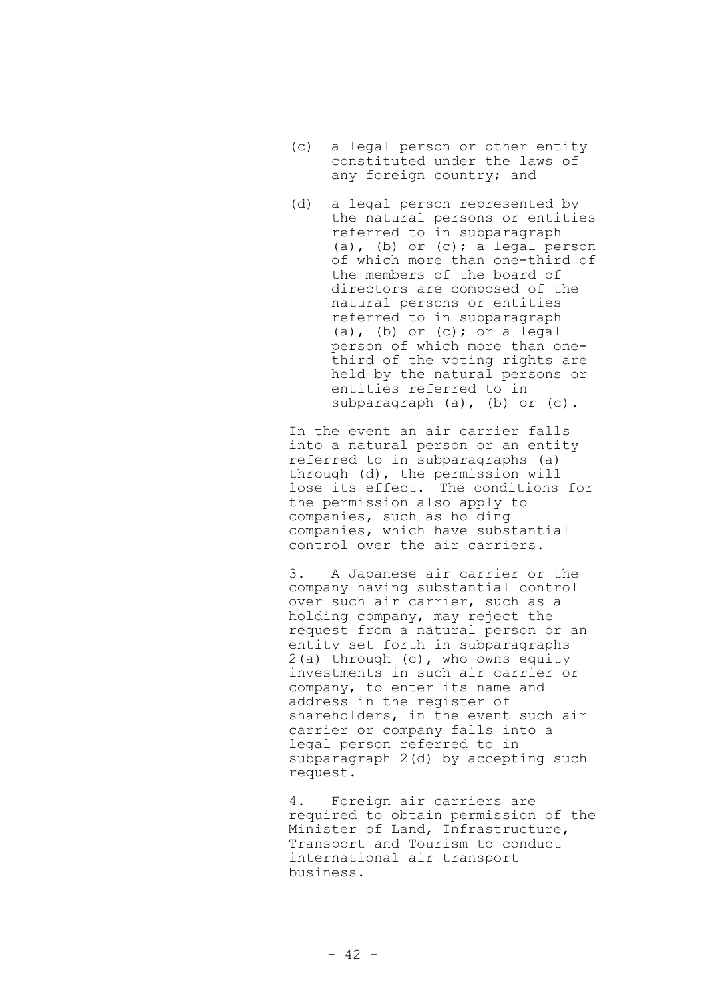- (c) a legal person or other entity constituted under the laws of any foreign country; and
- (d) a legal person represented by the natural persons or entities referred to in subparagraph (a), (b) or (c); a legal person of which more than one-third of the members of the board of directors are composed of the natural persons or entities referred to in subparagraph  $(a)$ ,  $(b)$  or  $(c)$ ; or a legal person of which more than onethird of the voting rights are held by the natural persons or entities referred to in subparagraph (a), (b) or (c).

In the event an air carrier falls into a natural person or an entity referred to in subparagraphs (a) through (d), the permission will lose its effect. The conditions for the permission also apply to companies, such as holding companies, which have substantial control over the air carriers.

3. A Japanese air carrier or the company having substantial control over such air carrier, such as a holding company, may reject the request from a natural person or an entity set forth in subparagraphs 2(a) through (c), who owns equity investments in such air carrier or company, to enter its name and address in the register of shareholders, in the event such air carrier or company falls into a legal person referred to in subparagraph 2(d) by accepting such request.

4. Foreign air carriers are required to obtain permission of the Minister of Land, Infrastructure, Transport and Tourism to conduct international air transport business.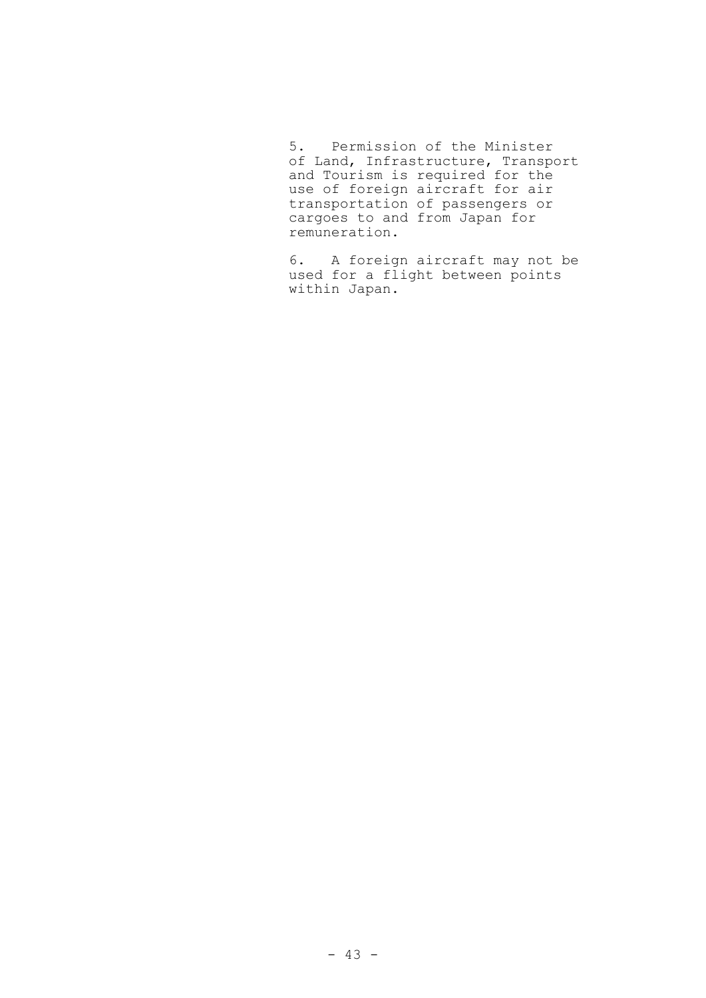5. Permission of the Minister of Land, Infrastructure, Transport and Tourism is required for the use of foreign aircraft for air transportation of passengers or cargoes to and from Japan for remuneration.

6. A foreign aircraft may not be used for a flight between points within Japan.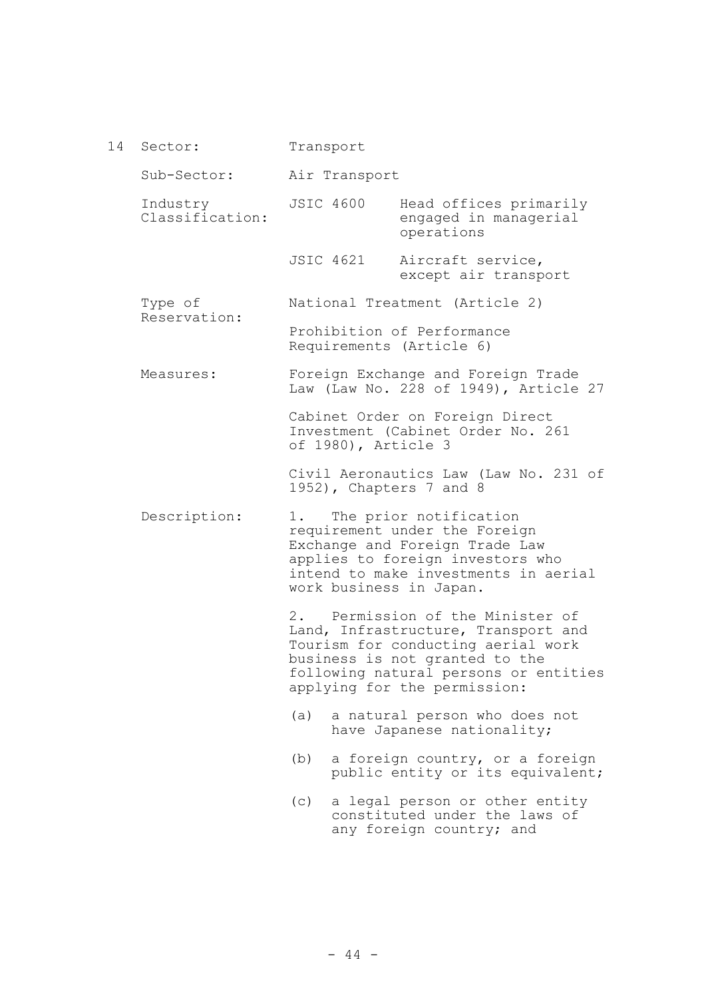14 Sector: Sub-Sector: Industry Classification: Type of Reservation: Measures: Description: Transport Air Transport JSIC 4600 Head offices primarily engaged in managerial operations JSIC 4621 Aircraft service, except air transport National Treatment (Article 2) Prohibition of Performance Requirements (Article 6) Foreign Exchange and Foreign Trade Law (Law No. 228 of 1949), Article 27 Cabinet Order on Foreign Direct Investment (Cabinet Order No. 261 of 1980), Article 3 Civil Aeronautics Law (Law No. 231 of 1952), Chapters 7 and 8 1. The prior notification requirement under the Foreign Exchange and Foreign Trade Law applies to foreign investors who intend to make investments in aerial work business in Japan. 2. Permission of the Minister of Land, Infrastructure, Transport and Tourism for conducting aerial work business is not granted to the following natural persons or entities applying for the permission: (a) a natural person who does not have Japanese nationality; (b) a foreign country, or a foreign public entity or its equivalent; (c) a legal person or other entity constituted under the laws of any foreign country; and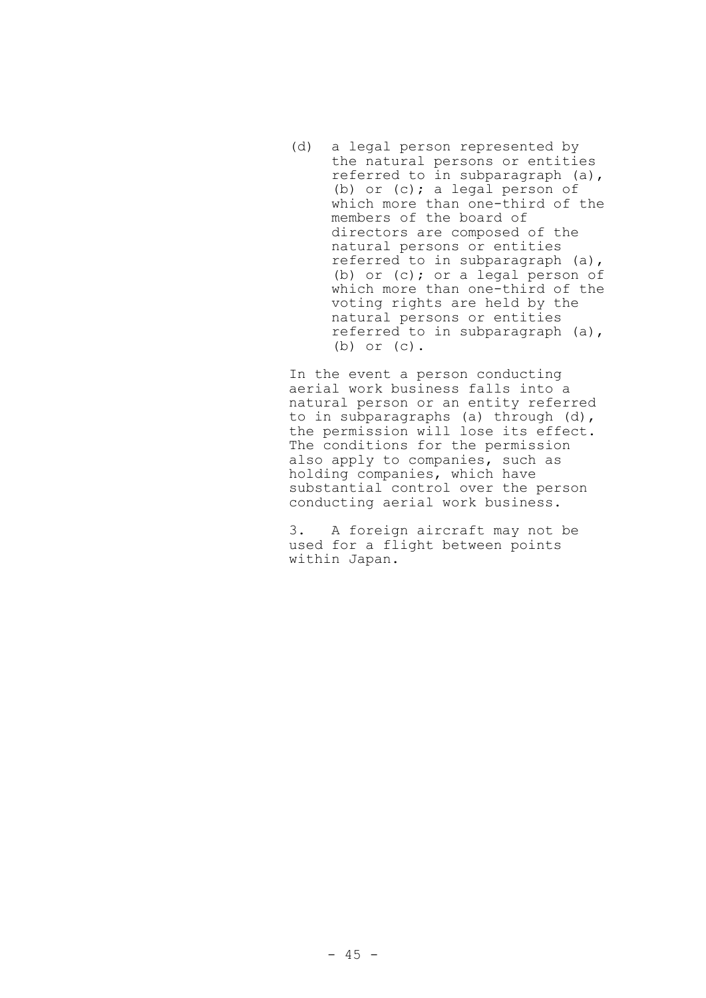(d) a legal person represented by the natural persons or entities referred to in subparagraph (a), (b) or (c); a legal person of which more than one-third of the members of the board of directors are composed of the natural persons or entities referred to in subparagraph (a), (b) or (c); or a legal person of which more than one-third of the voting rights are held by the natural persons or entities referred to in subparagraph (a), (b) or (c).

In the event a person conducting aerial work business falls into a natural person or an entity referred to in subparagraphs (a) through (d), the permission will lose its effect. The conditions for the permission also apply to companies, such as holding companies, which have substantial control over the person conducting aerial work business.

3. A foreign aircraft may not be used for a flight between points within Japan.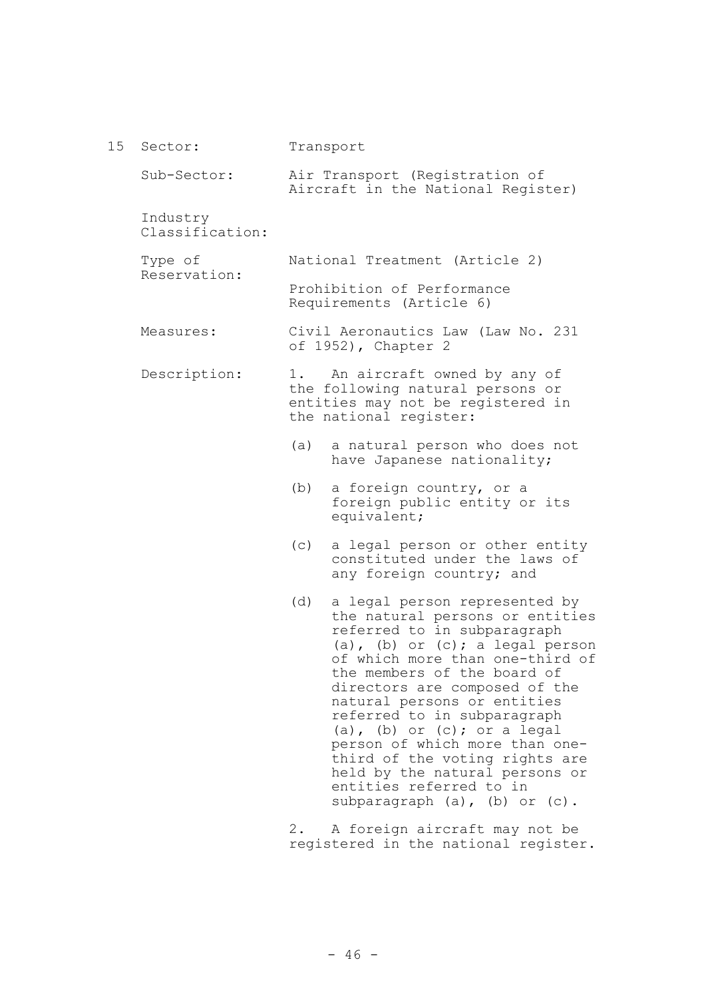15 Sector: Sub-Sector: Industry Classification: Type of Reservation: Measures: Description: Transport Air Transport (Registration of Aircraft in the National Register) National Treatment (Article 2) Prohibition of Performance Requirements (Article 6) Civil Aeronautics Law (Law No. 231 of 1952), Chapter 2 1. An aircraft owned by any of the following natural persons or entities may not be registered in the national register: (a) a natural person who does not have Japanese nationality; (b) a foreign country, or a foreign public entity or its equivalent; (c) a legal person or other entity constituted under the laws of any foreign country; and (d) a legal person represented by the natural persons or entities referred to in subparagraph (a), (b) or (c); a legal person of which more than one-third of the members of the board of directors are composed of the natural persons or entities referred to in subparagraph (a), (b) or  $(c)$ ; or a legal person of which more than onethird of the voting rights are held by the natural persons or entities referred to in subparagraph (a), (b) or (c).

2. A foreign aircraft may not be registered in the national register.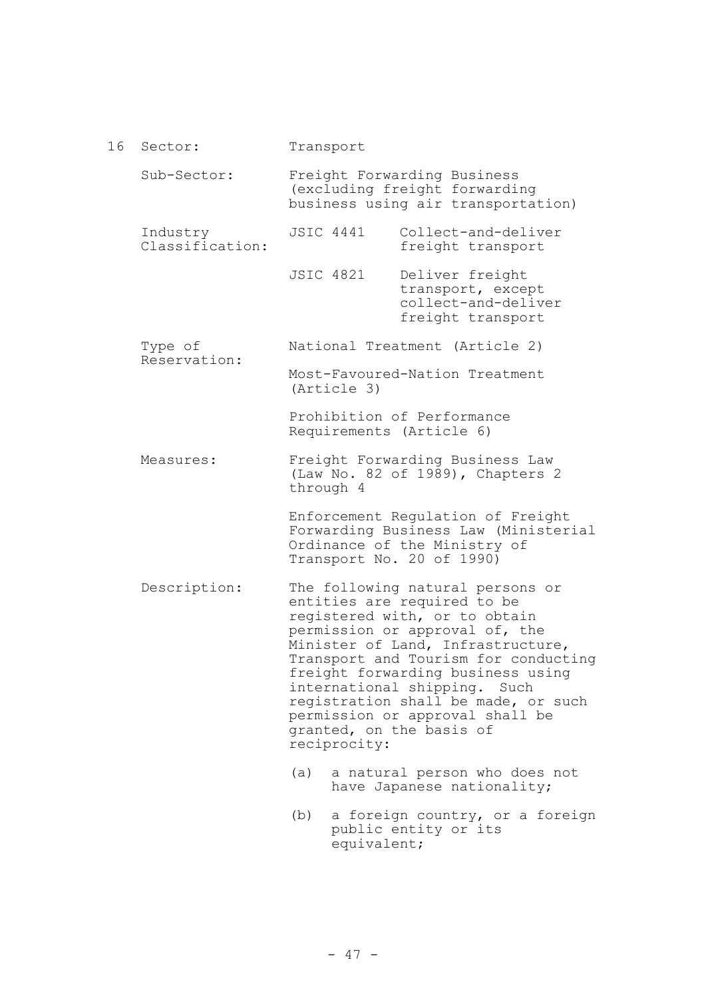16 Sector: Sub-Sector: Industry Classification: Type of Reservation: Measures: Description: Transport Freight Forwarding Business (excluding freight forwarding business using air transportation) JSIC 4441 Collect-and-deliver freight transport JSIC 4821 Deliver freight transport, except collect-and-deliver freight transport National Treatment (Article 2) Most-Favoured-Nation Treatment (Article 3) Prohibition of Performance Requirements (Article 6) Freight Forwarding Business Law (Law No. 82 of 1989), Chapters 2 through 4 Enforcement Regulation of Freight Forwarding Business Law (Ministerial Ordinance of the Ministry of Transport No. 20 of 1990) The following natural persons or entities are required to be registered with, or to obtain permission or approval of, the Minister of Land, Infrastructure, Transport and Tourism for conducting freight forwarding business using international shipping. Such registration shall be made, or such permission or approval shall be granted, on the basis of reciprocity: (a) a natural person who does not have Japanese nationality; (b) a foreign country, or a foreign public entity or its

equivalent;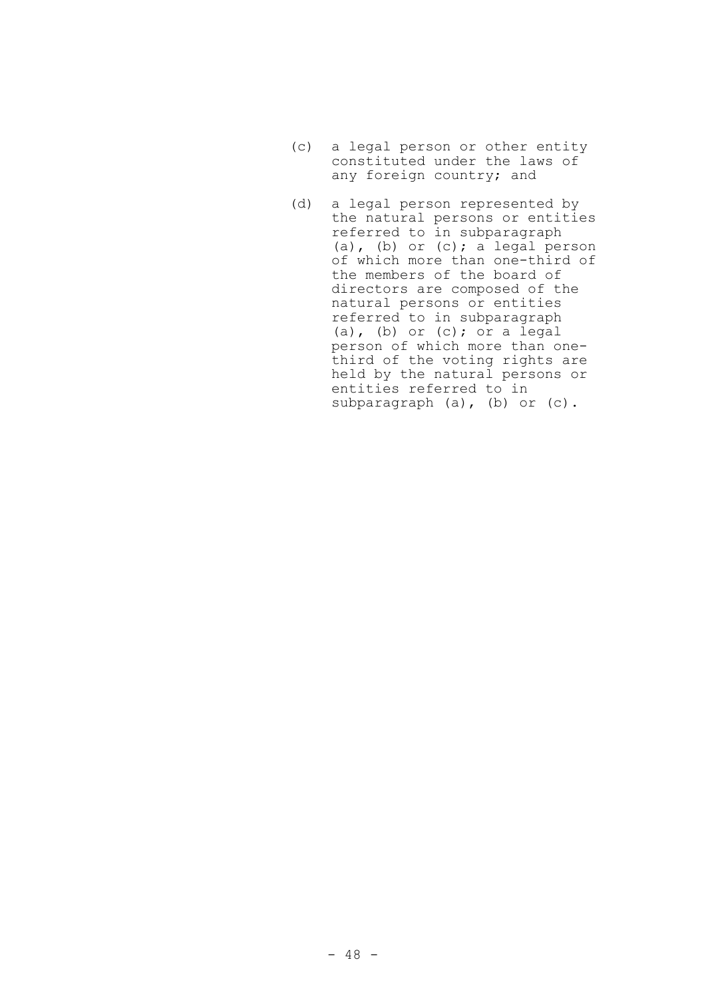- (c) a legal person or other entity constituted under the laws of any foreign country; and
- (d) a legal person represented by the natural persons or entities referred to in subparagraph (a), (b) or (c); a legal person of which more than one-third of the members of the board of directors are composed of the natural persons or entities referred to in subparagraph (a), (b) or  $(c)$ ; or a legal person of which more than onethird of the voting rights are held by the natural persons or entities referred to in subparagraph (a), (b) or (c).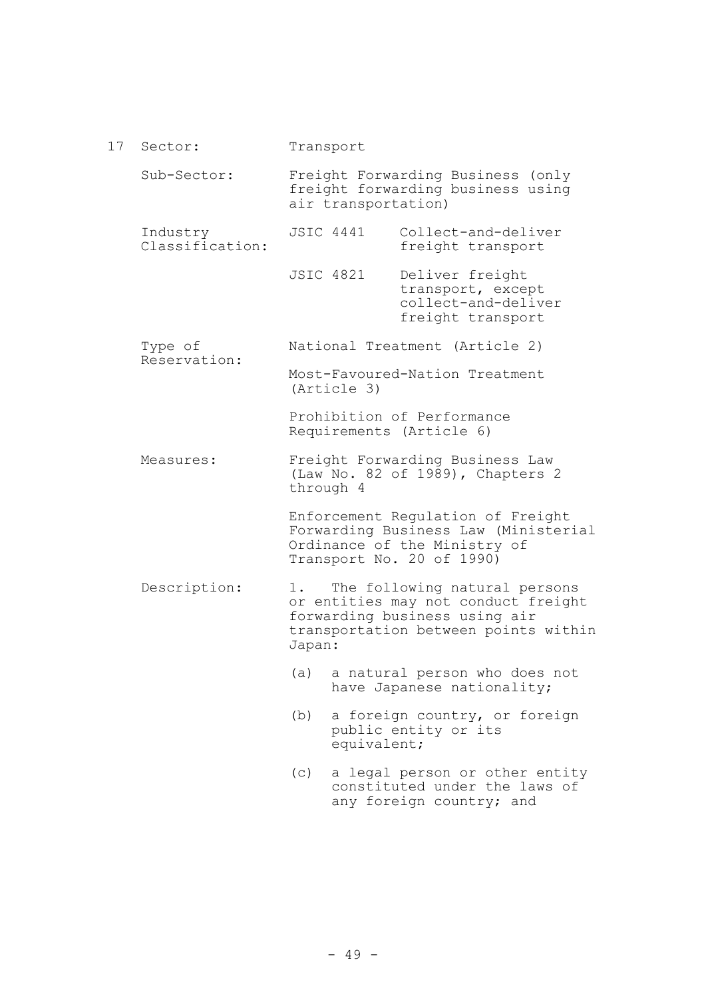17 Sector: Sub-Sector: Industry Classification: Type of Reservation: Measures: Description: Transport Freight Forwarding Business (only freight forwarding business using air transportation) JSIC 4441 Collect-and-deliver freight transport JSIC 4821 Deliver freight transport, except collect-and-deliver freight transport National Treatment (Article 2) Most-Favoured-Nation Treatment (Article 3) Prohibition of Performance Requirements (Article 6) Freight Forwarding Business Law (Law No. 82 of 1989), Chapters 2 through 4 Enforcement Regulation of Freight Forwarding Business Law (Ministerial Ordinance of the Ministry of Transport No. 20 of 1990) 1. The following natural persons or entities may not conduct freight forwarding business using air transportation between points within Japan: (a) a natural person who does not have Japanese nationality; (b) a foreign country, or foreign public entity or its equivalent; (c) a legal person or other entity constituted under the laws of

any foreign country; and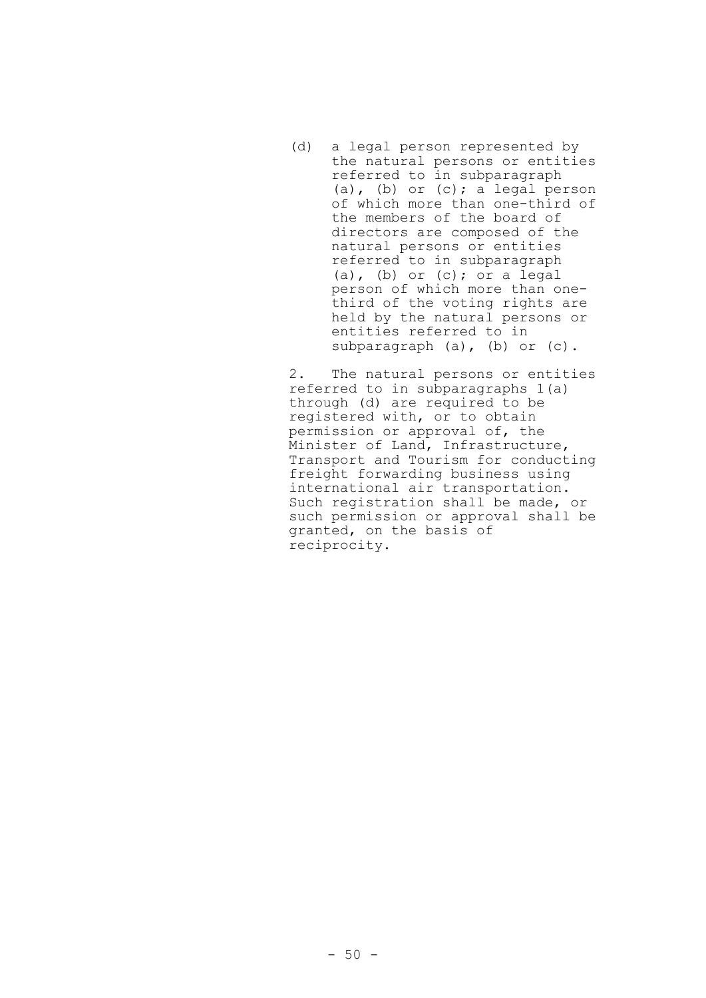(d) a legal person represented by the natural persons or entities referred to in subparagraph (a), (b) or  $(c)$ ; a legal person of which more than one-third of the members of the board of directors are composed of the natural persons or entities referred to in subparagraph  $(a)$ ,  $(b)$  or  $(c)$ ; or a legal person of which more than onethird of the voting rights are held by the natural persons or entities referred to in subparagraph (a), (b) or (c).

2. The natural persons or entities referred to in subparagraphs 1(a) through (d) are required to be registered with, or to obtain permission or approval of, the Minister of Land, Infrastructure, Transport and Tourism for conducting freight forwarding business using international air transportation. Such registration shall be made, or such permission or approval shall be granted, on the basis of reciprocity.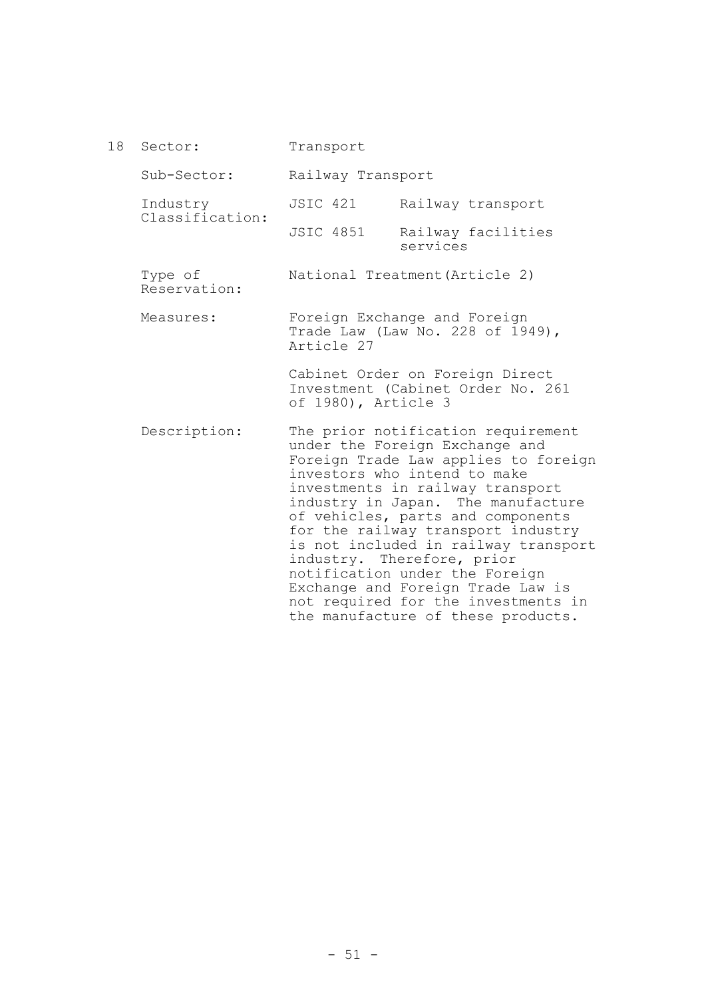18 Sector: Sub-Sector: Industry Classification: Type of Reservation: Measures: Description: Transport Railway Transport JSIC 421 Railway transport JSIC 4851 Railway facilities services National Treatment(Article 2) Foreign Exchange and Foreign Trade Law (Law No. 228 of 1949), Article 27 Cabinet Order on Foreign Direct Investment (Cabinet Order No. 261 of 1980), Article 3 The prior notification requirement under the Foreign Exchange and Foreign Trade Law applies to foreign investors who intend to make investments in railway transport industry in Japan. The manufacture of vehicles, parts and components for the railway transport industry is not included in railway transport industry. Therefore, prior notification under the Foreign Exchange and Foreign Trade Law is not required for the investments in

the manufacture of these products.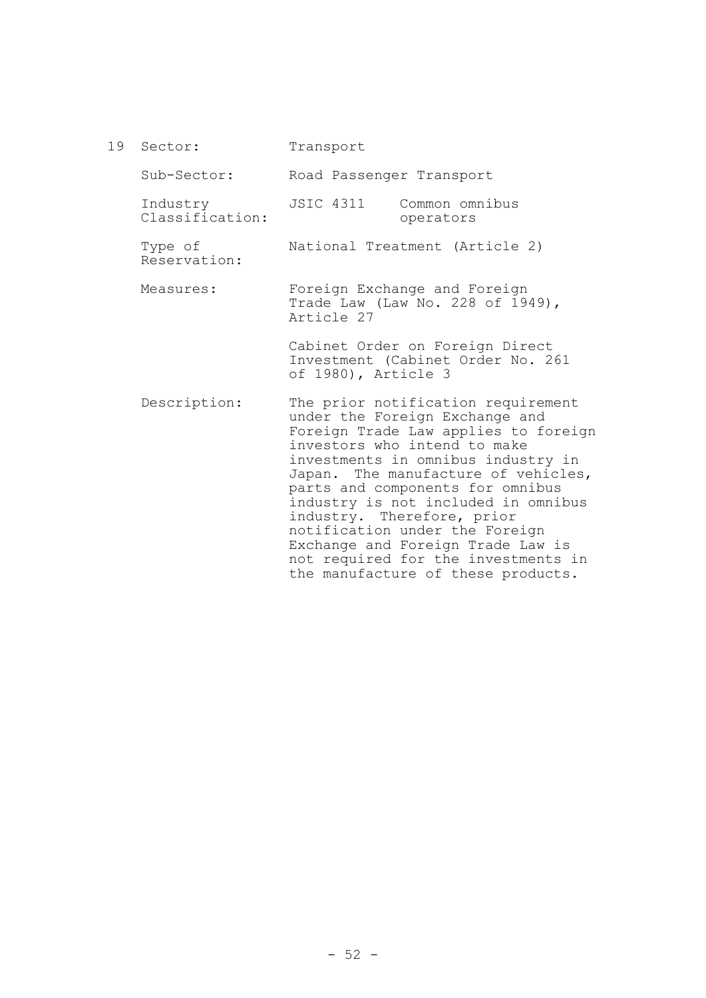19 Sector: Transport

> Sub-Sector: Road Passenger Transport

- Industry Classification: JSIC 4311 Common omnibus operators
- Type of Reservation: National Treatment (Article 2)
- Measures: Foreign Exchange and Foreign Trade Law (Law No. 228 of 1949), Article 27

Cabinet Order on Foreign Direct Investment (Cabinet Order No. 261 of 1980), Article 3

Description: The prior notification requirement under the Foreign Exchange and Foreign Trade Law applies to foreign investors who intend to make investments in omnibus industry in Japan. The manufacture of vehicles, parts and components for omnibus industry is not included in omnibus industry. Therefore, prior notification under the Foreign Exchange and Foreign Trade Law is not required for the investments in the manufacture of these products.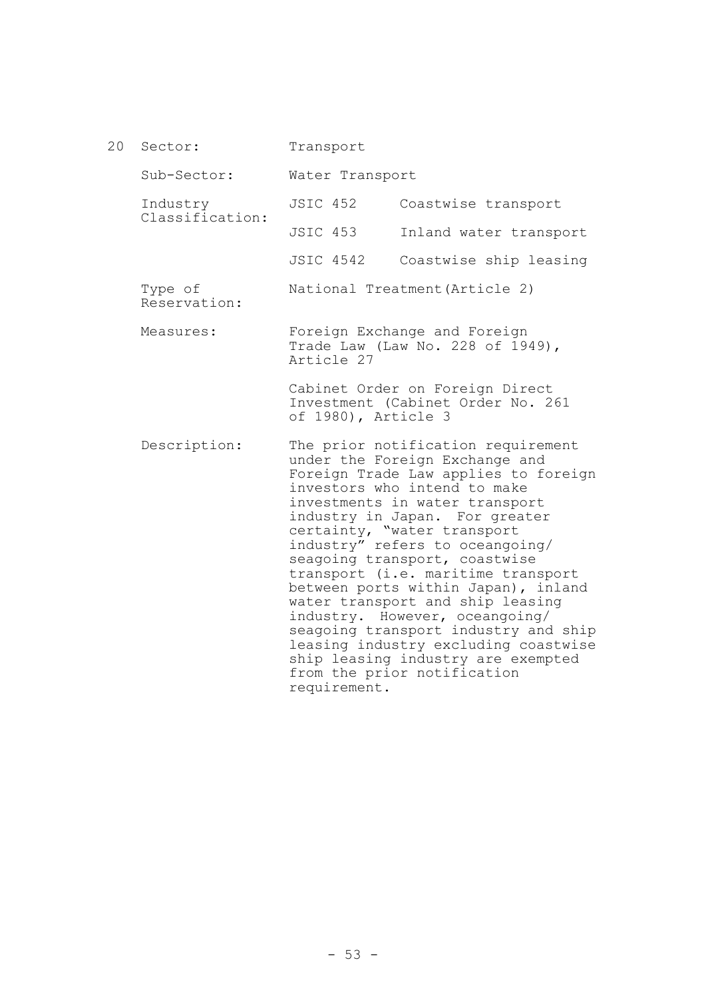20 Sector: Transport

Sub-Sector: Industry Classification: Type of Reservation: Measures: Description: Water Transport JSIC 452 Coastwise transport JSIC 453 Inland water transport JSIC 4542 Coastwise ship leasing National Treatment(Article 2) Foreign Exchange and Foreign Trade Law (Law No. 228 of 1949), Article 27 Cabinet Order on Foreign Direct Investment (Cabinet Order No. 261 of 1980), Article 3 The prior notification requirement under the Foreign Exchange and Foreign Trade Law applies to foreign investors who intend to make investments in water transport industry in Japan. For greater certainty, "water transport industry" refers to oceangoing/ seagoing transport, coastwise transport (i.e. maritime transport between ports within Japan), inland water transport and ship leasing industry. However, oceangoing/ seagoing transport industry and ship leasing industry excluding coastwise ship leasing industry are exempted from the prior notification requirement.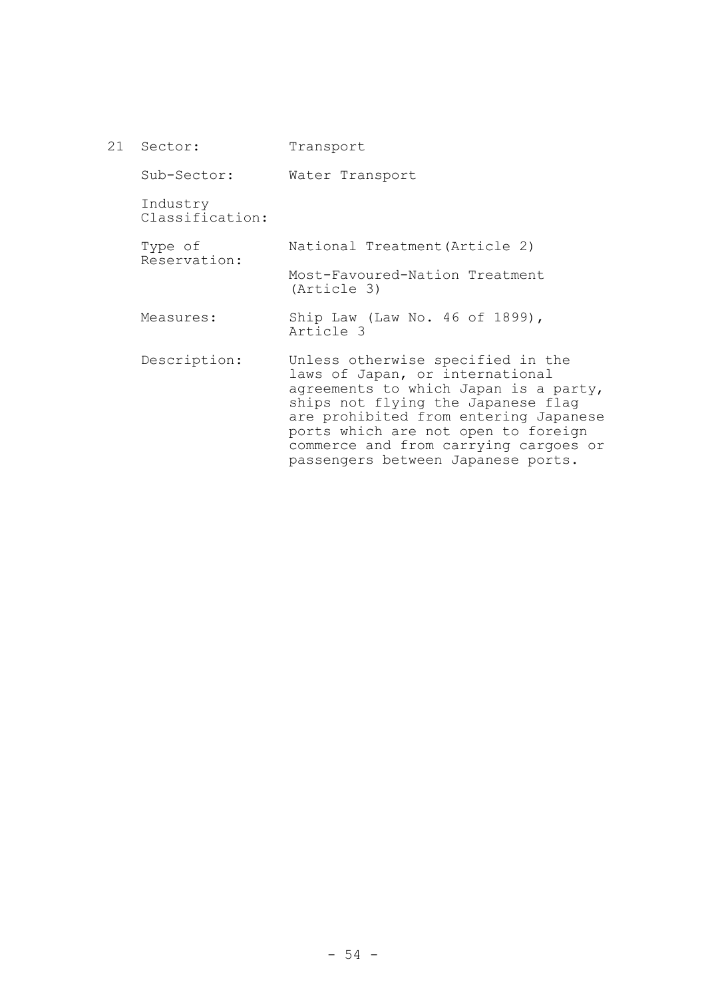21 Sector: Sub-Sector: Industry Classification: Type of Reservation: Measures: Description: Transport Water Transport National Treatment(Article 2) Most-Favoured-Nation Treatment (Article 3) Ship Law (Law No. 46 of 1899), Article 3 Unless otherwise specified in the laws of Japan, or international agreements to which Japan is a party, ships not flying the Japanese flag are prohibited from entering Japanese ports which are not open to foreign commerce and from carrying cargoes or passengers between Japanese ports.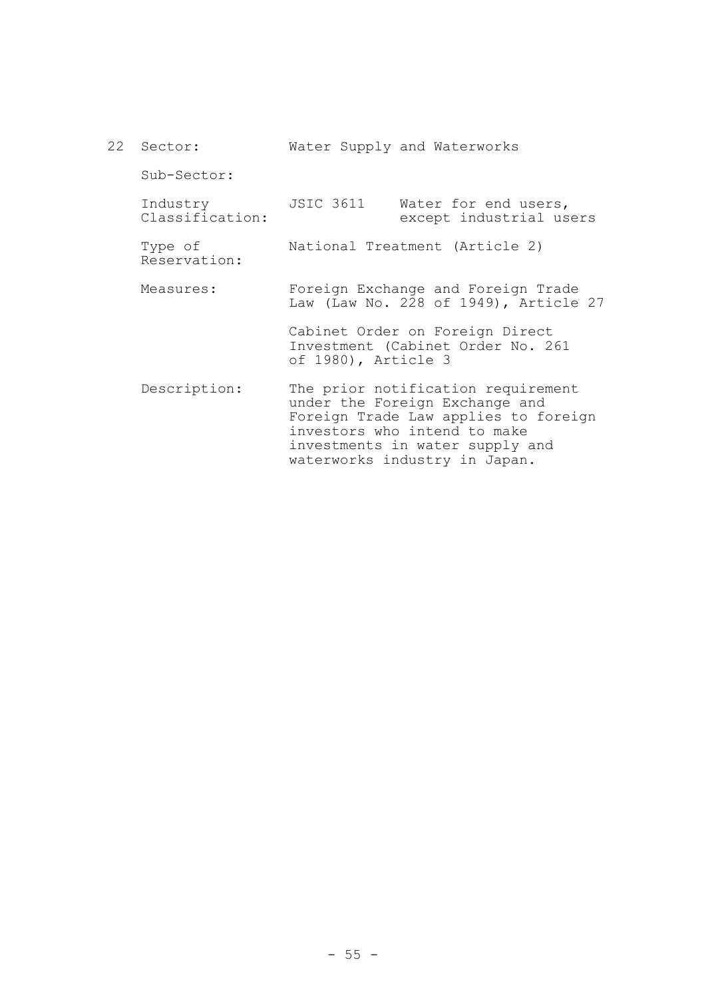| 22 | Sector:                     |                     | Water Supply and Waterworks                                                                                                                                                     |
|----|-----------------------------|---------------------|---------------------------------------------------------------------------------------------------------------------------------------------------------------------------------|
|    | Sub-Sector:                 |                     |                                                                                                                                                                                 |
|    | Industry<br>Classification: | <b>JSIC 3611</b>    | Water for end users,<br>except industrial users                                                                                                                                 |
|    | Type of<br>Reservation:     |                     | National Treatment (Article 2)                                                                                                                                                  |
|    | Measures:                   |                     | Foreign Exchange and Foreign Trade<br>Law (Law No. 228 of 1949), Article 27                                                                                                     |
|    |                             | of 1980), Article 3 | Cabinet Order on Foreign Direct<br>Investment (Cabinet Order No. 261                                                                                                            |
|    | Description:                |                     | The prior notification requirement<br>under the Foreign Exchange and<br>Foreign Trade Law applies to foreign<br>investors who intend to make<br>investments in water supply and |

waterworks industry in Japan.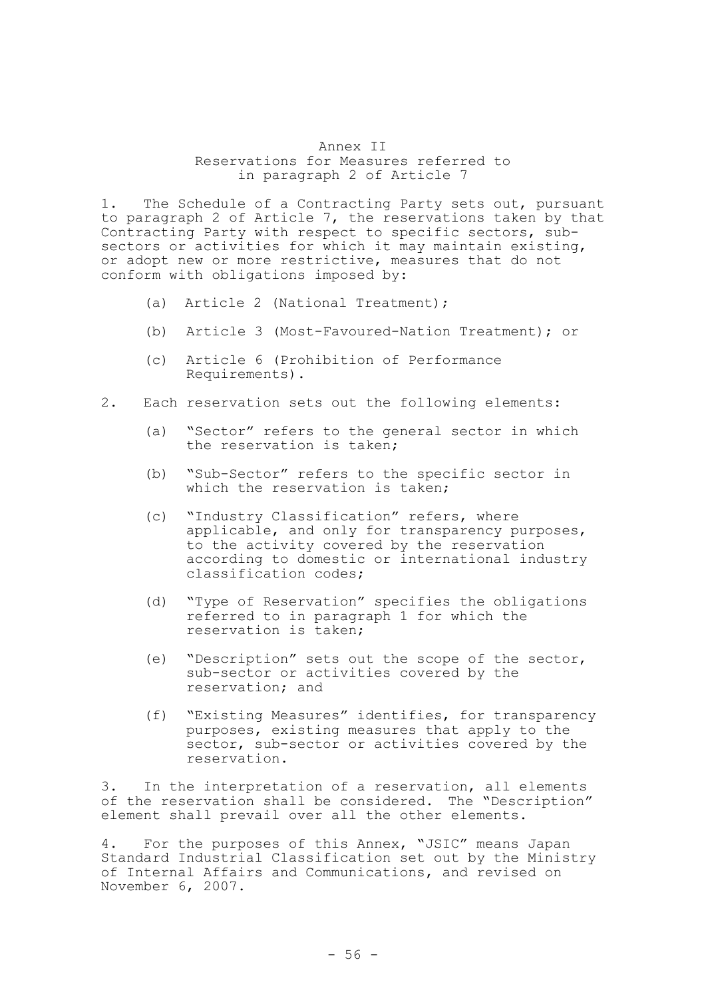## Annex II Reservations for Measures referred to

in paragraph 2 of Article 7

1. The Schedule of a Contracting Party sets out, pursuant to paragraph 2 of Article 7, the reservations taken by that Contracting Party with respect to specific sectors, subsectors or activities for which it may maintain existing, or adopt new or more restrictive, measures that do not conform with obligations imposed by:

- (a) Article 2 (National Treatment);
- (b) Article 3 (Most-Favoured-Nation Treatment); or
- (c) Article 6 (Prohibition of Performance Requirements).
- 2. Each reservation sets out the following elements:
	- (a) "Sector" refers to the general sector in which the reservation is taken;
	- (b) "Sub-Sector" refers to the specific sector in which the reservation is taken;
	- (c) "Industry Classification" refers, where applicable, and only for transparency purposes, to the activity covered by the reservation according to domestic or international industry classification codes;
	- (d) "Type of Reservation" specifies the obligations referred to in paragraph 1 for which the reservation is taken;
	- (e) "Description" sets out the scope of the sector, sub-sector or activities covered by the reservation; and
	- (f) "Existing Measures" identifies, for transparency purposes, existing measures that apply to the sector, sub-sector or activities covered by the reservation.

3. In the interpretation of a reservation, all elements of the reservation shall be considered. The "Description" element shall prevail over all the other elements.

4. For the purposes of this Annex, "JSIC" means Japan Standard Industrial Classification set out by the Ministry of Internal Affairs and Communications, and revised on November 6, 2007.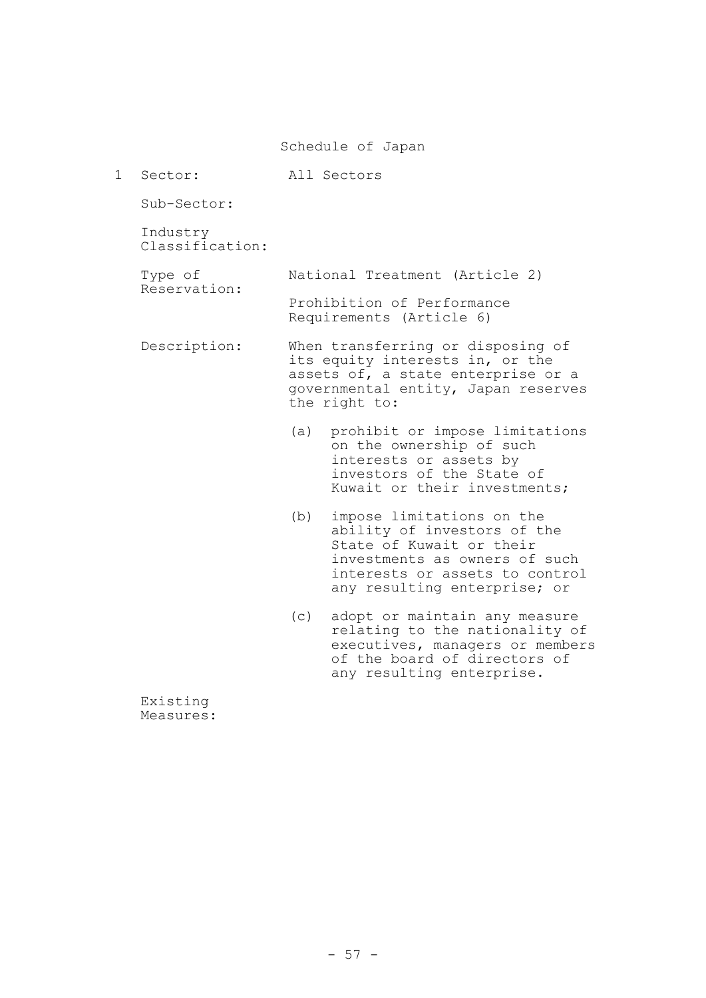Schedule of Japan

 1 Sector: All Sectors

Sub-Sector:

Industry Classification:

Type of National Treatment (Article 2)

## Reservation: Prohibition of Performance Requirements (Article 6)

Description: When transferring or disposing of its equity interests in, or the assets of, a state enterprise or a governmental entity, Japan reserves the right to:

- (a) prohibit or impose limitations on the ownership of such interests or assets by investors of the State of Kuwait or their investments;
- (b) impose limitations on the ability of investors of the State of Kuwait or their investments as owners of such interests or assets to control any resulting enterprise; or
- (c) adopt or maintain any measure relating to the nationality of executives, managers or members of the board of directors of any resulting enterprise.

Existing Measures: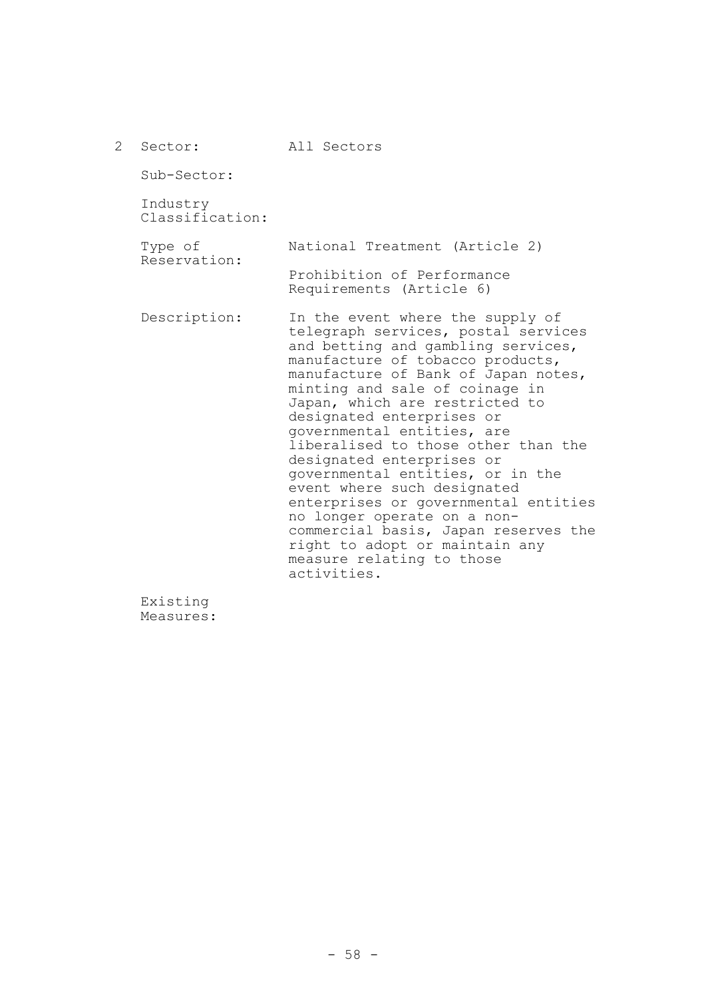| 2 | Sector:                     | All Sectors                                                                                                                                                                                                                                                                                                                                                                                                                                                                                                                                                                                                                                                 |
|---|-----------------------------|-------------------------------------------------------------------------------------------------------------------------------------------------------------------------------------------------------------------------------------------------------------------------------------------------------------------------------------------------------------------------------------------------------------------------------------------------------------------------------------------------------------------------------------------------------------------------------------------------------------------------------------------------------------|
|   | Sub-Sector:                 |                                                                                                                                                                                                                                                                                                                                                                                                                                                                                                                                                                                                                                                             |
|   | Industry<br>Classification: |                                                                                                                                                                                                                                                                                                                                                                                                                                                                                                                                                                                                                                                             |
|   | Type of<br>Reservation:     | National Treatment (Article 2)                                                                                                                                                                                                                                                                                                                                                                                                                                                                                                                                                                                                                              |
|   |                             | Prohibition of Performance<br>Requirements (Article 6)                                                                                                                                                                                                                                                                                                                                                                                                                                                                                                                                                                                                      |
|   | Description:                | In the event where the supply of<br>telegraph services, postal services<br>and betting and gambling services,<br>manufacture of tobacco products,<br>manufacture of Bank of Japan notes,<br>minting and sale of coinage in<br>Japan, which are restricted to<br>designated enterprises or<br>governmental entities, are<br>liberalised to those other than the<br>designated enterprises or<br>governmental entities, or in the<br>event where such designated<br>enterprises or governmental entities<br>no longer operate on a non-<br>commercial basis, Japan reserves the<br>right to adopt or maintain any<br>measure relating to those<br>activities. |

Existing Measures: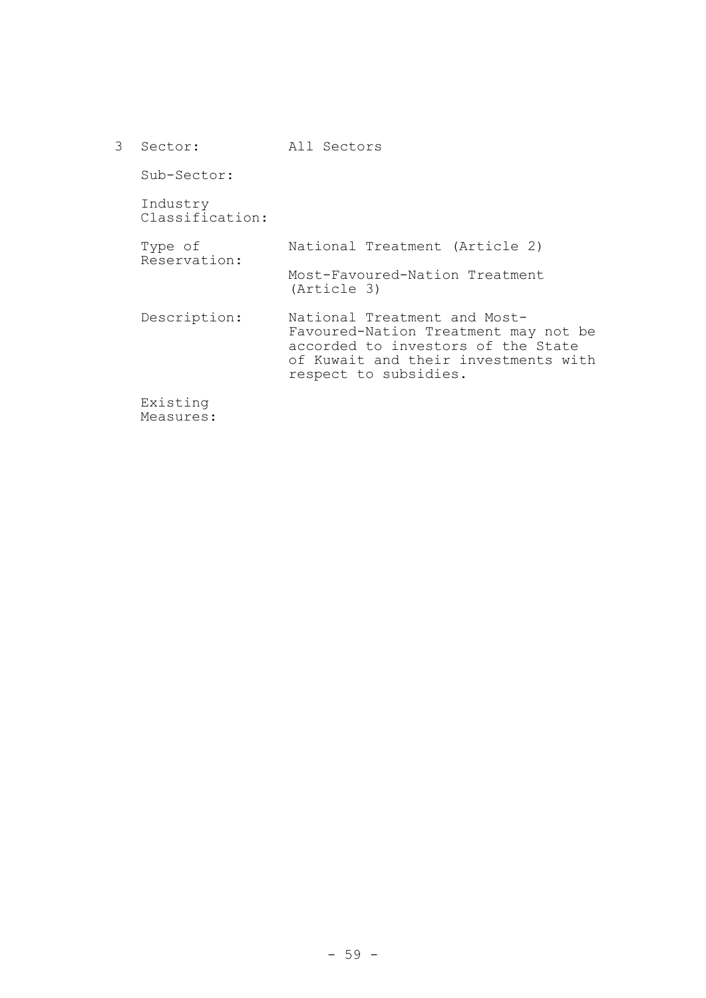| 3 | Sector:                     | All Sectors                                                                                                                                                                 |
|---|-----------------------------|-----------------------------------------------------------------------------------------------------------------------------------------------------------------------------|
|   | Sub-Sector:                 |                                                                                                                                                                             |
|   | Industry<br>Classification: |                                                                                                                                                                             |
|   | Type of<br>Reservation:     | National Treatment (Article 2)                                                                                                                                              |
|   |                             | Most-Favoured-Nation Treatment<br>(Article 3)                                                                                                                               |
|   | Description:                | National Treatment and Most-<br>Favoured-Nation Treatment may not be<br>accorded to investors of the State<br>of Kuwait and their investments with<br>respect to subsidies. |
|   | Existing<br>Measures:       |                                                                                                                                                                             |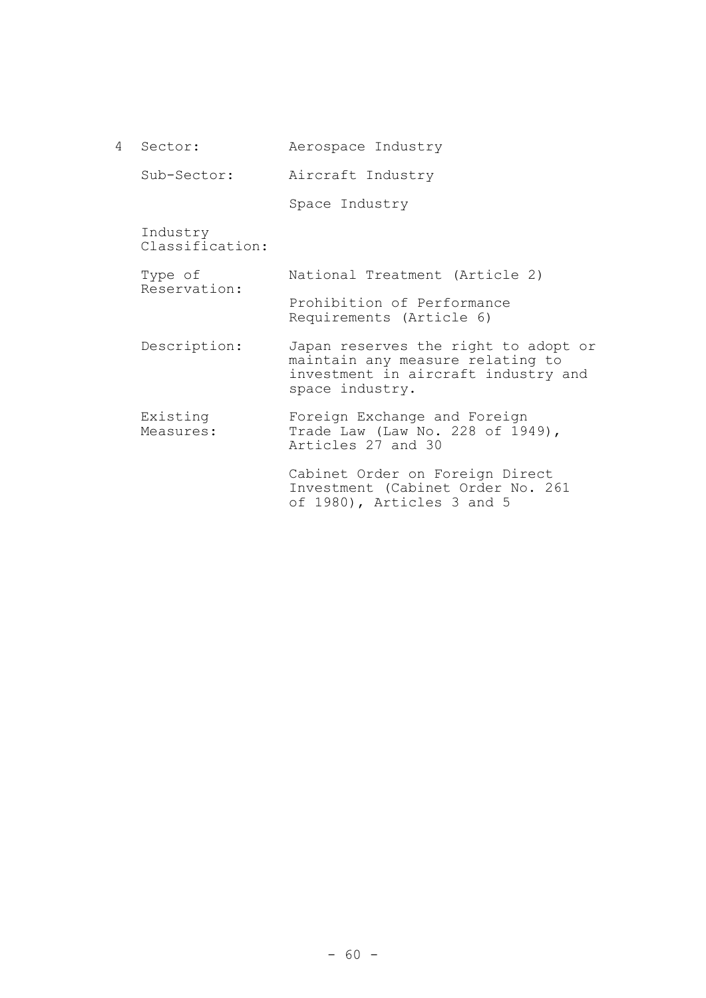| 4 Sector:                   | Aerospace Industry                                                                                                                 |
|-----------------------------|------------------------------------------------------------------------------------------------------------------------------------|
| Sub-Sector:                 | Aircraft Industry                                                                                                                  |
|                             | Space Industry                                                                                                                     |
| Industry<br>Classification: |                                                                                                                                    |
| Type of<br>Reservation:     | National Treatment (Article 2)                                                                                                     |
|                             | Prohibition of Performance<br>Requirements (Article 6)                                                                             |
| Description:                | Japan reserves the right to adopt or<br>maintain any measure relating to<br>investment in aircraft industry and<br>space industry. |
| Existing<br>Measures:       | Foreign Exchange and Foreign<br>Trade Law (Law No. 228 of 1949),<br>Articles 27 and 30                                             |
|                             | Cabinet Order on Foreign Direct<br>Investment (Cabinet Order No. 261<br>of 1980), Articles 3 and 5                                 |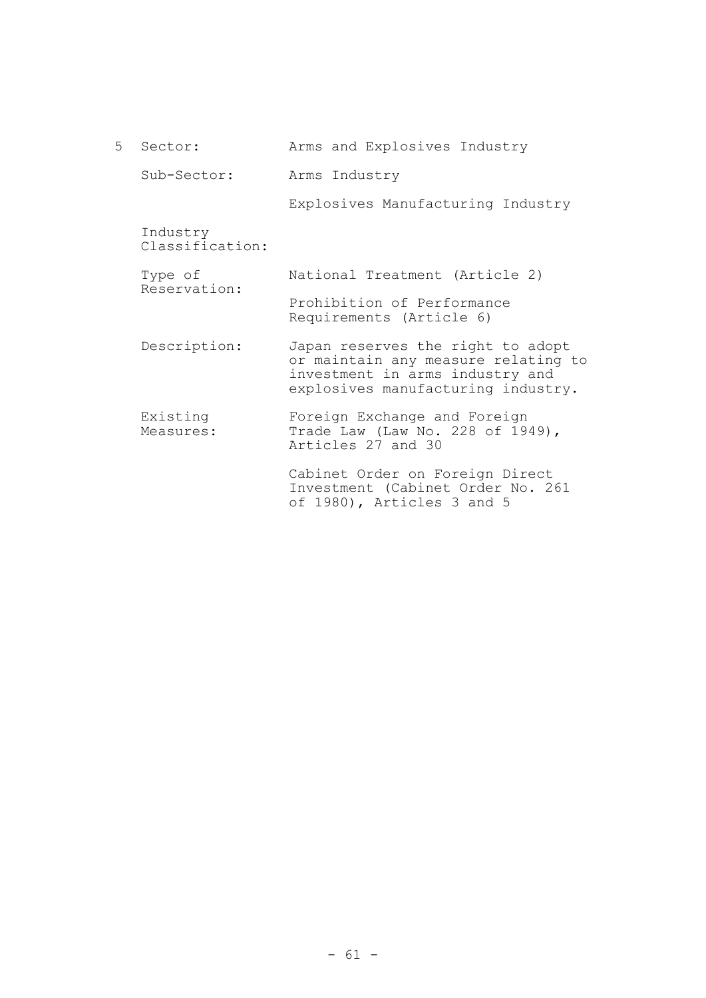| 5 Sector:                   | Arms and Explosives Industry                                                                                                                      |
|-----------------------------|---------------------------------------------------------------------------------------------------------------------------------------------------|
| Sub-Sector:                 | Arms Industry                                                                                                                                     |
|                             | Explosives Manufacturing Industry                                                                                                                 |
| Industry<br>Classification: |                                                                                                                                                   |
| Type of<br>Reservation:     | National Treatment (Article 2)                                                                                                                    |
|                             | Prohibition of Performance<br>Requirements (Article 6)                                                                                            |
| Description:                | Japan reserves the right to adopt<br>or maintain any measure relating to<br>investment in arms industry and<br>explosives manufacturing industry. |
| Existing<br>Measures:       | Foreign Exchange and Foreign<br>Trade Law (Law No. 228 of 1949),<br>Articles 27 and 30                                                            |
|                             | Cabinet Order on Foreign Direct<br>Investment (Cabinet Order No. 261<br>of 1980), Articles 3 and 5                                                |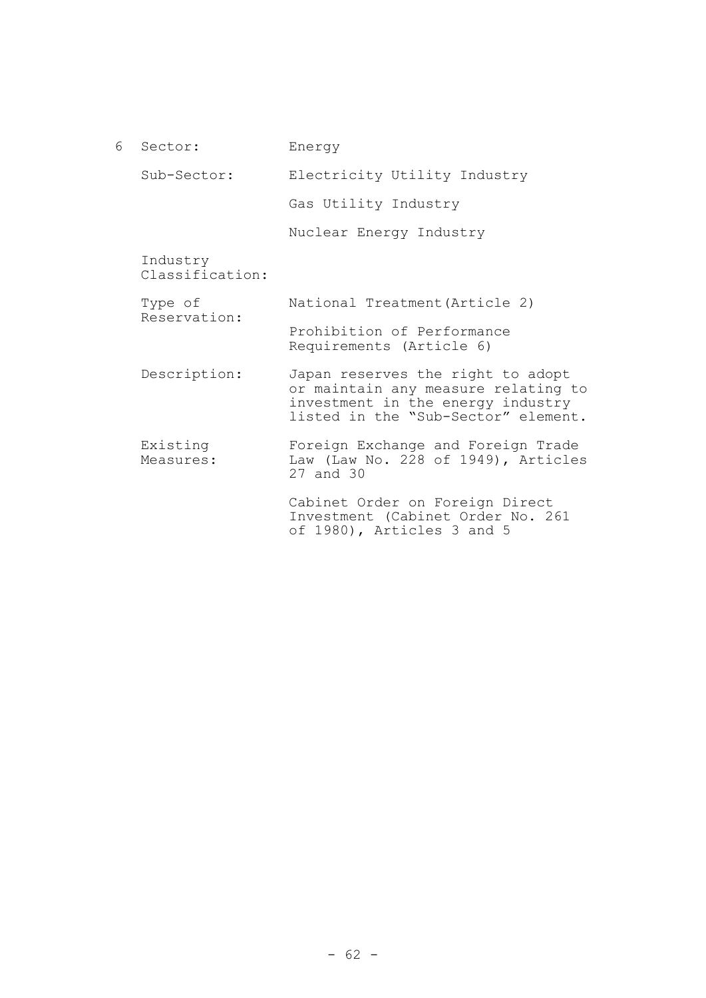|  | 6 Sector:                   | Energy                                                                                                                                               |
|--|-----------------------------|------------------------------------------------------------------------------------------------------------------------------------------------------|
|  | Sub-Sector:                 | Electricity Utility Industry                                                                                                                         |
|  |                             | Gas Utility Industry                                                                                                                                 |
|  |                             | Nuclear Energy Industry                                                                                                                              |
|  | Industry<br>Classification: |                                                                                                                                                      |
|  | Type of<br>Reservation:     | National Treatment (Article 2)                                                                                                                       |
|  |                             | Prohibition of Performance<br>Requirements (Article 6)                                                                                               |
|  | Description:                | Japan reserves the right to adopt<br>or maintain any measure relating to<br>investment in the energy industry<br>listed in the "Sub-Sector" element. |
|  | Existing<br>Measures:       | Foreign Exchange and Foreign Trade<br>Law (Law No. 228 of 1949), Articles<br>27 and 30                                                               |
|  |                             | Cabinet Order on Foreign Direct<br>Investment (Cabinet Order No. 261                                                                                 |

of 1980), Articles 3 and 5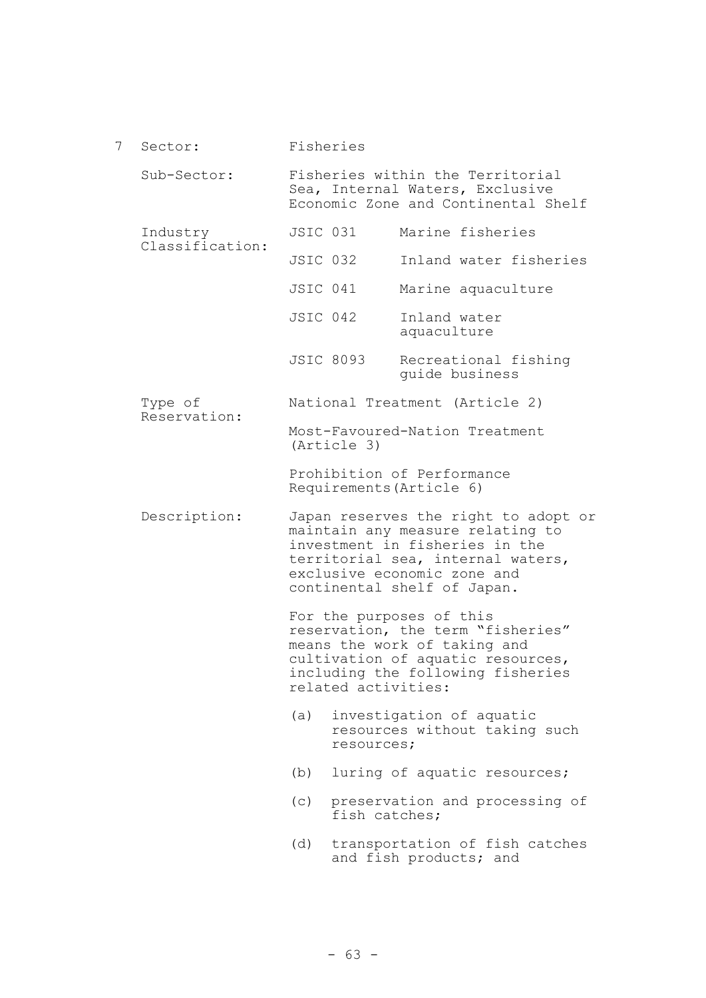7 Sector: Fisheries

Sub-Sector: Fisheries within the Territorial Sea, Internal Waters, Exclusive Economic Zone and Continental Shelf

Industry Classification: JSIC 031 Marine fisheries JSIC 032 Inland water fisheries JSIC 041 Marine aquaculture

- JSIC 042 Inland water aquaculture
- JSIC 8093 Recreational fishing guide business

Type of Reservation: National Treatment (Article 2)

## Most-Favoured-Nation Treatment (Article 3)

Prohibition of Performance Requirements(Article 6)

Description: Japan reserves the right to adopt or maintain any measure relating to investment in fisheries in the territorial sea, internal waters, exclusive economic zone and continental shelf of Japan.

> For the purposes of this reservation, the term "fisheries" means the work of taking and cultivation of aquatic resources, including the following fisheries related activities:

- (a) investigation of aquatic resources without taking such resources;
- (b) luring of aquatic resources;
- (c) preservation and processing of fish catches;
- (d) transportation of fish catches and fish products; and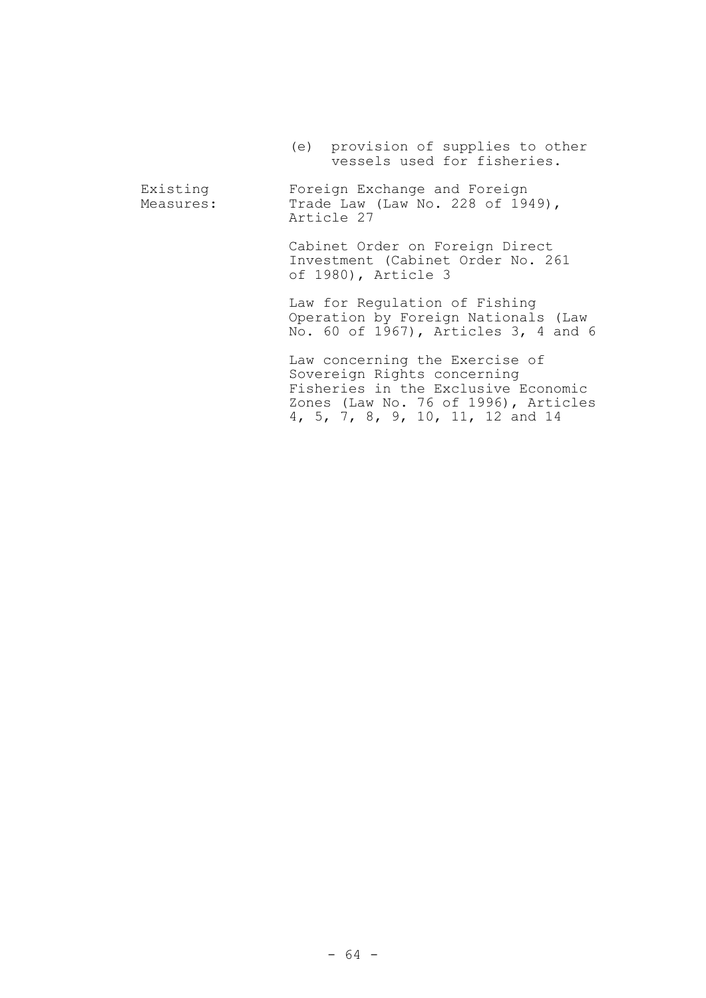(e) provision of supplies to other vessels used for fisheries.

Existing Measures: Foreign Exchange and Foreign Trade Law (Law No. 228 of 1949), Article 27

> Cabinet Order on Foreign Direct Investment (Cabinet Order No. 261 of 1980), Article 3

Law for Regulation of Fishing Operation by Foreign Nationals (Law No. 60 of 1967), Articles 3, 4 and 6

Law concerning the Exercise of Sovereign Rights concerning Fisheries in the Exclusive Economic Zones (Law No. 76 of 1996), Articles 4, 5, 7, 8, 9, 10, 11, 12 and 14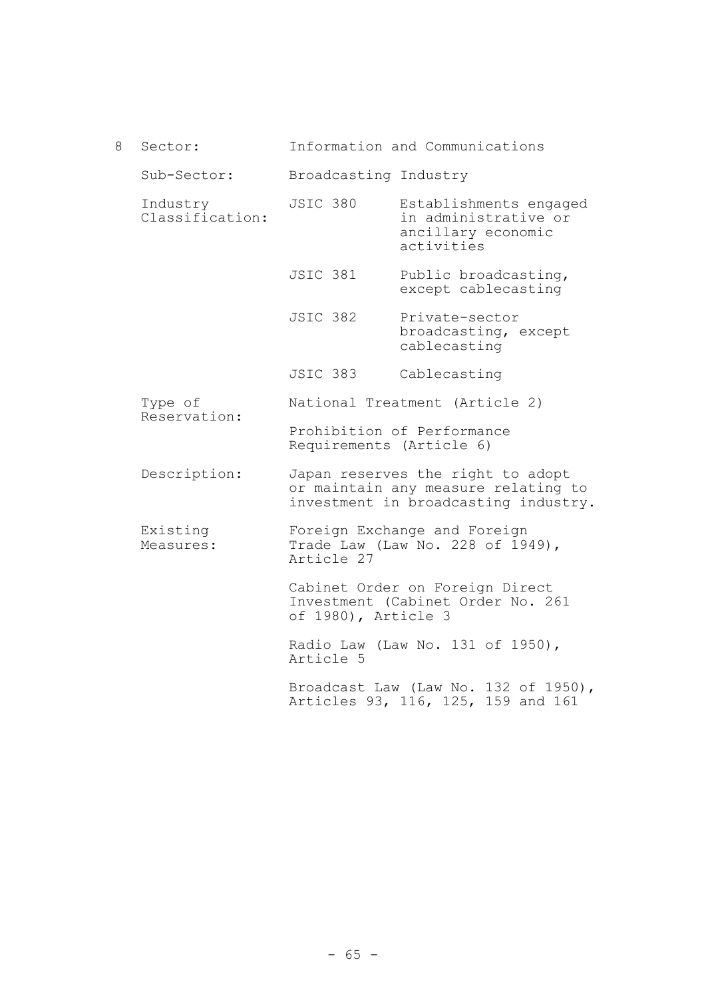8 Sector: Information and Communications

Sub-Sector: Broadcasting Industry

- Industry Classification: JSIC 380 Establishments engaged in administrative or ancillary economic activities
	- JSIC 381 Public broadcasting, except cablecasting
	- JSIC 382 Private-sector broadcasting, except cablecasting
	- JSIC 383 Cablecasting

Type of National Treatment (Article 2)

Reservation: Prohibition of Performance Requirements (Article 6)

Description: Japan reserves the right to adopt or maintain any measure relating to investment in broadcasting industry.

Existing Measures: Foreign Exchange and Foreign Trade Law (Law No. 228 of 1949), Article 27

> Cabinet Order on Foreign Direct Investment (Cabinet Order No. 261 of 1980), Article 3

Radio Law (Law No. 131 of 1950), Article 5

Broadcast Law (Law No. 132 of 1950), Articles 93, 116, 125, 159 and 161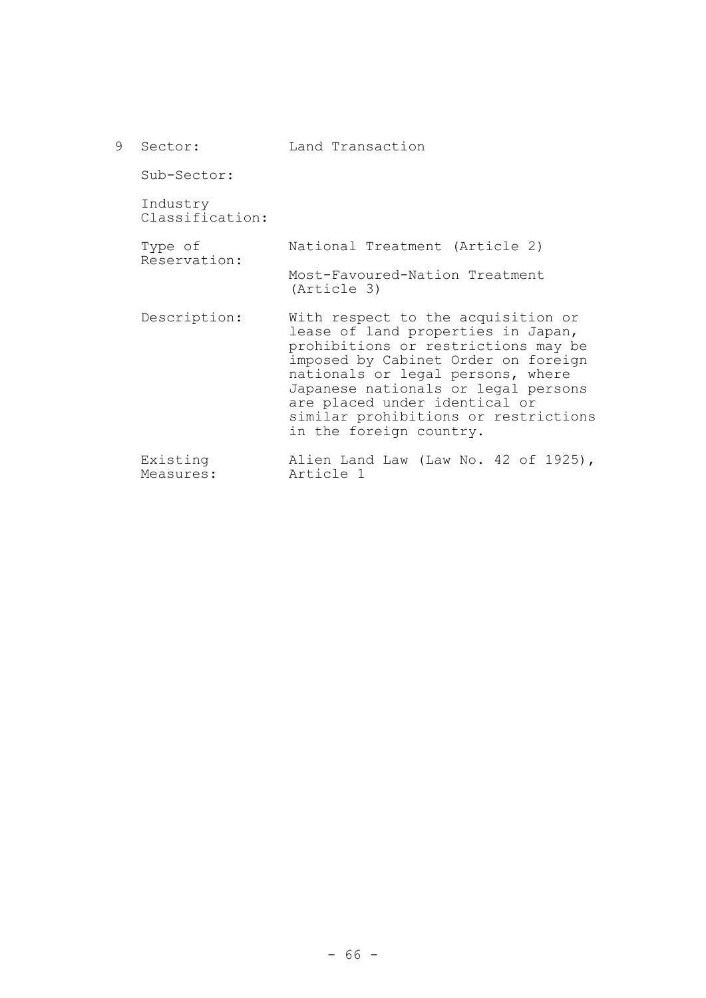| Sector:                     | Land Transaction                                                                                                                                                                                                                                                                                                                       |
|-----------------------------|----------------------------------------------------------------------------------------------------------------------------------------------------------------------------------------------------------------------------------------------------------------------------------------------------------------------------------------|
| Sub-Sector:                 |                                                                                                                                                                                                                                                                                                                                        |
| Industry<br>Classification: |                                                                                                                                                                                                                                                                                                                                        |
| Type of<br>Reservation:     | National Treatment (Article 2)                                                                                                                                                                                                                                                                                                         |
|                             | Most-Favoured-Nation Treatment<br>(Article 3)                                                                                                                                                                                                                                                                                          |
| Description:                | With respect to the acquisition or<br>lease of land properties in Japan,<br>prohibitions or restrictions may be<br>imposed by Cabinet Order on foreign<br>nationals or legal persons, where<br>Japanese nationals or legal persons<br>are placed under identical or<br>similar prohibitions or restrictions<br>in the foreign country. |
| Existing<br>Measures:       | Alien Land Law (Law No. 42 of 1925),<br>Article 1                                                                                                                                                                                                                                                                                      |

9 Sector: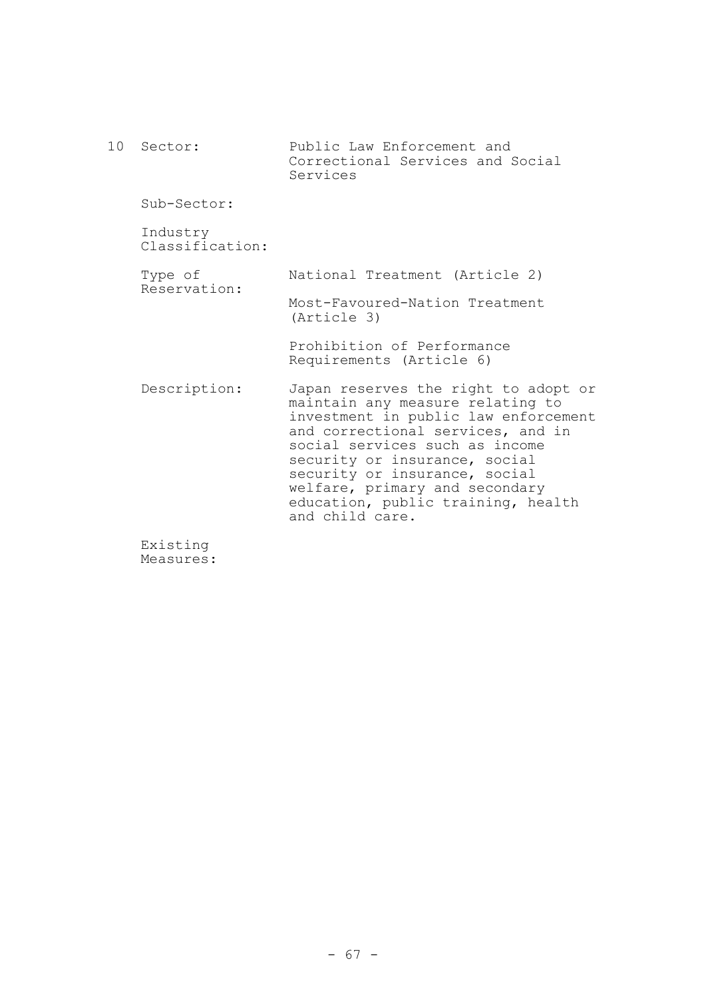| 10 Sector:                  | Public Law Enforcement and<br>Correctional Services and Social<br>Services                                                                                                                                                                                                                                                                           |
|-----------------------------|------------------------------------------------------------------------------------------------------------------------------------------------------------------------------------------------------------------------------------------------------------------------------------------------------------------------------------------------------|
| $Sub-Section:$              |                                                                                                                                                                                                                                                                                                                                                      |
| Industry<br>Classification: |                                                                                                                                                                                                                                                                                                                                                      |
| Type of<br>Reservation:     | National Treatment (Article 2)                                                                                                                                                                                                                                                                                                                       |
|                             | Most-Favoured-Nation Treatment<br>(Article 3)                                                                                                                                                                                                                                                                                                        |
|                             | Prohibition of Performance<br>Requirements (Article 6)                                                                                                                                                                                                                                                                                               |
| Description:                | Japan reserves the right to adopt or<br>maintain any measure relating to<br>investment in public law enforcement<br>and correctional services, and in<br>social services such as income<br>security or insurance, social<br>security or insurance, social<br>welfare, primary and secondary<br>education, public training, health<br>and child care. |

Existing Measures: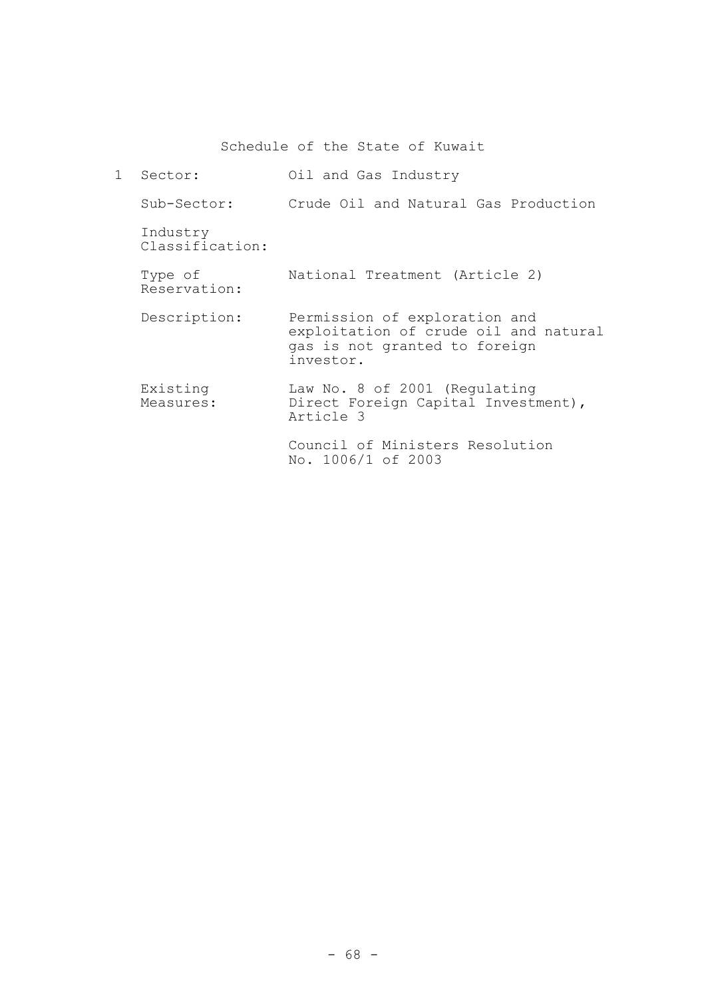Schedule of the State of Kuwait

 1 Sector: Sub-Sector: Industry Classification: Type of Reservation: Description: Existing Measures: Oil and Gas Industry Crude Oil and Natural Gas Production National Treatment (Article 2) Permission of exploration and exploitation of crude oil and natural gas is not granted to foreign investor. Law No. 8 of 2001 (Regulating Direct Foreign Capital Investment), Article 3 Council of Ministers Resolution No. 1006/1 of 2003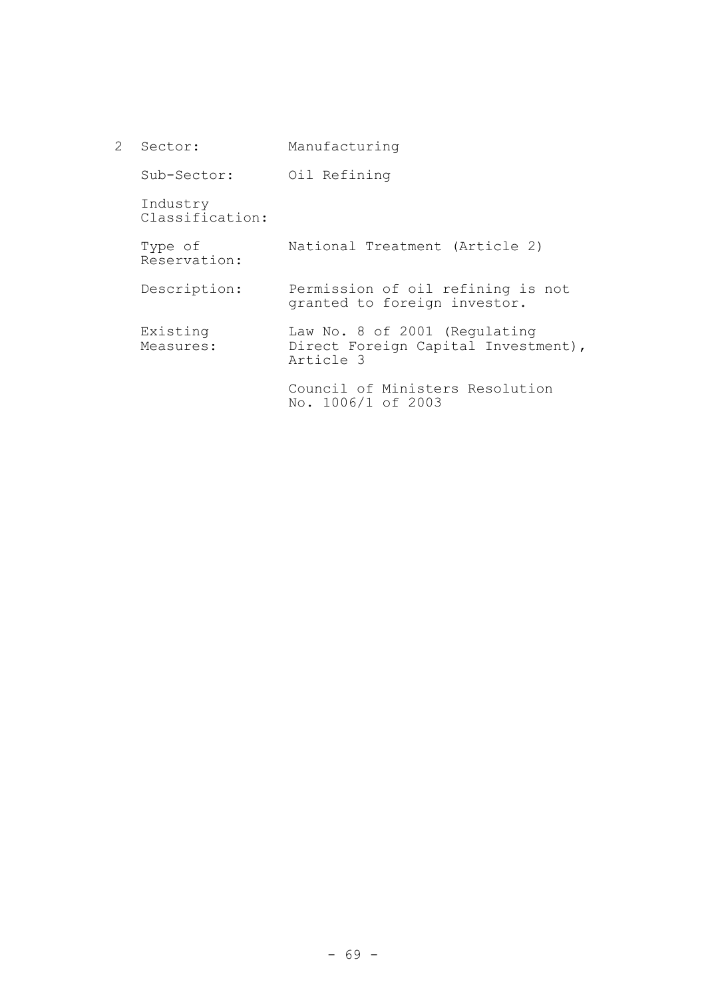| 2 | Sector:                     | Manufacturing                                                                     |
|---|-----------------------------|-----------------------------------------------------------------------------------|
|   | Sub-Sector:                 | Oil Refining                                                                      |
|   | Industry<br>Classification: |                                                                                   |
|   | Type of<br>Reservation:     | National Treatment (Article 2)                                                    |
|   | Description:                | Permission of oil refining is not<br>granted to foreign investor.                 |
|   | Existing<br>Measures:       | Law No. 8 of 2001 (Regulating<br>Direct Foreign Capital Investment),<br>Article 3 |
|   |                             | Council of Ministers Resolution<br>No. 1006/1 of 2003                             |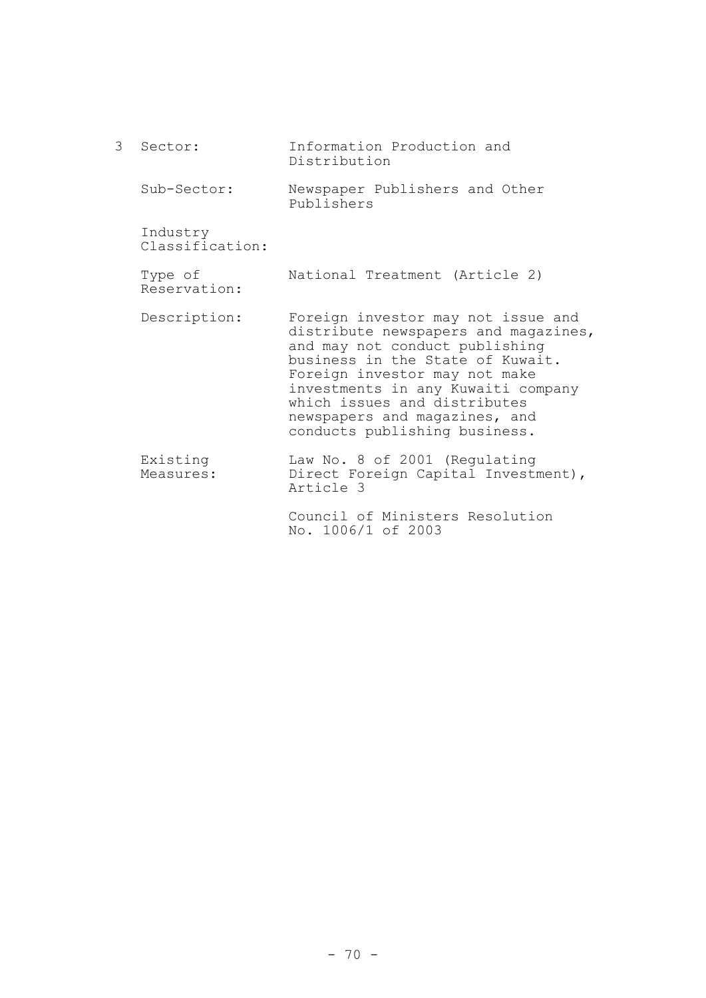| 3 | Sector:                     | Information Production and<br>Distribution                                                                                                                                                                                                                                                                                |
|---|-----------------------------|---------------------------------------------------------------------------------------------------------------------------------------------------------------------------------------------------------------------------------------------------------------------------------------------------------------------------|
|   | Sub-Sector:                 | Newspaper Publishers and Other<br>Publishers                                                                                                                                                                                                                                                                              |
|   | Industry<br>Classification: |                                                                                                                                                                                                                                                                                                                           |
|   | Type of<br>Reservation:     | National Treatment (Article 2)                                                                                                                                                                                                                                                                                            |
|   | Description:                | Foreign investor may not issue and<br>distribute newspapers and magazines,<br>and may not conduct publishing<br>business in the State of Kuwait.<br>Foreign investor may not make<br>investments in any Kuwaiti company<br>which issues and distributes<br>newspapers and magazines, and<br>conducts publishing business. |
|   | Existing<br>Measures:       | Law No. 8 of 2001 (Regulating<br>Direct Foreign Capital Investment),<br>Article 3                                                                                                                                                                                                                                         |
|   |                             | Council of Ministers Resolution                                                                                                                                                                                                                                                                                           |

No. 1006/1 of 2003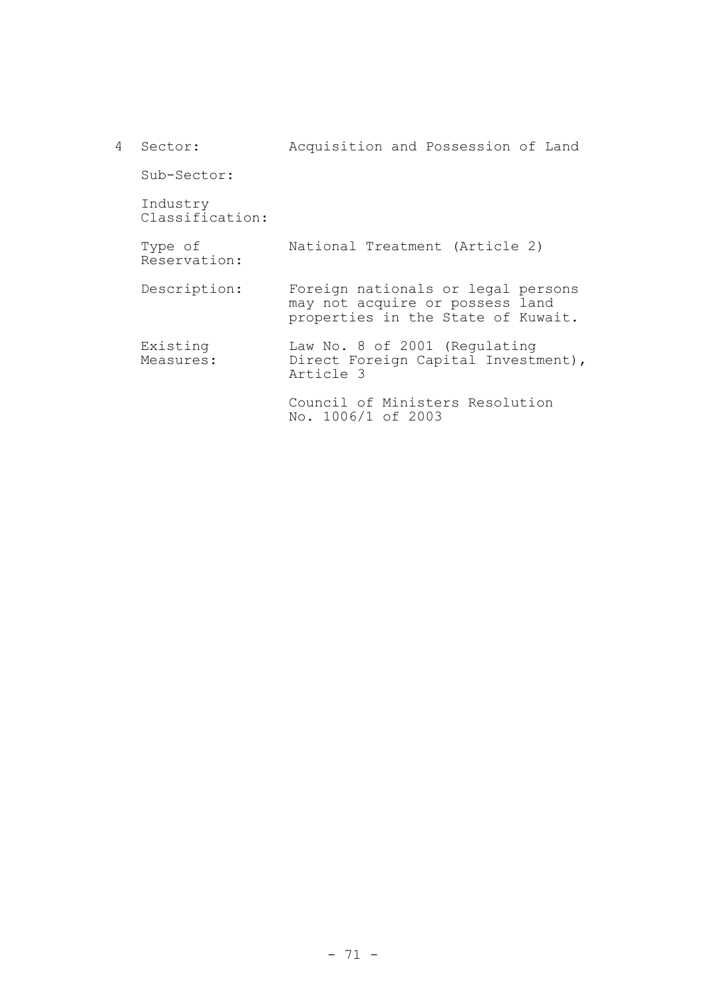| 4 | Sector:                     | Acquisition and Possession of Land                                                                          |
|---|-----------------------------|-------------------------------------------------------------------------------------------------------------|
|   | Sub-Sector:                 |                                                                                                             |
|   | Industry<br>Classification: |                                                                                                             |
|   | Type of<br>Reservation:     | National Treatment (Article 2)                                                                              |
|   | Description:                | Foreign nationals or legal persons<br>may not acquire or possess land<br>properties in the State of Kuwait. |
|   | Existing<br>Measures:       | Law No. 8 of 2001 (Regulating<br>Direct Foreign Capital Investment),<br>Article 3                           |
|   |                             | Council of Ministers Resolution<br>No. 1006/1 of 2003                                                       |